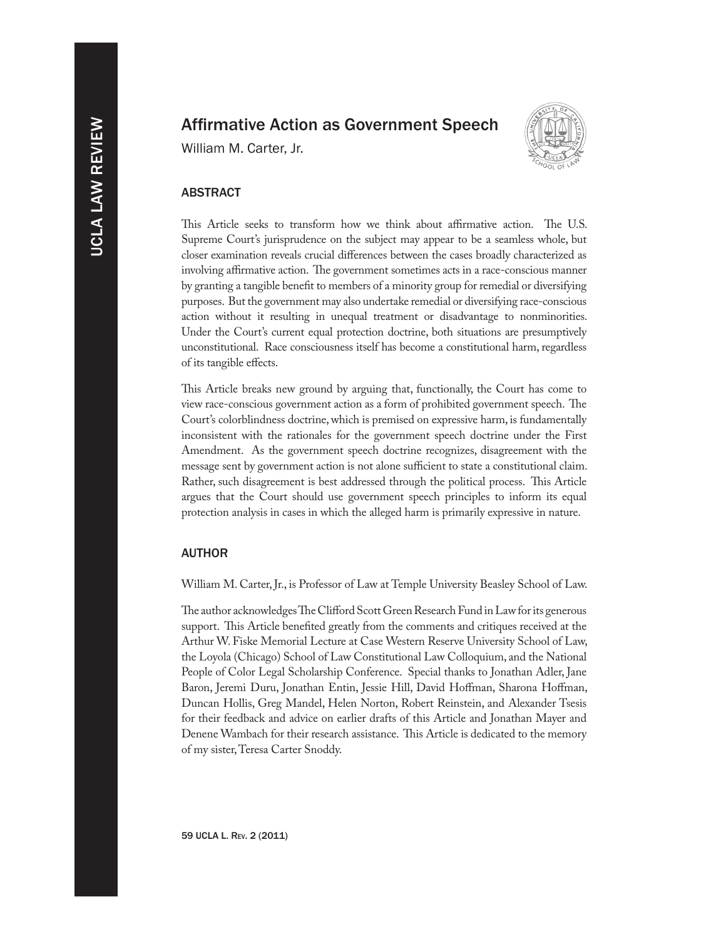# Affirmative Action as Government Speech

William M. Carter, Jr.



### ABSTRACT

This Article seeks to transform how we think about affirmative action. The U.S. Supreme Court's jurisprudence on the subject may appear to be a seamless whole, but closer examination reveals crucial differences between the cases broadly characterized as involving affirmative action. The government sometimes acts in a race-conscious manner by granting a tangible benefit to members of a minority group for remedial or diversifying purposes. But the government may also undertake remedial or diversifying race-conscious action without it resulting in unequal treatment or disadvantage to nonminorities. Under the Court's current equal protection doctrine, both situations are presumptively unconstitutional. Race consciousness itself has become a constitutional harm, regardless of its tangible effects.

This Article breaks new ground by arguing that, functionally, the Court has come to view race-conscious government action as a form of prohibited government speech. The Court's colorblindness doctrine, which is premised on expressive harm, is fundamentally inconsistent with the rationales for the government speech doctrine under the First Amendment. As the government speech doctrine recognizes, disagreement with the message sent by government action is not alone sufficient to state a constitutional claim. Rather, such disagreement is best addressed through the political process. This Article argues that the Court should use government speech principles to inform its equal protection analysis in cases in which the alleged harm is primarily expressive in nature.

#### AUTHOR

William M. Carter, Jr., is Professor of Law at Temple University Beasley School of Law.

The author acknowledges The Clifford Scott Green Research Fund in Law for its generous support. This Article benefited greatly from the comments and critiques received at the Arthur W. Fiske Memorial Lecture at Case Western Reserve University School of Law, the Loyola (Chicago) School of Law Constitutional Law Colloquium, and the National People of Color Legal Scholarship Conference. Special thanks to Jonathan Adler, Jane Baron, Jeremi Duru, Jonathan Entin, Jessie Hill, David Hoffman, Sharona Hoffman, Duncan Hollis, Greg Mandel, Helen Norton, Robert Reinstein, and Alexander Tsesis for their feedback and advice on earlier drafts of this Article and Jonathan Mayer and Denene Wambach for their research assistance. This Article is dedicated to the memory of my sister, Teresa Carter Snoddy.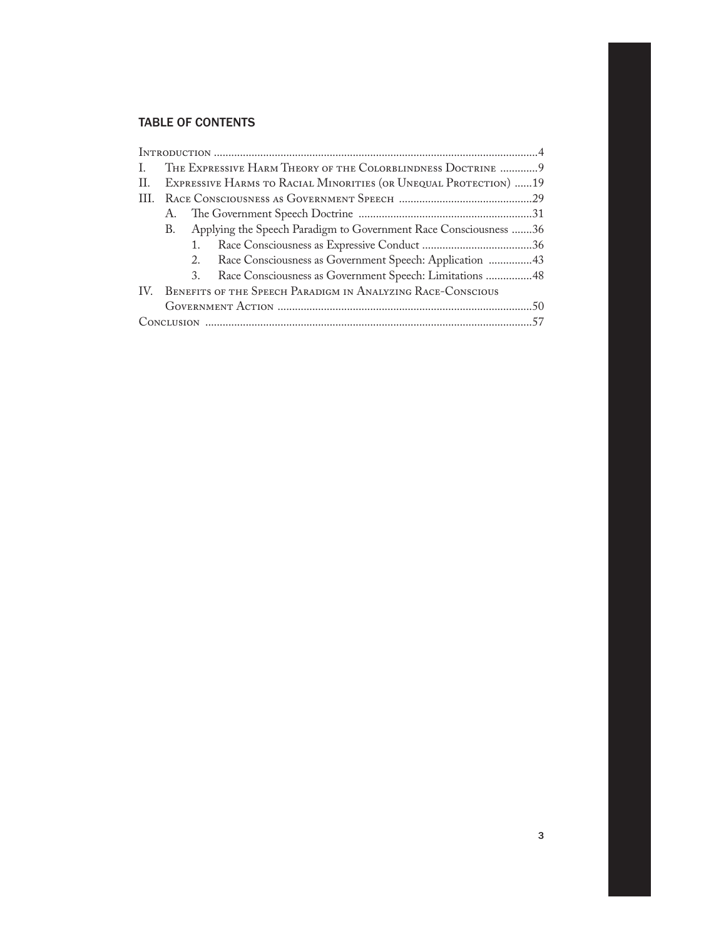# TABLE OF CONTENTS

| L.  | THE EXPRESSIVE HARM THEORY OF THE COLORBLINDNESS DOCTRINE  9     |    |                                                                  |  |
|-----|------------------------------------------------------------------|----|------------------------------------------------------------------|--|
| II. | EXPRESSIVE HARMS TO RACIAL MINORITIES (OR UNEQUAL PROTECTION) 19 |    |                                                                  |  |
|     |                                                                  |    |                                                                  |  |
|     |                                                                  |    |                                                                  |  |
|     | B.                                                               |    | Applying the Speech Paradigm to Government Race Consciousness 36 |  |
|     |                                                                  | 1. |                                                                  |  |
|     |                                                                  |    | 2. Race Consciousness as Government Speech: Application 43       |  |
|     |                                                                  |    | 3. Race Consciousness as Government Speech: Limitations 48       |  |
|     | IV. BENEFITS OF THE SPEECH PARADIGM IN ANALYZING RACE-CONSCIOUS  |    |                                                                  |  |
|     |                                                                  |    |                                                                  |  |
|     |                                                                  |    |                                                                  |  |
|     |                                                                  |    |                                                                  |  |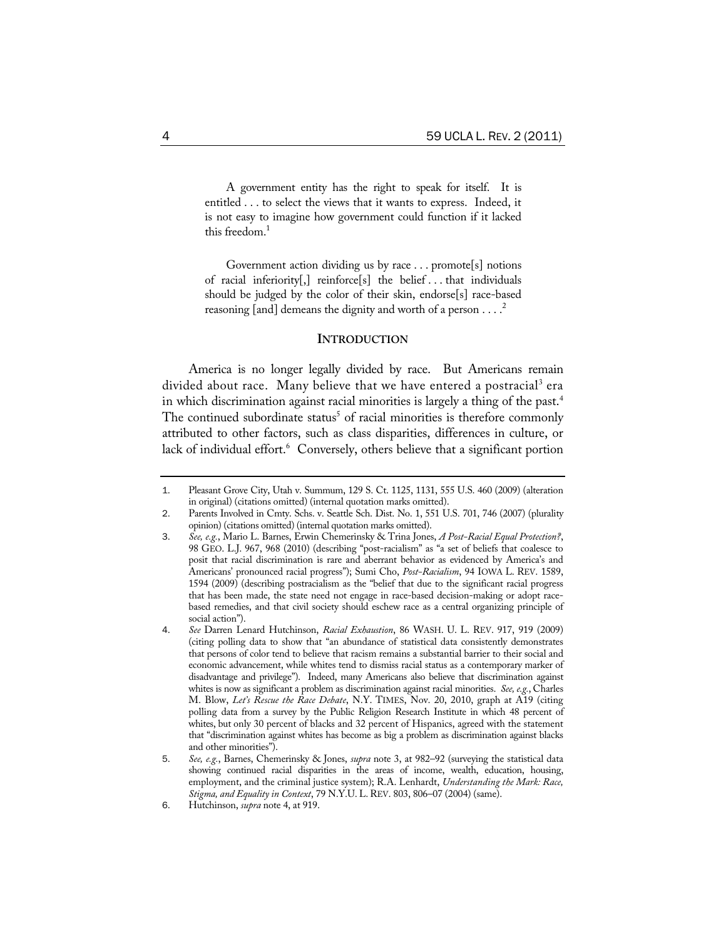A government entity has the right to speak for itself. It is entitled . . . to select the views that it wants to express. Indeed, it is not easy to imagine how government could function if it lacked this freedom.<sup>1</sup>

Government action dividing us by race . . . promote[s] notions of racial inferiority[,] reinforce[s] the belief . . . that individuals should be judged by the color of their skin, endorse[s] race-based reasoning [and] demeans the dignity and worth of a person  $\dots$ .

#### **INTRODUCTION**

America is no longer legally divided by race. But Americans remain divided about race. Many believe that we have entered a postracial<sup>3</sup> era in which discrimination against racial minorities is largely a thing of the past.<sup>4</sup> The continued subordinate status<sup>5</sup> of racial minorities is therefore commonly attributed to other factors, such as class disparities, differences in culture, or lack of individual effort.<sup>6</sup> Conversely, others believe that a significant portion

<sup>1</sup>. Pleasant Grove City, Utah v. Summum, 129 S. Ct. 1125, 1131, 555 U.S. 460 (2009) (alteration in original) (citations omitted) (internal quotation marks omitted).

<sup>2</sup>. Parents Involved in Cmty. Schs. v. Seattle Sch. Dist. No. 1, 551 U.S. 701, 746 (2007) (plurality opinion) (citations omitted) (internal quotation marks omitted).

<sup>3</sup>. *See, e.g.*, Mario L. Barnes, Erwin Chemerinsky & Trina Jones, *A Post-Racial Equal Protection?*, 98 GEO. L.J. 967, 968 (2010) (describing "post-racialism" as "a set of beliefs that coalesce to posit that racial discrimination is rare and aberrant behavior as evidenced by America's and Americans' pronounced racial progress"); Sumi Cho, *Post-Racialism*, 94 IOWA L. REV. 1589, 1594 (2009) (describing postracialism as the "belief that due to the significant racial progress that has been made, the state need not engage in race-based decision-making or adopt racebased remedies, and that civil society should eschew race as a central organizing principle of social action").

<sup>4</sup>. *See* Darren Lenard Hutchinson, *Racial Exhaustion*, 86 WASH. U. L. REV. 917, 919 (2009) (citing polling data to show that "an abundance of statistical data consistently demonstrates that persons of color tend to believe that racism remains a substantial barrier to their social and economic advancement, while whites tend to dismiss racial status as a contemporary marker of disadvantage and privilege"). Indeed, many Americans also believe that discrimination against whites is now as significant a problem as discrimination against racial minorities. *See, e.g.*, Charles M. Blow, *Let's Rescue the Race Debate*, N.Y. TIMES, Nov. 20, 2010, graph at A19 (citing polling data from a survey by the Public Religion Research Institute in which 48 percent of whites, but only 30 percent of blacks and 32 percent of Hispanics, agreed with the statement that "discrimination against whites has become as big a problem as discrimination against blacks and other minorities").

<sup>5</sup>. *See, e.g.*, Barnes, Chemerinsky & Jones, *supra* note 3, at 982–92 (surveying the statistical data showing continued racial disparities in the areas of income, wealth, education, housing, employment, and the criminal justice system); R.A. Lenhardt, *Understanding the Mark: Race, Stigma, and Equality in Context*, 79 N.Y.U. L. REV. 803, 806–07 (2004) (same).

<sup>6</sup>. Hutchinson, *supra* note 4, at 919.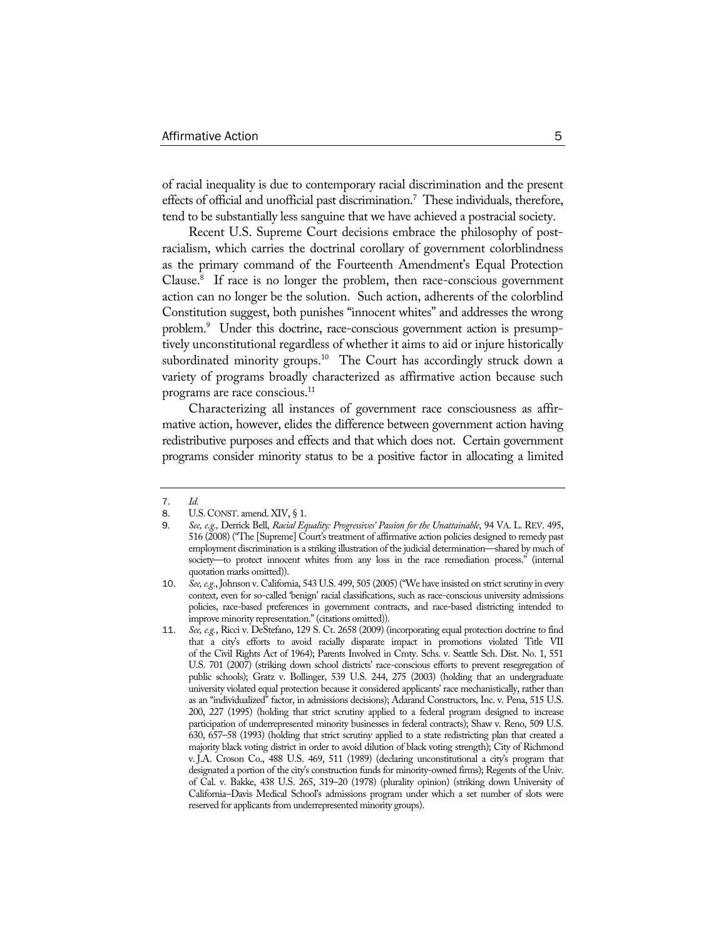of racial inequality is due to contemporary racial discrimination and the present effects of official and unofficial past discrimination.<sup>7</sup> These individuals, therefore, tend to be substantially less sanguine that we have achieved a postracial society.

Recent U.S. Supreme Court decisions embrace the philosophy of postracialism, which carries the doctrinal corollary of government colorblindness as the primary command of the Fourteenth Amendment's Equal Protection Clause.8 If race is no longer the problem, then race-conscious government action can no longer be the solution. Such action, adherents of the colorblind Constitution suggest, both punishes "innocent whites" and addresses the wrong problem.<sup>9</sup> Under this doctrine, race-conscious government action is presumptively unconstitutional regardless of whether it aims to aid or injure historically subordinated minority groups.<sup>10</sup> The Court has accordingly struck down a variety of programs broadly characterized as affirmative action because such programs are race conscious.<sup>11</sup>

Characterizing all instances of government race consciousness as affirmative action, however, elides the difference between government action having redistributive purposes and effects and that which does not. Certain government programs consider minority status to be a positive factor in allocating a limited

<sup>7</sup>. *Id.*

U.S. CONST. amend. XIV, § 1.

<sup>9</sup>*. See, e.g.,* Derrick Bell, *Racial Equality: Progressives' Passion for the Unattainable*, 94 VA. L. REV. 495, 516 (2008) ("The [Supreme] Court's treatment of affirmative action policies designed to remedy past employment discrimination is a striking illustration of the judicial determination—shared by much of society—to protect innocent whites from any loss in the race remediation process." (internal quotation marks omitted)).

<sup>10</sup>. *See, e.g.*,Johnson v. California, 543 U.S. 499, 505 (2005) ("We have insisted on strict scrutiny in every context, even for so-called 'benign' racial classifications, such as race-conscious university admissions policies, race-based preferences in government contracts, and race-based districting intended to improve minority representation." (citations omitted)).

<sup>11</sup>. *See, e.g.*, Ricci v. DeStefano, 129 S. Ct. 2658 (2009) (incorporating equal protection doctrine to find that a city's efforts to avoid racially disparate impact in promotions violated Title VII of the Civil Rights Act of 1964); Parents Involved in Cmty. Schs. v. Seattle Sch. Dist. No. 1, 551 U.S. 701 (2007) (striking down school districts' race-conscious efforts to prevent resegregation of public schools); Gratz v. Bollinger, 539 U.S. 244, 275 (2003) (holding that an undergraduate university violated equal protection because it considered applicants' race mechanistically, rather than as an "individualized" factor, in admissions decisions); Adarand Constructors, Inc. v. Pena, 515 U.S. 200, 227 (1995) (holding that strict scrutiny applied to a federal program designed to increase participation of underrepresented minority businesses in federal contracts); Shaw v. Reno, 509 U.S. 630, 657–58 (1993) (holding that strict scrutiny applied to a state redistricting plan that created a majority black voting district in order to avoid dilution of black voting strength); City of Richmond v. J.A. Croson Co., 488 U.S. 469, 511 (1989) (declaring unconstitutional a city's program that designated a portion of the city's construction funds for minority-owned firms); Regents of the Univ. of Cal. v. Bakke, 438 U.S. 265, 319–20 (1978) (plurality opinion) (striking down University of California–Davis Medical School's admissions program under which a set number of slots were reserved for applicants from underrepresented minority groups).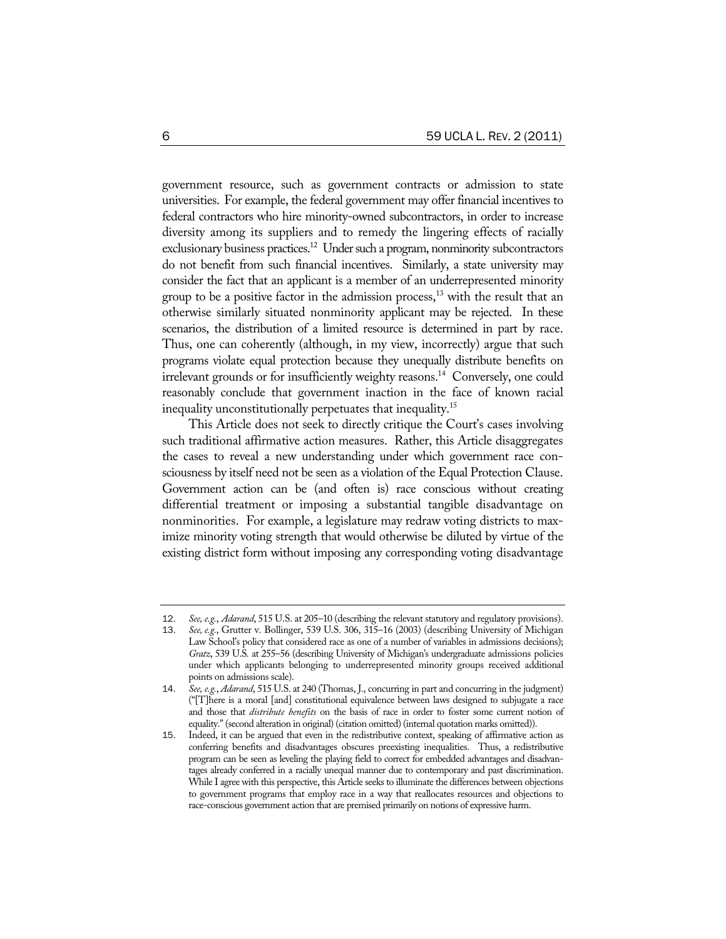government resource, such as government contracts or admission to state universities. For example, the federal government may offer financial incentives to federal contractors who hire minority-owned subcontractors, in order to increase diversity among its suppliers and to remedy the lingering effects of racially exclusionary business practices.<sup>12</sup> Under such a program, nonminority subcontractors do not benefit from such financial incentives. Similarly, a state university may consider the fact that an applicant is a member of an underrepresented minority group to be a positive factor in the admission process, $^{13}$  with the result that an otherwise similarly situated nonminority applicant may be rejected. In these scenarios, the distribution of a limited resource is determined in part by race. Thus, one can coherently (although, in my view, incorrectly) argue that such programs violate equal protection because they unequally distribute benefits on irrelevant grounds or for insufficiently weighty reasons.<sup>14</sup> Conversely, one could reasonably conclude that government inaction in the face of known racial inequality unconstitutionally perpetuates that inequality.15

This Article does not seek to directly critique the Court's cases involving such traditional affirmative action measures. Rather, this Article disaggregates the cases to reveal a new understanding under which government race consciousness by itself need not be seen as a violation of the Equal Protection Clause. Government action can be (and often is) race conscious without creating differential treatment or imposing a substantial tangible disadvantage on nonminorities. For example, a legislature may redraw voting districts to maximize minority voting strength that would otherwise be diluted by virtue of the existing district form without imposing any corresponding voting disadvantage

<sup>12</sup>. *See, e.g.*, *Adarand*, 515 U.S. at 205–10 (describing the relevant statutory and regulatory provisions).

<sup>13</sup>. *See, e.g.*, Grutter v. Bollinger, 539 U.S. 306, 315–16 (2003) (describing University of Michigan Law School's policy that considered race as one of a number of variables in admissions decisions); *Gratz*, 539 U.S*.* at 255–56 (describing University of Michigan's undergraduate admissions policies under which applicants belonging to underrepresented minority groups received additional points on admissions scale).

<sup>14</sup>. *See, e.g.*, *Adarand*, 515 U.S. at 240 (Thomas, J., concurring in part and concurring in the judgment) ("[T]here is a moral [and] constitutional equivalence between laws designed to subjugate a race and those that *distribute benefits* on the basis of race in order to foster some current notion of equality." (second alteration in original) (citation omitted) (internal quotation marks omitted)).

<sup>15</sup>. Indeed, it can be argued that even in the redistributive context, speaking of affirmative action as conferring benefits and disadvantages obscures preexisting inequalities. Thus, a redistributive program can be seen as leveling the playing field to correct for embedded advantages and disadvantages already conferred in a racially unequal manner due to contemporary and past discrimination. While I agree with this perspective, this Article seeks to illuminate the differences between objections to government programs that employ race in a way that reallocates resources and objections to race-conscious government action that are premised primarily on notions of expressive harm.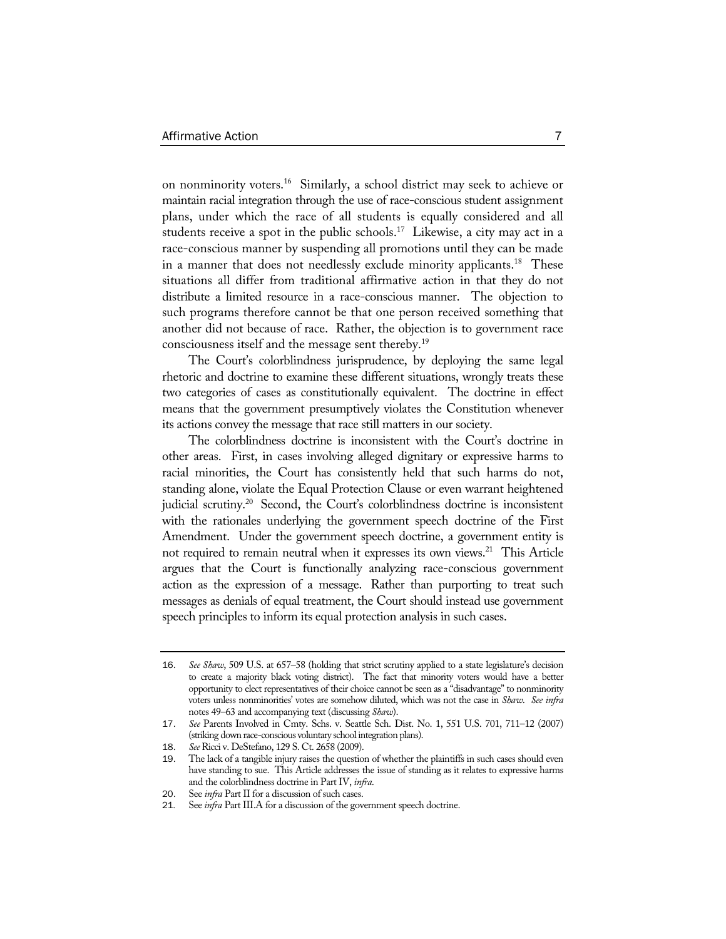on nonminority voters.16 Similarly, a school district may seek to achieve or maintain racial integration through the use of race-conscious student assignment plans, under which the race of all students is equally considered and all students receive a spot in the public schools.<sup>17</sup> Likewise, a city may act in a race-conscious manner by suspending all promotions until they can be made in a manner that does not needlessly exclude minority applicants.<sup>18</sup> These situations all differ from traditional affirmative action in that they do not distribute a limited resource in a race-conscious manner. The objection to such programs therefore cannot be that one person received something that another did not because of race. Rather, the objection is to government race consciousness itself and the message sent thereby.19

The Court's colorblindness jurisprudence, by deploying the same legal rhetoric and doctrine to examine these different situations, wrongly treats these two categories of cases as constitutionally equivalent. The doctrine in effect means that the government presumptively violates the Constitution whenever its actions convey the message that race still matters in our society.

The colorblindness doctrine is inconsistent with the Court's doctrine in other areas. First, in cases involving alleged dignitary or expressive harms to racial minorities, the Court has consistently held that such harms do not, standing alone, violate the Equal Protection Clause or even warrant heightened judicial scrutiny.<sup>20</sup> Second, the Court's colorblindness doctrine is inconsistent with the rationales underlying the government speech doctrine of the First Amendment. Under the government speech doctrine, a government entity is not required to remain neutral when it expresses its own views.<sup>21</sup> This Article argues that the Court is functionally analyzing race-conscious government action as the expression of a message. Rather than purporting to treat such messages as denials of equal treatment, the Court should instead use government speech principles to inform its equal protection analysis in such cases.

<sup>16</sup>. *See Shaw*, 509 U.S. at 657–58 (holding that strict scrutiny applied to a state legislature's decision to create a majority black voting district). The fact that minority voters would have a better opportunity to elect representatives of their choice cannot be seen as a "disadvantage" to nonminority voters unless nonminorities' votes are somehow diluted, which was not the case in *Shaw*. *See infra* notes 49–63 and accompanying text (discussing *Shaw*).

<sup>17</sup>. *See* Parents Involved in Cmty. Schs. v. Seattle Sch. Dist. No. 1, 551 U.S. 701, 711–12 (2007) (striking down race-conscious voluntary school integration plans).

<sup>18</sup>. *See* Ricci v. DeStefano, 129 S. Ct. 2658 (2009).

<sup>19</sup>. The lack of a tangible injury raises the question of whether the plaintiffs in such cases should even have standing to sue. This Article addresses the issue of standing as it relates to expressive harms and the colorblindness doctrine in Part IV, *infra*.

<sup>20</sup>. See *infra* Part II for a discussion of such cases.

<sup>21</sup>*.* See *infra* Part III.A for a discussion of the government speech doctrine.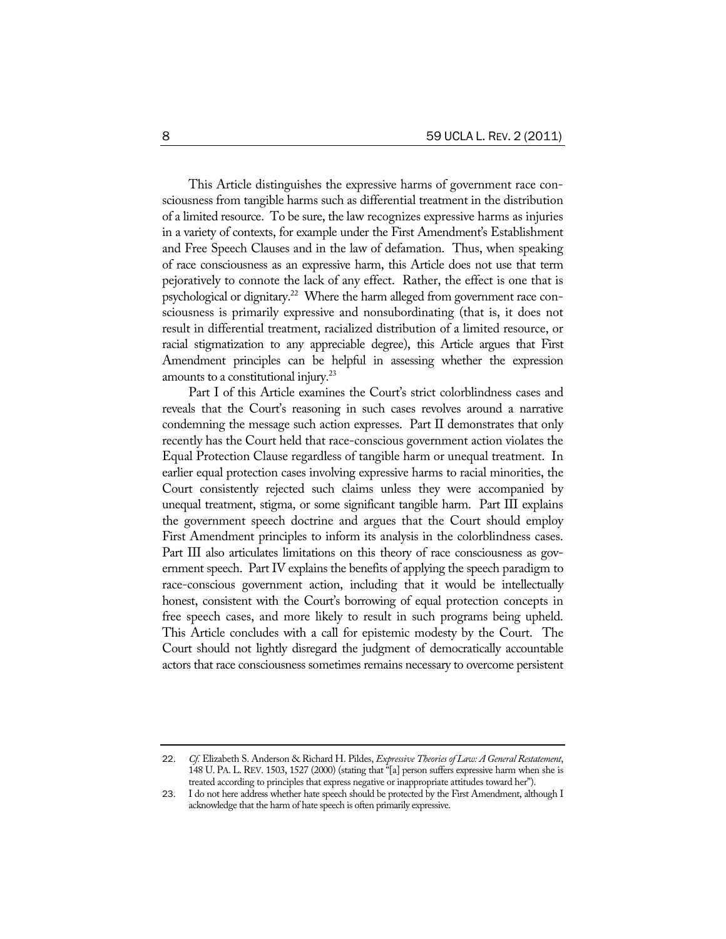This Article distinguishes the expressive harms of government race consciousness from tangible harms such as differential treatment in the distribution of a limited resource. To be sure, the law recognizes expressive harms as injuries in a variety of contexts, for example under the First Amendment's Establishment and Free Speech Clauses and in the law of defamation. Thus, when speaking of race consciousness as an expressive harm, this Article does not use that term pejoratively to connote the lack of any effect. Rather, the effect is one that is psychological or dignitary.<sup>22</sup> Where the harm alleged from government race consciousness is primarily expressive and nonsubordinating (that is, it does not result in differential treatment, racialized distribution of a limited resource, or racial stigmatization to any appreciable degree), this Article argues that First Amendment principles can be helpful in assessing whether the expression amounts to a constitutional injury.<sup>23</sup>

Part I of this Article examines the Court's strict colorblindness cases and reveals that the Court's reasoning in such cases revolves around a narrative condemning the message such action expresses. Part II demonstrates that only recently has the Court held that race-conscious government action violates the Equal Protection Clause regardless of tangible harm or unequal treatment. In earlier equal protection cases involving expressive harms to racial minorities, the Court consistently rejected such claims unless they were accompanied by unequal treatment, stigma, or some significant tangible harm. Part III explains the government speech doctrine and argues that the Court should employ First Amendment principles to inform its analysis in the colorblindness cases. Part III also articulates limitations on this theory of race consciousness as government speech. Part IV explains the benefits of applying the speech paradigm to race-conscious government action, including that it would be intellectually honest, consistent with the Court's borrowing of equal protection concepts in free speech cases, and more likely to result in such programs being upheld. This Article concludes with a call for epistemic modesty by the Court. The Court should not lightly disregard the judgment of democratically accountable actors that race consciousness sometimes remains necessary to overcome persistent

<sup>22</sup>. *Cf.* Elizabeth S. Anderson & Richard H. Pildes, *Expressive Theories of Law: A General Restatement*, 148 U. PA. L. REV. 1503, 1527 (2000) (stating that "[a] person suffers expressive harm when she is treated according to principles that express negative or inappropriate attitudes toward her").

<sup>23</sup>. I do not here address whether hate speech should be protected by the First Amendment, although I acknowledge that the harm of hate speech is often primarily expressive.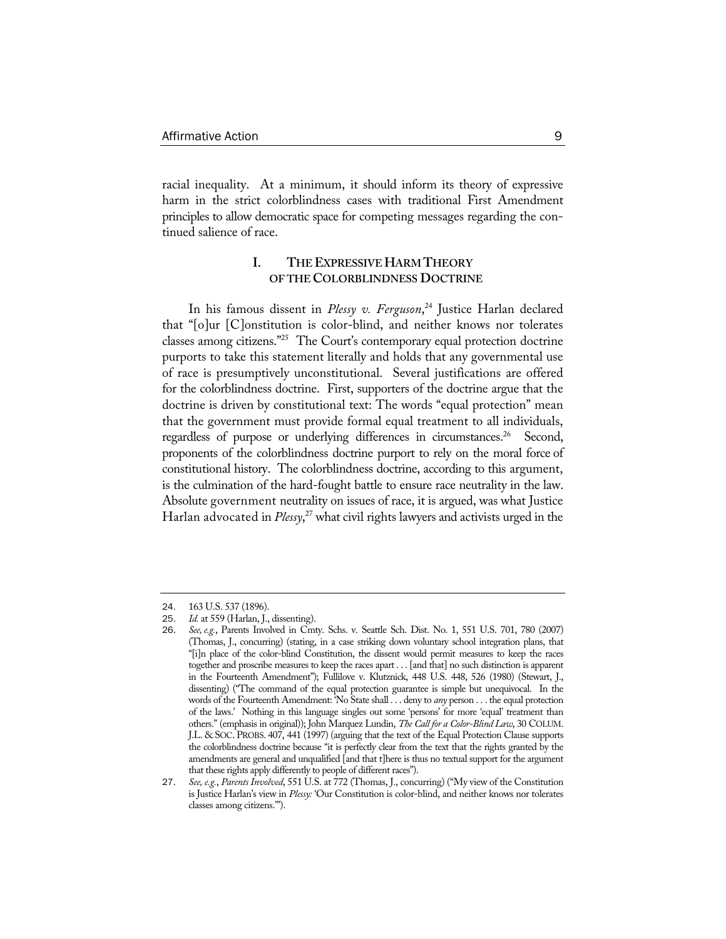racial inequality. At a minimum, it should inform its theory of expressive harm in the strict colorblindness cases with traditional First Amendment principles to allow democratic space for competing messages regarding the continued salience of race.

# **I. THE EXPRESSIVE HARM THEORY OF THE COLORBLINDNESS DOCTRINE**

In his famous dissent in *Plessy v. Ferguson*, 24 Justice Harlan declared that "[o]ur [C]onstitution is color-blind, and neither knows nor tolerates classes among citizens."25 The Court's contemporary equal protection doctrine purports to take this statement literally and holds that any governmental use of race is presumptively unconstitutional. Several justifications are offered for the colorblindness doctrine. First, supporters of the doctrine argue that the doctrine is driven by constitutional text: The words "equal protection" mean that the government must provide formal equal treatment to all individuals, regardless of purpose or underlying differences in circumstances.<sup>26</sup> Second, proponents of the colorblindness doctrine purport to rely on the moral force of constitutional history. The colorblindness doctrine, according to this argument, is the culmination of the hard-fought battle to ensure race neutrality in the law. Absolute government neutrality on issues of race, it is argued, was what Justice Harlan advocated in *Plessy*, 27 what civil rights lawyers and activists urged in the

<sup>24</sup>. 163 U.S. 537 (1896).

<sup>25</sup>. *Id.* at 559 (Harlan, J., dissenting).

<sup>26</sup>. *See, e.g.*, Parents Involved in Cmty. Schs. v. Seattle Sch. Dist. No. 1, 551 U.S. 701, 780 (2007) (Thomas, J., concurring) (stating, in a case striking down voluntary school integration plans, that "[i]n place of the color-blind Constitution, the dissent would permit measures to keep the races together and proscribe measures to keep the races apart . . . [and that] no such distinction is apparent in the Fourteenth Amendment"); Fullilove v. Klutznick, 448 U.S. 448, 526 (1980) (Stewart, J., dissenting) ("The command of the equal protection guarantee is simple but unequivocal. In the words of the Fourteenth Amendment: 'No State shall . . . deny to *any* person . . . the equal protection of the laws.' Nothing in this language singles out some 'persons' for more 'equal' treatment than others." (emphasis in original)); John Marquez Lundin, *The Call for a Color-Blind Law*, 30 COLUM. J.L. & SOC. PROBS. 407, 441 (1997) (arguing that the text of the Equal Protection Clause supports the colorblindness doctrine because "it is perfectly clear from the text that the rights granted by the amendments are general and unqualified [and that t]here is thus no textual support for the argument that these rights apply differently to people of different races").

<sup>27</sup>. *See, e.g.*, *Parents Involved*, 551 U.S. at 772 (Thomas, J., concurring) ("My view of the Constitution is Justice Harlan's view in *Plessy:* 'Our Constitution is color-blind, and neither knows nor tolerates classes among citizens.'").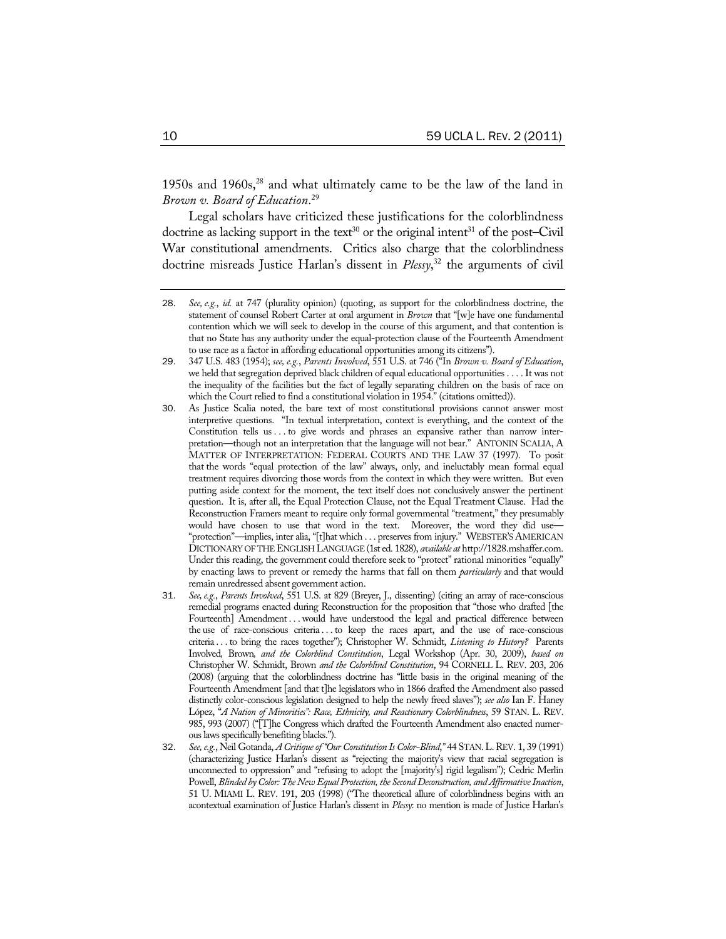1950s and 1960s,<sup>28</sup> and what ultimately came to be the law of the land in *Brown v. Board of Education*. 29

Legal scholars have criticized these justifications for the colorblindness doctrine as lacking support in the text<sup>30</sup> or the original intent<sup>31</sup> of the post–Civil War constitutional amendments. Critics also charge that the colorblindness doctrine misreads Justice Harlan's dissent in *Plessy*, 32 the arguments of civil

- 31. *See, e.g.*, *Parents Involved*, 551 U.S. at 829 (Breyer, J., dissenting) (citing an array of race-conscious remedial programs enacted during Reconstruction for the proposition that "those who drafted [the Fourteenth] Amendment . . . would have understood the legal and practical difference between the use of race-conscious criteria . . . to keep the races apart, and the use of race-conscious criteria . . . to bring the races together"); Christopher W. Schmidt, *Listening to History?* Parents Involved*,* Brown*, and the Colorblind Constitution*, Legal Workshop (Apr. 30, 2009), *based on* Christopher W. Schmidt, Brown *and the Colorblind Constitution*, 94 CORNELL L. REV. 203, 206 (2008) (arguing that the colorblindness doctrine has "little basis in the original meaning of the Fourteenth Amendment [and that t]he legislators who in 1866 drafted the Amendment also passed distinctly color-conscious legislation designed to help the newly freed slaves"); *see also* Ian F. Haney López, "*A Nation of Minorities": Race, Ethnicity, and Reactionary Colorblindness*, 59 STAN. L. REV. 985, 993 (2007) ("[T]he Congress which drafted the Fourteenth Amendment also enacted numerous laws specifically benefiting blacks.").
- 32. *See, e.g.*, Neil Gotanda, *A Critique of "Our Constitution Is Color-Blind*,*"* 44 STAN.L.REV. 1, 39 (1991) (characterizing Justice Harlan's dissent as "rejecting the majority's view that racial segregation is unconnected to oppression" and "refusing to adopt the [majority's] rigid legalism"); Cedric Merlin Powell, *Blinded by Color: The New Equal Protection, the Second Deconstruction, and Affirmative Inaction*, 51 U. MIAMI L. REV. 191, 203 (1998) ("The theoretical allure of colorblindness begins with an acontextual examination of Justice Harlan's dissent in *Plessy*: no mention is made of Justice Harlan's

<sup>28</sup>. *See, e.g.*, *id.* at 747 (plurality opinion) (quoting, as support for the colorblindness doctrine, the statement of counsel Robert Carter at oral argument in *Brown* that "[w]e have one fundamental contention which we will seek to develop in the course of this argument, and that contention is that no State has any authority under the equal-protection clause of the Fourteenth Amendment to use race as a factor in affording educational opportunities among its citizens").

<sup>29</sup>. 347 U.S. 483 (1954); *see, e.g.*, *Parents Involved*, 551 U.S. at 746 ("In *Brown v. Board of Education*, we held that segregation deprived black children of equal educational opportunities . . . . It was not the inequality of the facilities but the fact of legally separating children on the basis of race on which the Court relied to find a constitutional violation in 1954." (citations omitted)).

<sup>30</sup>. As Justice Scalia noted, the bare text of most constitutional provisions cannot answer most interpretive questions. "In textual interpretation, context is everything, and the context of the Constitution tells us . . . to give words and phrases an expansive rather than narrow interpretation—though not an interpretation that the language will not bear." ANTONIN SCALIA, A MATTER OF INTERPRETATION: FEDERAL COURTS AND THE LAW 37 (1997). To posit that the words "equal protection of the law" always, only, and ineluctably mean formal equal treatment requires divorcing those words from the context in which they were written. But even putting aside context for the moment, the text itself does not conclusively answer the pertinent question. It is, after all, the Equal Protection Clause, not the Equal Treatment Clause. Had the Reconstruction Framers meant to require only formal governmental "treatment," they presumably would have chosen to use that word in the text. Moreover, the word they did use— "protection"—implies, inter alia, "[t]hat which . . . preserves from injury." WEBSTER'S AMERICAN DICTIONARY OF THE ENGLISH LANGUAGE (1st ed. 1828), *available at* http://1828.mshaffer.com. Under this reading, the government could therefore seek to "protect" rational minorities "equally" by enacting laws to prevent or remedy the harms that fall on them *particularly* and that would remain unredressed absent government action.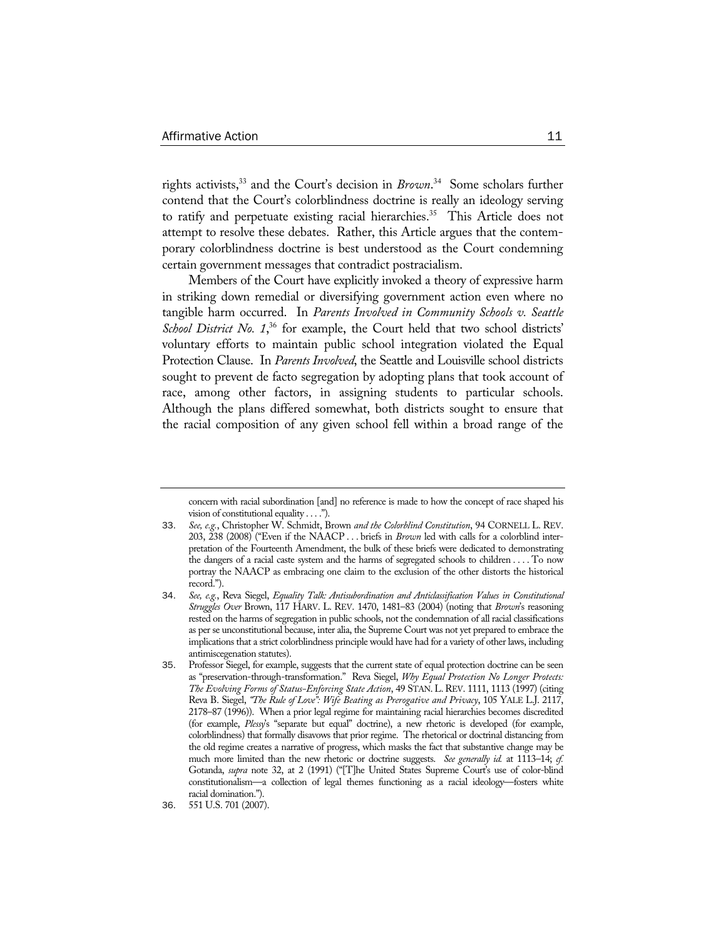rights activists,33 and the Court's decision in *Brown*. 34 Some scholars further contend that the Court's colorblindness doctrine is really an ideology serving to ratify and perpetuate existing racial hierarchies.<sup>35</sup> This Article does not attempt to resolve these debates. Rather, this Article argues that the contemporary colorblindness doctrine is best understood as the Court condemning certain government messages that contradict postracialism.

Members of the Court have explicitly invoked a theory of expressive harm in striking down remedial or diversifying government action even where no tangible harm occurred. In *Parents Involved in Community Schools v. Seattle*  School District No. 1,<sup>36</sup> for example, the Court held that two school districts' voluntary efforts to maintain public school integration violated the Equal Protection Clause. In *Parents Involved*, the Seattle and Louisville school districts sought to prevent de facto segregation by adopting plans that took account of race, among other factors, in assigning students to particular schools. Although the plans differed somewhat, both districts sought to ensure that the racial composition of any given school fell within a broad range of the

concern with racial subordination [and] no reference is made to how the concept of race shaped his vision of constitutional equality . . . .").

<sup>33</sup>. *See, e.g.*, Christopher W. Schmidt, Brown *and the Colorblind Constitution*, 94 CORNELL L. REV. 203, 238 (2008) ("Even if the NAACP . . . briefs in *Brown* led with calls for a colorblind interpretation of the Fourteenth Amendment, the bulk of these briefs were dedicated to demonstrating the dangers of a racial caste system and the harms of segregated schools to children . . . . To now portray the NAACP as embracing one claim to the exclusion of the other distorts the historical record.").

<sup>34</sup>. *See, e.g.*, Reva Siegel, *Equality Talk: Antisubordination and Anticlassification Values in Constitutional Struggles Over* Brown, 117 HARV. L. REV. 1470, 1481–83 (2004) (noting that *Brown*'s reasoning rested on the harms of segregation in public schools, not the condemnation of all racial classifications as per se unconstitutional because, inter alia, the Supreme Court was not yet prepared to embrace the implications that a strict colorblindness principle would have had for a variety of other laws, including antimiscegenation statutes).

<sup>35</sup>. Professor Siegel, for example, suggests that the current state of equal protection doctrine can be seen as "preservation-through-transformation." Reva Siegel, *Why Equal Protection No Longer Protects: The Evolving Forms of Status-Enforcing State Action*, 49 STAN. L. REV. 1111, 1113 (1997) (citing Reva B. Siegel, *"The Rule of Love": Wife Beating as Prerogative and Privacy*, 105 YALE L.J. 2117, 2178–87 (1996)). When a prior legal regime for maintaining racial hierarchies becomes discredited (for example, *Plessy*'s "separate but equal" doctrine), a new rhetoric is developed (for example, colorblindness) that formally disavows that prior regime. The rhetorical or doctrinal distancing from the old regime creates a narrative of progress, which masks the fact that substantive change may be much more limited than the new rhetoric or doctrine suggests. *See generally id.* at 1113–14; *cf.*  Gotanda, *supra* note 32, at 2 (1991) ("[T]he United States Supreme Court's use of color-blind constitutionalism—a collection of legal themes functioning as a racial ideology—fosters white racial domination.").

<sup>36</sup>. 551 U.S. 701 (2007).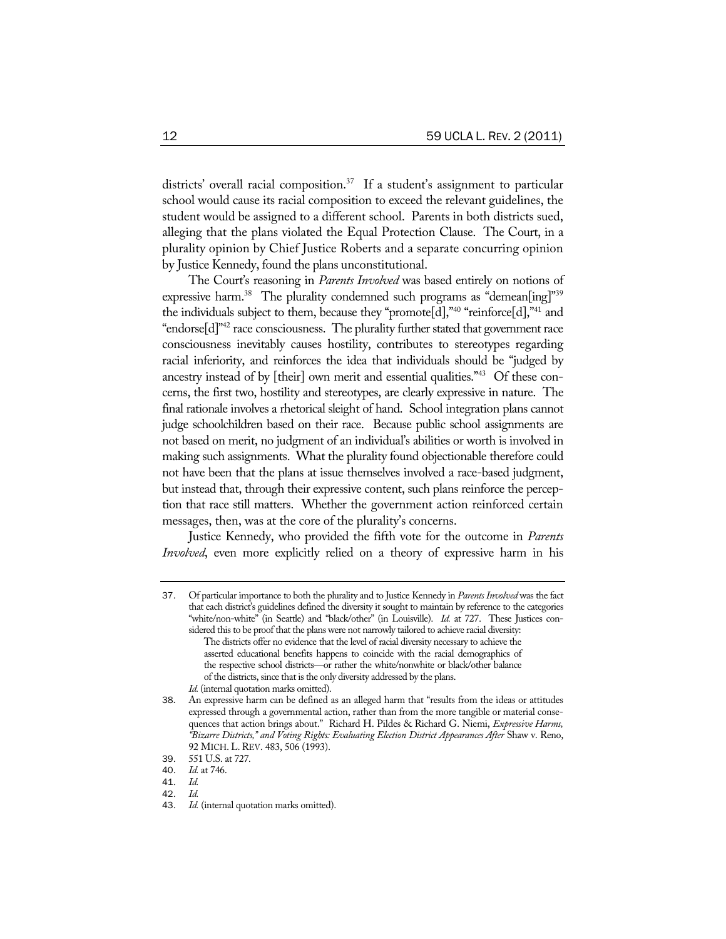districts' overall racial composition.<sup>37</sup> If a student's assignment to particular school would cause its racial composition to exceed the relevant guidelines, the student would be assigned to a different school. Parents in both districts sued, alleging that the plans violated the Equal Protection Clause. The Court, in a plurality opinion by Chief Justice Roberts and a separate concurring opinion by Justice Kennedy, found the plans unconstitutional.

The Court's reasoning in *Parents Involved* was based entirely on notions of expressive harm.<sup>38</sup> The plurality condemned such programs as "demean[ing]"<sup>39</sup> the individuals subject to them, because they "promote[d],"40 "reinforce[d],"41 and "endorse $[d]^{m2}$  race consciousness. The plurality further stated that government race consciousness inevitably causes hostility, contributes to stereotypes regarding racial inferiority, and reinforces the idea that individuals should be "judged by ancestry instead of by [their] own merit and essential qualities."43 Of these concerns, the first two, hostility and stereotypes, are clearly expressive in nature. The final rationale involves a rhetorical sleight of hand. School integration plans cannot judge schoolchildren based on their race. Because public school assignments are not based on merit, no judgment of an individual's abilities or worth is involved in making such assignments. What the plurality found objectionable therefore could not have been that the plans at issue themselves involved a race-based judgment, but instead that, through their expressive content, such plans reinforce the perception that race still matters. Whether the government action reinforced certain messages, then, was at the core of the plurality's concerns.

Justice Kennedy, who provided the fifth vote for the outcome in *Parents Involved*, even more explicitly relied on a theory of expressive harm in his

<sup>37</sup>. Of particular importance to both the plurality and to Justice Kennedy in *Parents Involved* was the fact that each district's guidelines defined the diversity it sought to maintain by reference to the categories "white/non-white" (in Seattle) and "black/other" (in Louisville). *Id.* at 727. These Justices considered this to be proof that the plans were not narrowly tailored to achieve racial diversity:

The districts offer no evidence that the level of racial diversity necessary to achieve the asserted educational benefits happens to coincide with the racial demographics of the respective school districts—or rather the white/nonwhite or black/other balance of the districts, since that is the only diversity addressed by the plans.

*Id.* (internal quotation marks omitted).

<sup>38.</sup> An expressive harm can be defined as an alleged harm that "results from the ideas or attitudes expressed through a governmental action, rather than from the more tangible or material consequences that action brings about." Richard H. Pildes & Richard G. Niemi, *Expressive Harms, "Bizarre Districts," and Voting Rights: Evaluating Election District Appearances After* Shaw v. Reno, 92 MICH. L. REV. 483, 506 (1993).

<sup>39</sup>. 551 U.S. at 727*.*

*Id.* at 746.<br>*Id.* 

<sup>41</sup>. *Id.*

<sup>42</sup>. *Id.*

<sup>43</sup>. *Id.* (internal quotation marks omitted).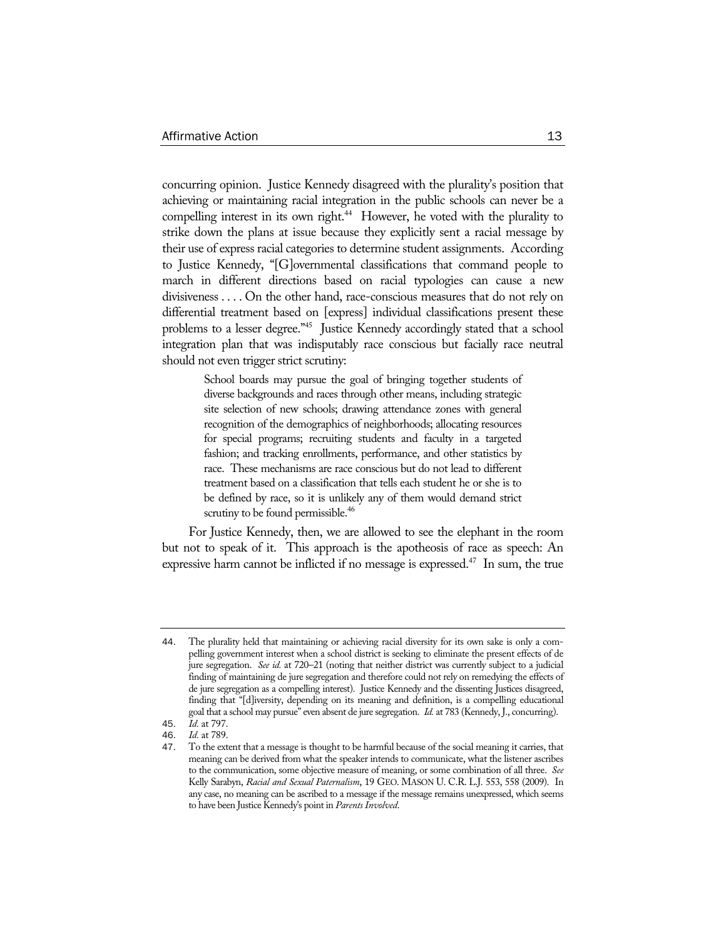concurring opinion. Justice Kennedy disagreed with the plurality's position that achieving or maintaining racial integration in the public schools can never be a compelling interest in its own right.<sup>44</sup> However, he voted with the plurality to strike down the plans at issue because they explicitly sent a racial message by their use of express racial categories to determine student assignments. According to Justice Kennedy, "[G]overnmental classifications that command people to march in different directions based on racial typologies can cause a new divisiveness . . . . On the other hand, race-conscious measures that do not rely on differential treatment based on [express] individual classifications present these problems to a lesser degree."<sup>45</sup> Justice Kennedy accordingly stated that a school integration plan that was indisputably race conscious but facially race neutral should not even trigger strict scrutiny:

> School boards may pursue the goal of bringing together students of diverse backgrounds and races through other means, including strategic site selection of new schools; drawing attendance zones with general recognition of the demographics of neighborhoods; allocating resources for special programs; recruiting students and faculty in a targeted fashion; and tracking enrollments, performance, and other statistics by race. These mechanisms are race conscious but do not lead to different treatment based on a classification that tells each student he or she is to be defined by race, so it is unlikely any of them would demand strict scrutiny to be found permissible.<sup>46</sup>

For Justice Kennedy, then, we are allowed to see the elephant in the room but not to speak of it. This approach is the apotheosis of race as speech: An expressive harm cannot be inflicted if no message is expressed.<sup>47</sup> In sum, the true

<sup>44</sup>. The plurality held that maintaining or achieving racial diversity for its own sake is only a compelling government interest when a school district is seeking to eliminate the present effects of de jure segregation. *See id.* at 720–21 (noting that neither district was currently subject to a judicial finding of maintaining de jure segregation and therefore could not rely on remedying the effects of de jure segregation as a compelling interest). Justice Kennedy and the dissenting Justices disagreed, finding that "[d]iversity, depending on its meaning and definition, is a compelling educational goal that a school may pursue" even absent de jure segregation. *Id.* at 783 (Kennedy, J., concurring).

<sup>45</sup>. *Id.* at 797.

<sup>46</sup>. *Id.* at 789.

<sup>47</sup>. To the extent that a message is thought to be harmful because of the social meaning it carries, that meaning can be derived from what the speaker intends to communicate, what the listener ascribes to the communication, some objective measure of meaning, or some combination of all three. *See* Kelly Sarabyn, *Racial and Sexual Paternalism*, 19 GEO. MASON U. C.R. L.J. 553, 558 (2009). In any case, no meaning can be ascribed to a message if the message remains unexpressed, which seems to have been Justice Kennedy's point in *Parents Involved*.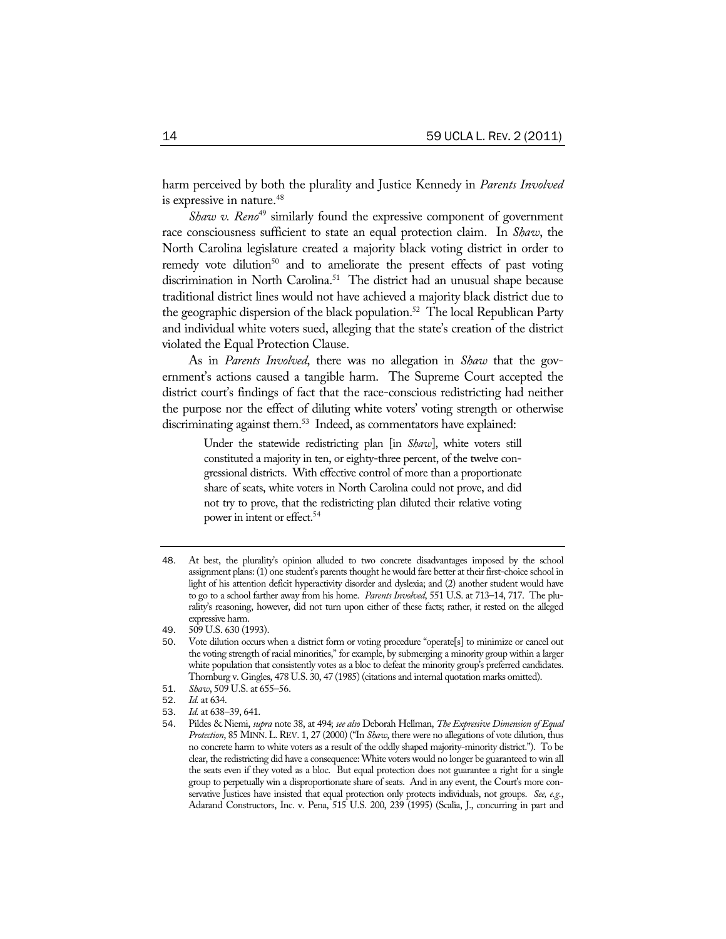harm perceived by both the plurality and Justice Kennedy in *Parents Involved* is expressive in nature.<sup>48</sup>

*Shaw v. Reno<sup>49</sup>* similarly found the expressive component of government race consciousness sufficient to state an equal protection claim. In *Shaw*, the North Carolina legislature created a majority black voting district in order to remedy vote dilution<sup>50</sup> and to ameliorate the present effects of past voting discrimination in North Carolina.<sup>51</sup> The district had an unusual shape because traditional district lines would not have achieved a majority black district due to the geographic dispersion of the black population.<sup>52</sup> The local Republican Party and individual white voters sued, alleging that the state's creation of the district violated the Equal Protection Clause.

As in *Parents Involved*, there was no allegation in *Shaw* that the government's actions caused a tangible harm. The Supreme Court accepted the district court's findings of fact that the race-conscious redistricting had neither the purpose nor the effect of diluting white voters' voting strength or otherwise discriminating against them.<sup>53</sup> Indeed, as commentators have explained:

> Under the statewide redistricting plan [in *Shaw*], white voters still constituted a majority in ten, or eighty-three percent, of the twelve congressional districts. With effective control of more than a proportionate share of seats, white voters in North Carolina could not prove, and did not try to prove, that the redistricting plan diluted their relative voting power in intent or effect.<sup>54</sup>

- 50. Vote dilution occurs when a district form or voting procedure "operate[s] to minimize or cancel out the voting strength of racial minorities," for example, by submerging a minority group within a larger white population that consistently votes as a bloc to defeat the minority group's preferred candidates. Thornburg v. Gingles, 478 U.S. 30, 47 (1985) (citations and internal quotation marks omitted).
- 51. *Shaw*, 509 U.S. at 655–56.
- 52. *Id.* at 634.
- 53. *Id.* at 638–39, 641.

<sup>48</sup>. At best, the plurality's opinion alluded to two concrete disadvantages imposed by the school assignment plans: (1) one student's parents thought he would fare better at their first-choice school in light of his attention deficit hyperactivity disorder and dyslexia; and (2) another student would have to go to a school farther away from his home. *Parents Involved*, 551 U.S. at 713–14, 717. The plurality's reasoning, however, did not turn upon either of these facts; rather, it rested on the alleged expressive harm.

<sup>49</sup>. 509 U.S. 630 (1993).

<sup>54</sup>. Pildes & Niemi, *supra* note 38, at 494; *see also* Deborah Hellman, *The Expressive Dimension of Equal Protection*, 85 MINN.L.REV. 1, 27 (2000) ("In *Shaw*, there were no allegations of vote dilution, thus no concrete harm to white voters as a result of the oddly shaped majority-minority district."). To be clear, the redistricting did have a consequence: White voters would no longer be guaranteed to win all the seats even if they voted as a bloc. But equal protection does not guarantee a right for a single group to perpetually win a disproportionate share of seats. And in any event, the Court's more conservative Justices have insisted that equal protection only protects individuals, not groups. *See, e.g.*, Adarand Constructors, Inc. v. Pena, 515 U.S. 200, 239 (1995) (Scalia, J., concurring in part and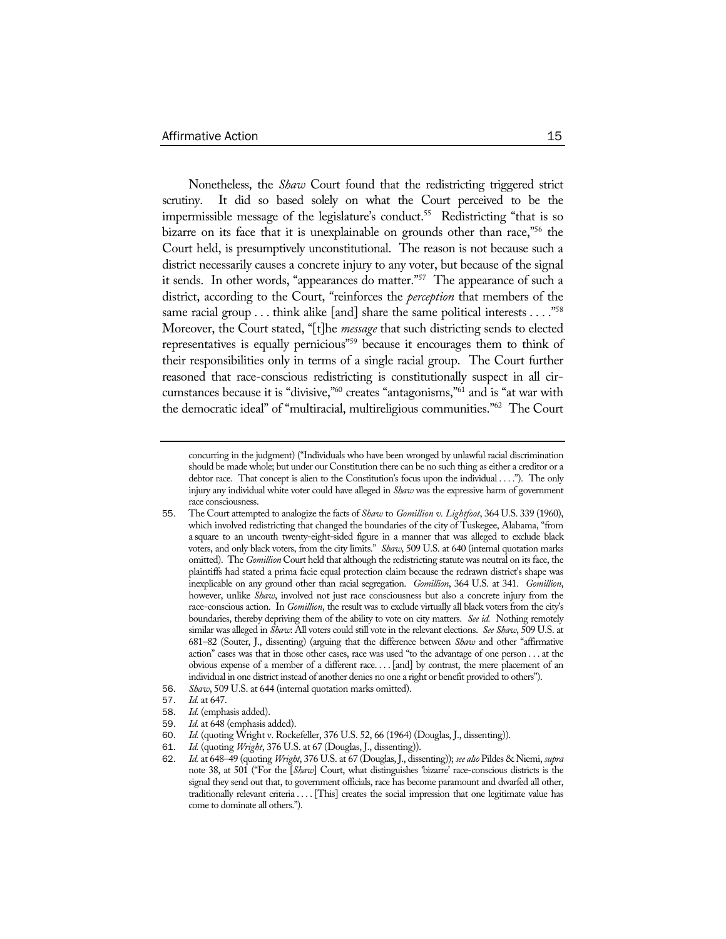Nonetheless, the *Shaw* Court found that the redistricting triggered strict scrutiny. It did so based solely on what the Court perceived to be the impermissible message of the legislature's conduct.<sup>55</sup> Redistricting "that is so bizarre on its face that it is unexplainable on grounds other than race,<sup>756</sup> the Court held, is presumptively unconstitutional. The reason is not because such a district necessarily causes a concrete injury to any voter, but because of the signal it sends. In other words, "appearances do matter."57 The appearance of such a district, according to the Court, "reinforces the *perception* that members of the same racial group . . . think alike [and] share the same political interests . . . . "<sup>58</sup> Moreover, the Court stated, "[t]he *message* that such districting sends to elected representatives is equally pernicious<sup>759</sup> because it encourages them to think of their responsibilities only in terms of a single racial group. The Court further reasoned that race-conscious redistricting is constitutionally suspect in all circumstances because it is "divisive,"60 creates "antagonisms,"61 and is "at war with the democratic ideal" of "multiracial, multireligious communities."62 The Court

- 56. *Shaw*, 509 U.S. at 644 (internal quotation marks omitted).
- 57. *Id.* at 647.
- 58. *Id.* (emphasis added).
- 59. *Id.* at 648 (emphasis added).
- 60. *Id.* (quoting Wright v. Rockefeller, 376 U.S. 52, 66 (1964) (Douglas, J., dissenting)).
- 61. *Id.* (quoting *Wright*, 376 U.S. at 67 (Douglas, J., dissenting)).

concurring in the judgment) ("Individuals who have been wronged by unlawful racial discrimination should be made whole; but under our Constitution there can be no such thing as either a creditor or a debtor race. That concept is alien to the Constitution's focus upon the individual . . . ."). The only injury any individual white voter could have alleged in *Shaw* was the expressive harm of government race consciousness.

<sup>55</sup>. The Court attempted to analogize the facts of *Shaw* to *Gomillion v. Lightfoot*, 364 U.S. 339 (1960), which involved redistricting that changed the boundaries of the city of Tuskegee, Alabama, "from a square to an uncouth twenty-eight-sided figure in a manner that was alleged to exclude black voters, and only black voters, from the city limits." *Shaw*, 509 U.S. at 640 (internal quotation marks omitted). The *Gomillion* Court held that although the redistricting statute was neutral on its face, the plaintiffs had stated a prima facie equal protection claim because the redrawn district's shape was inexplicable on any ground other than racial segregation. *Gomillion*, 364 U.S. at 341. *Gomillion*, however, unlike *Shaw*, involved not just race consciousness but also a concrete injury from the race-conscious action. In *Gomillion*, the result was to exclude virtually all black voters from the city's boundaries, thereby depriving them of the ability to vote on city matters. *See id.* Nothing remotely similar was alleged in *Shaw*: All voters could still vote in the relevant elections. *See Shaw*, 509 U.S. at 681–82 (Souter, J., dissenting) (arguing that the difference between *Shaw* and other "affirmative action" cases was that in those other cases, race was used "to the advantage of one person . . . at the obvious expense of a member of a different race. . . . [and] by contrast, the mere placement of an individual in one district instead of another denies no one a right or benefit provided to others").

<sup>62</sup>. *Id.* at 648–49 (quoting *Wright*, 376 U.S. at 67 (Douglas, J., dissenting)); *see also* Pildes & Niemi, *supra*  note 38, at 501 ("For the [*Shaw*] Court, what distinguishes 'bizarre' race-conscious districts is the signal they send out that, to government officials, race has become paramount and dwarfed all other, traditionally relevant criteria . . . . [This] creates the social impression that one legitimate value has come to dominate all others.").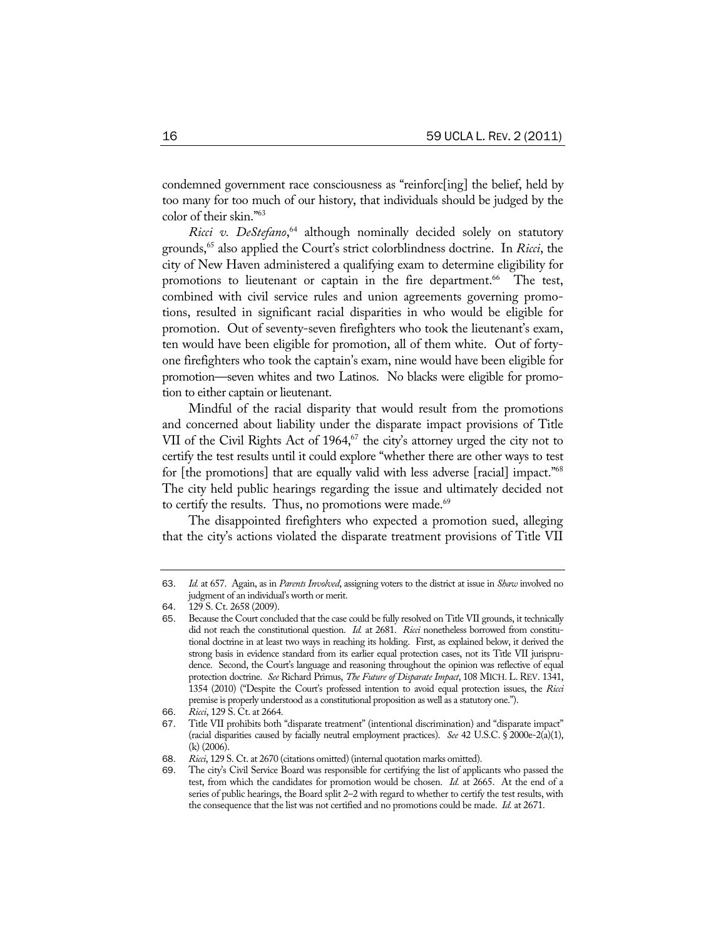condemned government race consciousness as "reinforc[ing] the belief, held by too many for too much of our history, that individuals should be judged by the color of their skin."63

*Ricci v. DeStefano*, 64 although nominally decided solely on statutory grounds,65 also applied the Court's strict colorblindness doctrine. In *Ricci*, the city of New Haven administered a qualifying exam to determine eligibility for promotions to lieutenant or captain in the fire department.<sup>66</sup> The test, combined with civil service rules and union agreements governing promotions, resulted in significant racial disparities in who would be eligible for promotion. Out of seventy-seven firefighters who took the lieutenant's exam, ten would have been eligible for promotion, all of them white. Out of fortyone firefighters who took the captain's exam, nine would have been eligible for promotion—seven whites and two Latinos. No blacks were eligible for promotion to either captain or lieutenant.

Mindful of the racial disparity that would result from the promotions and concerned about liability under the disparate impact provisions of Title VII of the Civil Rights Act of  $1964$ ,<sup>67</sup> the city's attorney urged the city not to certify the test results until it could explore "whether there are other ways to test for [the promotions] that are equally valid with less adverse [racial] impact."68 The city held public hearings regarding the issue and ultimately decided not to certify the results. Thus, no promotions were made.<sup>69</sup>

The disappointed firefighters who expected a promotion sued, alleging that the city's actions violated the disparate treatment provisions of Title VII

<sup>63</sup>. *Id.* at 657. Again, as in *Parents Involved*, assigning voters to the district at issue in *Shaw* involved no judgment of an individual's worth or merit.

<sup>64</sup>. 129 S. Ct. 2658 (2009).

<sup>65</sup>. Because the Court concluded that the case could be fully resolved on Title VII grounds, it technically did not reach the constitutional question. *Id.* at 2681. *Ricci* nonetheless borrowed from constitutional doctrine in at least two ways in reaching its holding. First, as explained below, it derived the strong basis in evidence standard from its earlier equal protection cases, not its Title VII jurisprudence. Second, the Court's language and reasoning throughout the opinion was reflective of equal protection doctrine. *See* Richard Primus, *The Future of Disparate Impact*, 108 MICH. L. REV. 1341, 1354 (2010) ("Despite the Court's professed intention to avoid equal protection issues, the *Ricci* premise is properly understood as a constitutional proposition as well as a statutory one.").

<sup>66</sup>. *Ricci*, 129 S. Ct. at 2664.

<sup>67</sup>. Title VII prohibits both "disparate treatment" (intentional discrimination) and "disparate impact" (racial disparities caused by facially neutral employment practices). *See* 42 U.S.C. § 2000e-2(a)(1), (k) (2006).

<sup>68</sup>. *Ricci*, 129 S. Ct. at 2670 (citations omitted) (internal quotation marks omitted).

The city's Civil Service Board was responsible for certifying the list of applicants who passed the test, from which the candidates for promotion would be chosen. *Id.* at 2665. At the end of a series of public hearings, the Board split 2–2 with regard to whether to certify the test results, with the consequence that the list was not certified and no promotions could be made. *Id.* at 2671.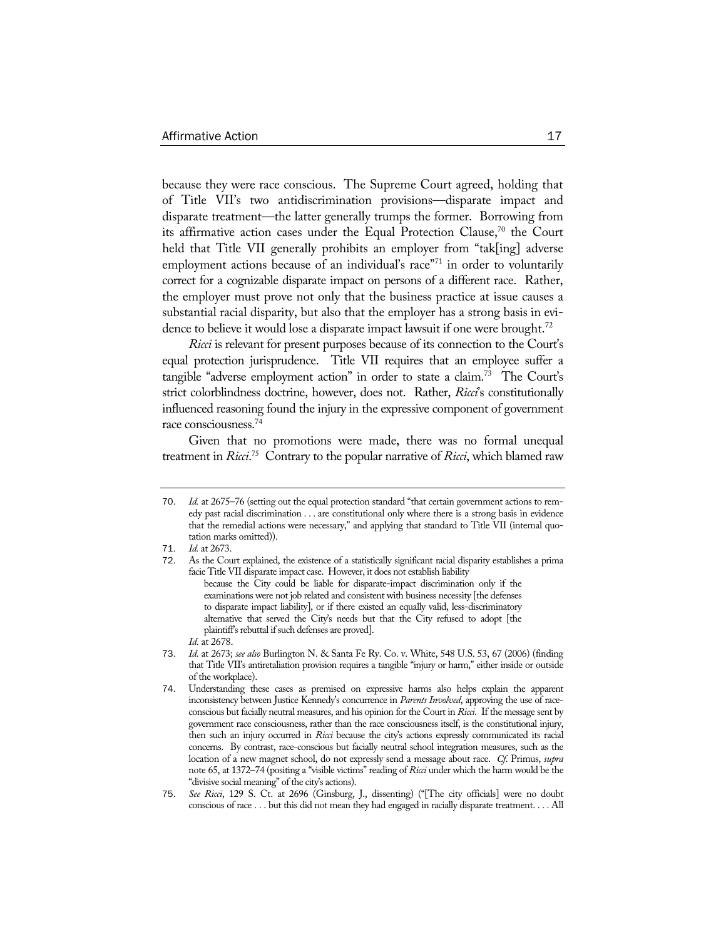because they were race conscious. The Supreme Court agreed, holding that of Title VII's two antidiscrimination provisions—disparate impact and disparate treatment—the latter generally trumps the former. Borrowing from its affirmative action cases under the Equal Protection Clause, $70$  the Court held that Title VII generally prohibits an employer from "tak[ing] adverse employment actions because of an individual's race"<sup>71</sup> in order to voluntarily correct for a cognizable disparate impact on persons of a different race. Rather, the employer must prove not only that the business practice at issue causes a substantial racial disparity, but also that the employer has a strong basis in evidence to believe it would lose a disparate impact lawsuit if one were brought.<sup>72</sup>

*Ricci* is relevant for present purposes because of its connection to the Court's equal protection jurisprudence. Title VII requires that an employee suffer a tangible "adverse employment action" in order to state a claim.<sup>73</sup> The Court's strict colorblindness doctrine, however, does not. Rather, *Ricci*'s constitutionally influenced reasoning found the injury in the expressive component of government race consciousness.74

Given that no promotions were made, there was no formal unequal treatment in *Ricci*. 75 Contrary to the popular narrative of *Ricci*, which blamed raw

<sup>70</sup>. *Id.* at 2675–76 (setting out the equal protection standard "that certain government actions to remedy past racial discrimination . . . are constitutional only where there is a strong basis in evidence that the remedial actions were necessary," and applying that standard to Title VII (internal quotation marks omitted)).

<sup>71</sup>. *Id.* at 2673.

<sup>72</sup>. As the Court explained, the existence of a statistically significant racial disparity establishes a prima facie Title VII disparate impact case. However, it does not establish liability because the City could be liable for disparate-impact discrimination only if the examinations were not job related and consistent with business necessity [the defenses to disparate impact liability], or if there existed an equally valid, less-discriminatory alternative that served the City's needs but that the City refused to adopt [the plaintiff's rebuttal if such defenses are proved].

*Id.* at 2678.

<sup>73</sup>. *Id.* at 2673; *see also* Burlington N. & Santa Fe Ry. Co. v. White, 548 U.S. 53, 67 (2006) (finding that Title VII's antiretaliation provision requires a tangible "injury or harm," either inside or outside of the workplace).

<sup>74</sup>. Understanding these cases as premised on expressive harms also helps explain the apparent inconsistency between Justice Kennedy's concurrence in *Parents Involved*, approving the use of raceconscious but facially neutral measures, and his opinion for the Court in *Ricci*. If the message sent by government race consciousness, rather than the race consciousness itself, is the constitutional injury, then such an injury occurred in *Ricci* because the city's actions expressly communicated its racial concerns. By contrast, race-conscious but facially neutral school integration measures, such as the location of a new magnet school, do not expressly send a message about race. *Cf.* Primus, *supra*  note 65, at 1372–74 (positing a "visible victims" reading of *Ricci* under which the harm would be the "divisive social meaning" of the city's actions).

<sup>75</sup>. *See Ricci*, 129 S. Ct. at 2696 (Ginsburg, J., dissenting) ("[The city officials] were no doubt conscious of race . . . but this did not mean they had engaged in racially disparate treatment. . . . All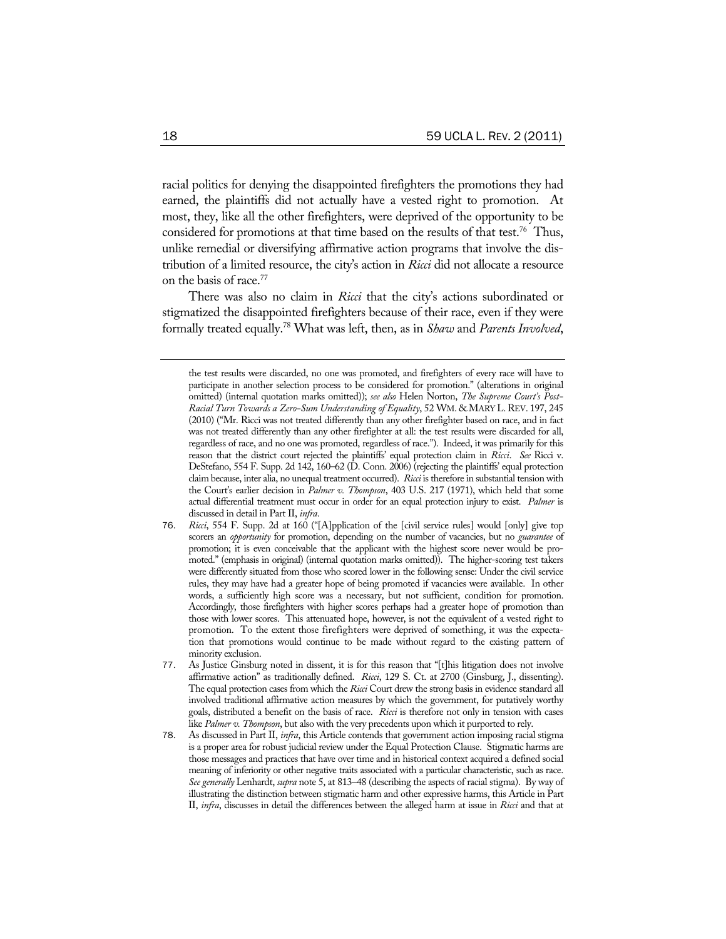racial politics for denying the disappointed firefighters the promotions they had earned, the plaintiffs did not actually have a vested right to promotion. At most, they, like all the other firefighters, were deprived of the opportunity to be considered for promotions at that time based on the results of that test.<sup>76</sup> Thus, unlike remedial or diversifying affirmative action programs that involve the distribution of a limited resource, the city's action in *Ricci* did not allocate a resource on the basis of race.77

There was also no claim in *Ricci* that the city's actions subordinated or stigmatized the disappointed firefighters because of their race, even if they were formally treated equally.78 What was left, then, as in *Shaw* and *Parents Involved*,

the test results were discarded, no one was promoted, and firefighters of every race will have to participate in another selection process to be considered for promotion." (alterations in original omitted) (internal quotation marks omitted)); *see also* Helen Norton, *The Supreme Court's Post-*Racial Turn Towards a Zero-Sum Understanding of Equality, 52 WM. &MARY L. REV. 197, 245 (2010) ("Mr. Ricci was not treated differently than any other firefighter based on race, and in fact was not treated differently than any other firefighter at all: the test results were discarded for all, regardless of race, and no one was promoted, regardless of race."). Indeed, it was primarily for this reason that the district court rejected the plaintiffs' equal protection claim in *Ricci*. *See* Ricci v. DeStefano, 554 F. Supp. 2d 142, 160–62 (D. Conn. 2006) (rejecting the plaintiffs' equal protection claim because, inter alia, no unequal treatment occurred). *Ricci* is therefore in substantial tension with the Court's earlier decision in *Palmer v. Thompson*, 403 U.S. 217 (1971), which held that some actual differential treatment must occur in order for an equal protection injury to exist. *Palmer* is discussed in detail in Part II, *infra*.

<sup>76</sup>. *Ricci*, 554 F. Supp. 2d at 160 ("[A]pplication of the [civil service rules] would [only] give top scorers an *opportunity* for promotion, depending on the number of vacancies, but no *guarantee* of promotion; it is even conceivable that the applicant with the highest score never would be promoted." (emphasis in original) (internal quotation marks omitted)). The higher-scoring test takers were differently situated from those who scored lower in the following sense: Under the civil service rules, they may have had a greater hope of being promoted if vacancies were available. In other words, a sufficiently high score was a necessary, but not sufficient, condition for promotion. Accordingly, those firefighters with higher scores perhaps had a greater hope of promotion than those with lower scores. This attenuated hope, however, is not the equivalent of a vested right to promotion. To the extent those firefighters were deprived of something, it was the expectation that promotions would continue to be made without regard to the existing pattern of minority exclusion.

<sup>77</sup>. As Justice Ginsburg noted in dissent, it is for this reason that "[t]his litigation does not involve affirmative action" as traditionally defined. *Ricci*, 129 S. Ct. at 2700 (Ginsburg, J., dissenting). The equal protection cases from which the *Ricci* Court drew the strong basis in evidence standard all involved traditional affirmative action measures by which the government, for putatively worthy goals, distributed a benefit on the basis of race. *Ricci* is therefore not only in tension with cases like *Palmer v. Thompson*, but also with the very precedents upon which it purported to rely.

<sup>78</sup>. As discussed in Part II, *infra*, this Article contends that government action imposing racial stigma is a proper area for robust judicial review under the Equal Protection Clause. Stigmatic harms are those messages and practices that have over time and in historical context acquired a defined social meaning of inferiority or other negative traits associated with a particular characteristic, such as race. *See generally* Lenhardt, *supra* note 5, at 813–48 (describing the aspects of racial stigma). By way of illustrating the distinction between stigmatic harm and other expressive harms, this Article in Part II, *infra*, discusses in detail the differences between the alleged harm at issue in *Ricci* and that at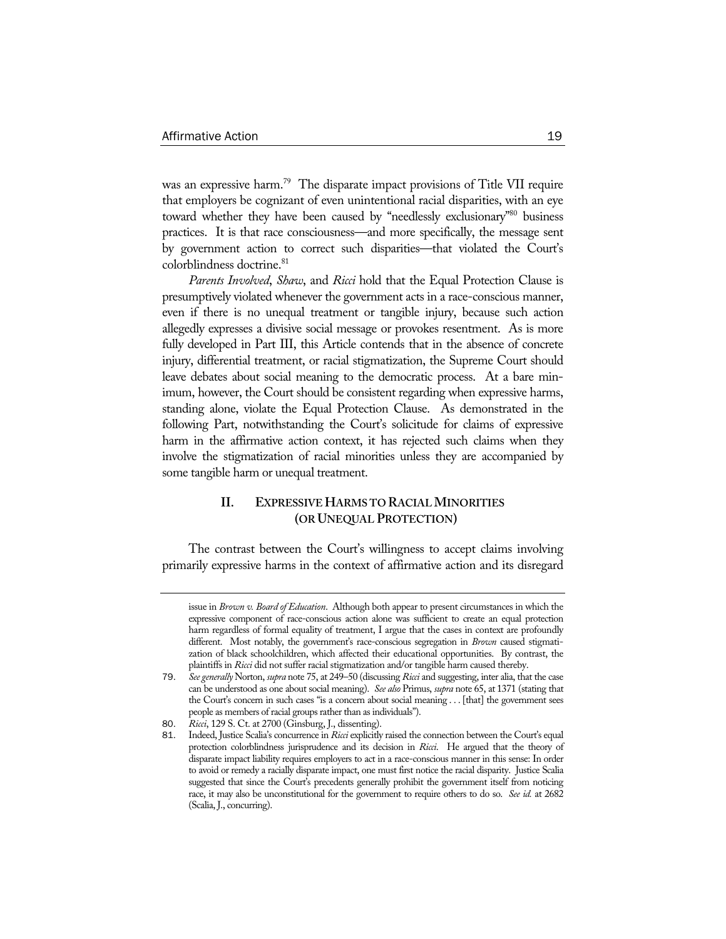was an expressive harm.<sup>79</sup> The disparate impact provisions of Title VII require that employers be cognizant of even unintentional racial disparities, with an eye toward whether they have been caused by "needlessly exclusionary"<sup>80</sup> business practices. It is that race consciousness—and more specifically, the message sent by government action to correct such disparities—that violated the Court's colorblindness doctrine.<sup>81</sup>

*Parents Involved*, *Shaw*, and *Ricci* hold that the Equal Protection Clause is presumptively violated whenever the government acts in a race-conscious manner, even if there is no unequal treatment or tangible injury, because such action allegedly expresses a divisive social message or provokes resentment. As is more fully developed in Part III, this Article contends that in the absence of concrete injury, differential treatment, or racial stigmatization, the Supreme Court should leave debates about social meaning to the democratic process. At a bare minimum, however, the Court should be consistent regarding when expressive harms, standing alone, violate the Equal Protection Clause. As demonstrated in the following Part, notwithstanding the Court's solicitude for claims of expressive harm in the affirmative action context, it has rejected such claims when they involve the stigmatization of racial minorities unless they are accompanied by some tangible harm or unequal treatment.

# **II. EXPRESSIVE HARMS TO RACIAL MINORITIES (OR UNEQUAL PROTECTION)**

The contrast between the Court's willingness to accept claims involving primarily expressive harms in the context of affirmative action and its disregard

issue in *Brown v. Board of Education*. Although both appear to present circumstances in which the expressive component of race-conscious action alone was sufficient to create an equal protection harm regardless of formal equality of treatment, I argue that the cases in context are profoundly different. Most notably, the government's race-conscious segregation in *Brown* caused stigmatization of black schoolchildren, which affected their educational opportunities. By contrast, the plaintiffs in *Ricci* did not suffer racial stigmatization and/or tangible harm caused thereby.

<sup>79</sup>. *See generally* Norton, *supra* note 75, at 249–50 (discussing *Ricci* and suggesting, inter alia, that the case can be understood as one about social meaning). *See also* Primus, *supra* note 65, at 1371 (stating that the Court's concern in such cases "is a concern about social meaning . . . [that] the government sees people as members of racial groups rather than as individuals").

<sup>80</sup>. *Ricci*, 129 S. Ct. at 2700 (Ginsburg, J., dissenting).

<sup>81</sup>. Indeed, Justice Scalia's concurrence in *Ricci* explicitly raised the connection between the Court's equal protection colorblindness jurisprudence and its decision in *Ricci*. He argued that the theory of disparate impact liability requires employers to act in a race-conscious manner in this sense: In order to avoid or remedy a racially disparate impact, one must first notice the racial disparity. Justice Scalia suggested that since the Court's precedents generally prohibit the government itself from noticing race, it may also be unconstitutional for the government to require others to do so. *See id.* at 2682 (Scalia, J., concurring).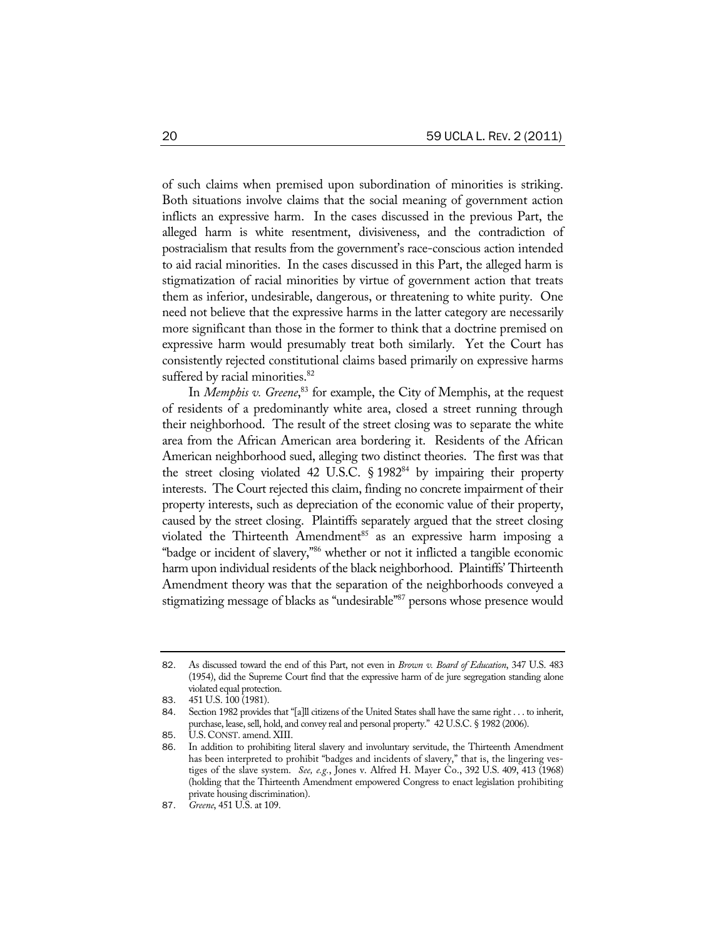of such claims when premised upon subordination of minorities is striking. Both situations involve claims that the social meaning of government action inflicts an expressive harm. In the cases discussed in the previous Part, the alleged harm is white resentment, divisiveness, and the contradiction of postracialism that results from the government's race-conscious action intended to aid racial minorities. In the cases discussed in this Part, the alleged harm is stigmatization of racial minorities by virtue of government action that treats them as inferior, undesirable, dangerous, or threatening to white purity. One need not believe that the expressive harms in the latter category are necessarily more significant than those in the former to think that a doctrine premised on expressive harm would presumably treat both similarly. Yet the Court has consistently rejected constitutional claims based primarily on expressive harms suffered by racial minorities.<sup>82</sup>

In *Memphis v. Greene*, 83 for example, the City of Memphis, at the request of residents of a predominantly white area, closed a street running through their neighborhood. The result of the street closing was to separate the white area from the African American area bordering it. Residents of the African American neighborhood sued, alleging two distinct theories. The first was that the street closing violated 42 U.S.C.  $\S 1982<sup>84</sup>$  by impairing their property interests. The Court rejected this claim, finding no concrete impairment of their property interests, such as depreciation of the economic value of their property, caused by the street closing. Plaintiffs separately argued that the street closing violated the Thirteenth Amendment<sup>85</sup> as an expressive harm imposing a "badge or incident of slavery,"86 whether or not it inflicted a tangible economic harm upon individual residents of the black neighborhood. Plaintiffs' Thirteenth Amendment theory was that the separation of the neighborhoods conveyed a stigmatizing message of blacks as "undesirable"87 persons whose presence would

<sup>82</sup>. As discussed toward the end of this Part, not even in *Brown v. Board of Education*, 347 U.S. 483 (1954), did the Supreme Court find that the expressive harm of de jure segregation standing alone violated equal protection.

<sup>83</sup>. 451 U.S. 100 (1981).

<sup>84</sup>. Section 1982 provides that "[a]ll citizens of the United States shall have the same right . . . to inherit, purchase, lease, sell, hold, and convey real and personal property." 42 U.S.C. § 1982 (2006).

<sup>85</sup>. U.S. CONST. amend. XIII.

<sup>86</sup>. In addition to prohibiting literal slavery and involuntary servitude, the Thirteenth Amendment has been interpreted to prohibit "badges and incidents of slavery," that is, the lingering vestiges of the slave system. *See, e.g.*, Jones v. Alfred H. Mayer Co., 392 U.S. 409, 413 (1968) (holding that the Thirteenth Amendment empowered Congress to enact legislation prohibiting private housing discrimination).

<sup>87</sup>. *Greene*, 451 U.S. at 109.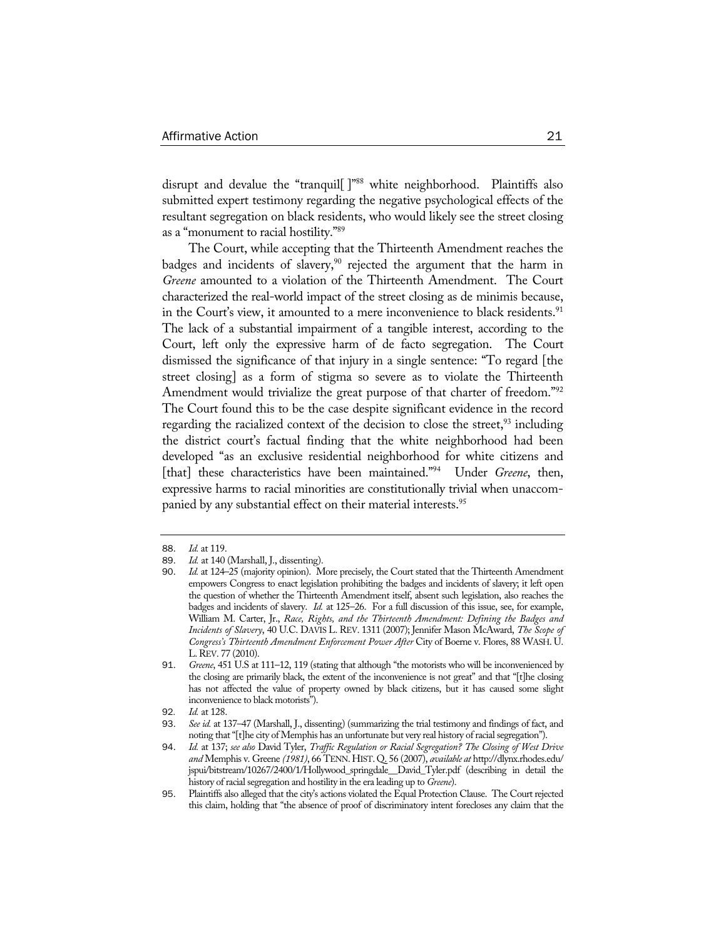disrupt and devalue the "tranquil<sup>[ ]"88</sup> white neighborhood. Plaintiffs also submitted expert testimony regarding the negative psychological effects of the resultant segregation on black residents, who would likely see the street closing as a "monument to racial hostility."89

The Court, while accepting that the Thirteenth Amendment reaches the badges and incidents of slavery,<sup>90</sup> rejected the argument that the harm in *Greene* amounted to a violation of the Thirteenth Amendment. The Court characterized the real-world impact of the street closing as de minimis because, in the Court's view, it amounted to a mere inconvenience to black residents.<sup>91</sup> The lack of a substantial impairment of a tangible interest, according to the Court, left only the expressive harm of de facto segregation. The Court dismissed the significance of that injury in a single sentence: "To regard [the street closing] as a form of stigma so severe as to violate the Thirteenth Amendment would trivialize the great purpose of that charter of freedom."<sup>92</sup> The Court found this to be the case despite significant evidence in the record regarding the racialized context of the decision to close the street, $93$  including the district court's factual finding that the white neighborhood had been developed "as an exclusive residential neighborhood for white citizens and [that] these characteristics have been maintained."94 Under *Greene*, then, expressive harms to racial minorities are constitutionally trivial when unaccompanied by any substantial effect on their material interests.<sup>95</sup>

<sup>88</sup>. *Id.* at 119.

<sup>89</sup>. *Id.* at 140 (Marshall, J., dissenting).

<sup>90</sup>. *Id.* at 124–25 (majority opinion). More precisely, the Court stated that the Thirteenth Amendment empowers Congress to enact legislation prohibiting the badges and incidents of slavery; it left open the question of whether the Thirteenth Amendment itself, absent such legislation, also reaches the badges and incidents of slavery. *Id.* at 125–26. For a full discussion of this issue, see, for example, William M. Carter, Jr., *Race, Rights, and the Thirteenth Amendment: Defining the Badges and Incidents of Slavery*, 40 U.C. DAVIS L. REV. 1311 (2007); Jennifer Mason McAward, *The Scope of Congress's Thirteenth Amendment Enforcement Power After* City of Boerne v. Flores, 88 WASH. U. L.REV. 77 (2010).

<sup>91</sup>. *Greene*, 451 U.S at 111–12, 119 (stating that although "the motorists who will be inconvenienced by the closing are primarily black, the extent of the inconvenience is not great" and that "[t]he closing has not affected the value of property owned by black citizens, but it has caused some slight inconvenience to black motorists").

<sup>92</sup>*. Id.* at 128.

<sup>93</sup>. *See id.* at 137–47 (Marshall, J., dissenting) (summarizing the trial testimony and findings of fact, and noting that "[t]he city of Memphis has an unfortunate but very real history of racial segregation").

<sup>94</sup>. *Id.* at 137; *see also* David Tyler, *Traffic Regulation or Racial Segregation? The Closing of West Drive and* Memphis v. Greene *(1981)*, 66 TENN. HIST. Q. 56 (2007), *available at* http://dlynx.rhodes.edu/ jspui/bitstream/10267/2400/1/Hollywood\_springdale\_\_David\_Tyler.pdf (describing in detail the history of racial segregation and hostility in the era leading up to *Greene*).

<sup>95</sup>. Plaintiffs also alleged that the city's actions violated the Equal Protection Clause. The Court rejected this claim, holding that "the absence of proof of discriminatory intent forecloses any claim that the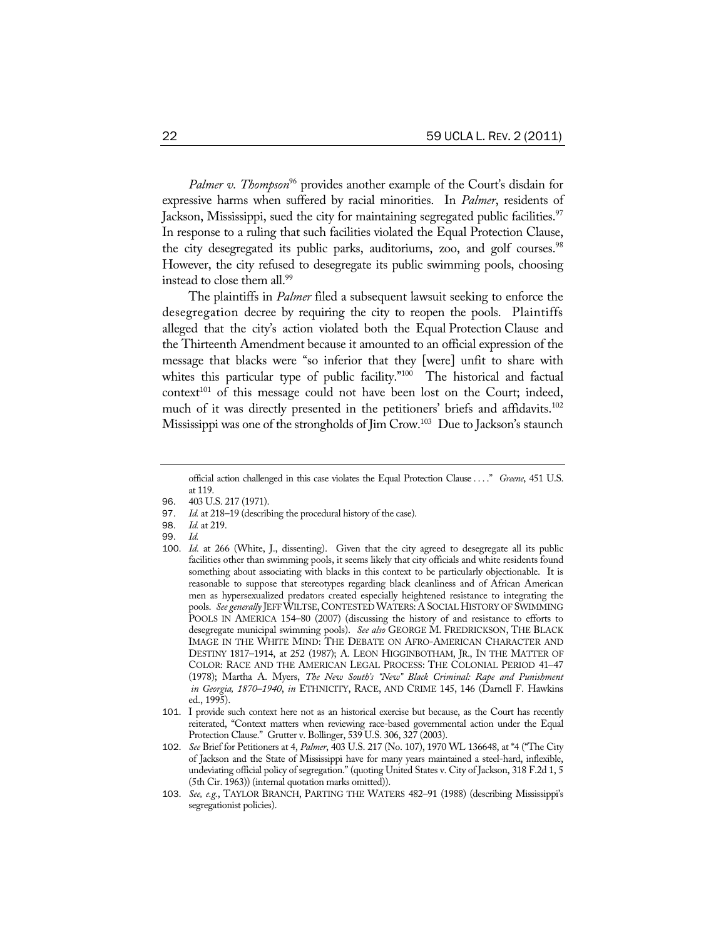*Palmer v. Thompson*<sup>96</sup> provides another example of the Court's disdain for expressive harms when suffered by racial minorities. In *Palmer*, residents of Jackson, Mississippi, sued the city for maintaining segregated public facilities.<sup>97</sup> In response to a ruling that such facilities violated the Equal Protection Clause, the city desegregated its public parks, auditoriums, zoo, and golf courses.<sup>98</sup> However, the city refused to desegregate its public swimming pools, choosing instead to close them all.<sup>99</sup>

The plaintiffs in *Palmer* filed a subsequent lawsuit seeking to enforce the desegregation decree by requiring the city to reopen the pools. Plaintiffs alleged that the city's action violated both the Equal Protection Clause and the Thirteenth Amendment because it amounted to an official expression of the message that blacks were "so inferior that they [were] unfit to share with whites this particular type of public facility."<sup>100</sup> The historical and factual  $context^{101}$  of this message could not have been lost on the Court; indeed, much of it was directly presented in the petitioners' briefs and affidavits.<sup>102</sup> Mississippi was one of the strongholds of Jim Crow.<sup>103</sup> Due to Jackson's staunch

- 98. *Id.* at 219.
- 99. *Id.*

official action challenged in this case violates the Equal Protection Clause . . . ." *Greene*, 451 U.S. at 119.

<sup>96. 403</sup> U.S. 217 (1971).<br>97. Id. at 218–19 (describ

Id. at 218–19 (describing the procedural history of the case).

<sup>100</sup>. *Id.* at 266 (White, J., dissenting). Given that the city agreed to desegregate all its public facilities other than swimming pools, it seems likely that city officials and white residents found something about associating with blacks in this context to be particularly objectionable. It is reasonable to suppose that stereotypes regarding black cleanliness and of African American men as hypersexualized predators created especially heightened resistance to integrating the pools. *See generally* JEFF WILTSE, CONTESTED WATERS: A SOCIAL HISTORY OF SWIMMING POOLS IN AMERICA 154–80 (2007) (discussing the history of and resistance to efforts to desegregate municipal swimming pools). *See also* GEORGE M. FREDRICKSON, THE BLACK IMAGE IN THE WHITE MIND: THE DEBATE ON AFRO-AMERICAN CHARACTER AND DESTINY 1817–1914, at 252 (1987); A. LEON HIGGINBOTHAM, JR., IN THE MATTER OF COLOR: RACE AND THE AMERICAN LEGAL PROCESS: THE COLONIAL PERIOD 41–47 (1978); Martha A. Myers, *The New South's "New" Black Criminal: Rape and Punishment in Georgia, 1870–1940*, *in* ETHNICITY, RACE, AND CRIME 145, 146 (Darnell F. Hawkins ed., 1995).

<sup>101</sup>. I provide such context here not as an historical exercise but because, as the Court has recently reiterated, "Context matters when reviewing race-based governmental action under the Equal Protection Clause." Grutter v. Bollinger, 539 U.S. 306, 327 (2003).

<sup>102</sup>. *See* Brief for Petitioners at 4, *Palmer*, 403 U.S. 217 (No. 107), 1970 WL 136648, at \*4 ("The City of Jackson and the State of Mississippi have for many years maintained a steel-hard, inflexible, undeviating official policy of segregation." (quoting United States v. City of Jackson, 318 F.2d 1, 5 (5th Cir. 1963)) (internal quotation marks omitted)).

<sup>103</sup>. *See, e.g.*, TAYLOR BRANCH, PARTING THE WATERS 482–91 (1988) (describing Mississippi's segregationist policies).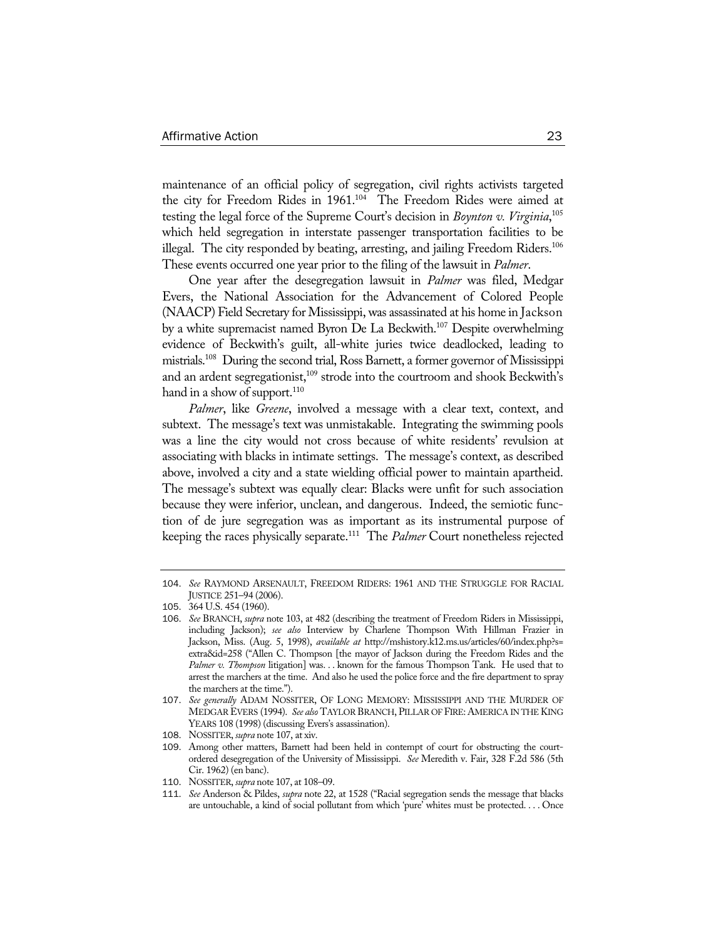maintenance of an official policy of segregation, civil rights activists targeted the city for Freedom Rides in 1961.<sup>104</sup> The Freedom Rides were aimed at testing the legal force of the Supreme Court's decision in *Boynton v. Virginia*, 105 which held segregation in interstate passenger transportation facilities to be illegal. The city responded by beating, arresting, and jailing Freedom Riders.<sup>106</sup> These events occurred one year prior to the filing of the lawsuit in *Palmer*.

One year after the desegregation lawsuit in *Palmer* was filed, Medgar Evers, the National Association for the Advancement of Colored People (NAACP) Field Secretary for Mississippi, was assassinated at his home in Jackson by a white supremacist named Byron De La Beckwith.<sup>107</sup> Despite overwhelming evidence of Beckwith's guilt, all-white juries twice deadlocked, leading to mistrials.108 During the second trial, Ross Barnett, a former governor of Mississippi and an ardent segregationist,<sup>109</sup> strode into the courtroom and shook Beckwith's hand in a show of support. $110$ 

*Palmer*, like *Greene*, involved a message with a clear text, context, and subtext. The message's text was unmistakable. Integrating the swimming pools was a line the city would not cross because of white residents' revulsion at associating with blacks in intimate settings. The message's context, as described above, involved a city and a state wielding official power to maintain apartheid. The message's subtext was equally clear: Blacks were unfit for such association because they were inferior, unclean, and dangerous. Indeed, the semiotic function of de jure segregation was as important as its instrumental purpose of keeping the races physically separate.111 The *Palmer* Court nonetheless rejected

<sup>104</sup>. *See* RAYMOND ARSENAULT, FREEDOM RIDERS: 1961 AND THE STRUGGLE FOR RACIAL JUSTICE 251–94 (2006).

<sup>105</sup>. 364 U.S. 454 (1960).

<sup>106</sup>. *See* BRANCH, *supra* note 103, at 482 (describing the treatment of Freedom Riders in Mississippi, including Jackson); *see also* Interview by Charlene Thompson With Hillman Frazier in Jackson, Miss. (Aug. 5, 1998), *available at* http://mshistory.k12.ms.us/articles/60/index.php?s= extra&id=258 ("Allen C. Thompson [the mayor of Jackson during the Freedom Rides and the *Palmer v. Thompson* litigation] was. . . known for the famous Thompson Tank. He used that to arrest the marchers at the time. And also he used the police force and the fire department to spray the marchers at the time.").

<sup>107</sup>. *See generally* ADAM NOSSITER, OF LONG MEMORY: MISSISSIPPI AND THE MURDER OF MEDGAR EVERS (1994). *See also* TAYLOR BRANCH, PILLAR OF FIRE:AMERICA IN THE KING YEARS 108 (1998) (discussing Evers's assassination).

<sup>108</sup>. NOSSITER, *supra* note 107, at xiv.

<sup>109</sup>. Among other matters, Barnett had been held in contempt of court for obstructing the courtordered desegregation of the University of Mississippi. *See* Meredith v. Fair, 328 F.2d 586 (5th Cir. 1962) (en banc).

<sup>110</sup>. NOSSITER, *supra* note 107, at 108–09.

<sup>111</sup>. *See* Anderson & Pildes, *supra* note 22, at 1528 ("Racial segregation sends the message that blacks are untouchable, a kind of social pollutant from which 'pure' whites must be protected. . . . Once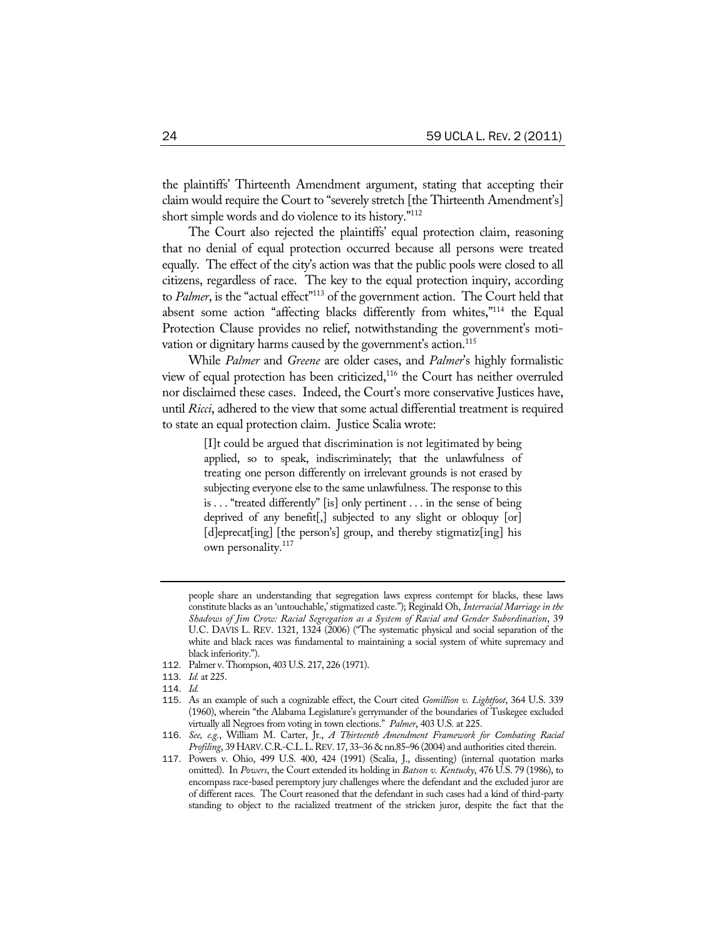the plaintiffs' Thirteenth Amendment argument, stating that accepting their claim would require the Court to "severely stretch [the Thirteenth Amendment's] short simple words and do violence to its history."112

The Court also rejected the plaintiffs' equal protection claim, reasoning that no denial of equal protection occurred because all persons were treated equally. The effect of the city's action was that the public pools were closed to all citizens, regardless of race. The key to the equal protection inquiry, according to *Palmer*, is the "actual effect"<sup>113</sup> of the government action. The Court held that absent some action "affecting blacks differently from whites,"114 the Equal Protection Clause provides no relief, notwithstanding the government's motivation or dignitary harms caused by the government's action.<sup>115</sup>

While *Palmer* and *Greene* are older cases, and *Palmer*'s highly formalistic view of equal protection has been criticized,<sup>116</sup> the Court has neither overruled nor disclaimed these cases. Indeed, the Court's more conservative Justices have, until *Ricci*, adhered to the view that some actual differential treatment is required to state an equal protection claim. Justice Scalia wrote:

> [I]t could be argued that discrimination is not legitimated by being applied, so to speak, indiscriminately; that the unlawfulness of treating one person differently on irrelevant grounds is not erased by subjecting everyone else to the same unlawfulness. The response to this is . . . "treated differently" [is] only pertinent . . . in the sense of being deprived of any benefit<sup>[</sup>,] subjected to any slight or obloquy [or] [d]eprecat[ing] [the person's] group, and thereby stigmatiz[ing] his own personality.<sup>117</sup>

- 112. Palmer v. Thompson, 403 U.S. 217, 226 (1971).
- 113. *Id.* at 225.
- 114. *Id.*

people share an understanding that segregation laws express contempt for blacks, these laws constitute blacks as an 'untouchable,' stigmatized caste."); Reginald Oh, *Interracial Marriage in the Shadows of Jim Crow: Racial Segregation as a System of Racial and Gender Subordination*, 39 U.C. DAVIS L. REV. 1321, 1324 (2006) ("The systematic physical and social separation of the white and black races was fundamental to maintaining a social system of white supremacy and black inferiority.").

<sup>115</sup>. As an example of such a cognizable effect, the Court cited *Gomillion v. Lightfoot*, 364 U.S. 339 (1960), wherein "the Alabama Legislature's gerrymander of the boundaries of Tuskegee excluded virtually all Negroes from voting in town elections." *Palmer*, 403 U.S*.* at 225.

<sup>116</sup>. *See, e.g.*, William M. Carter, Jr., *A Thirteenth Amendment Framework for Combating Racial Profiling*, 39 HARV. C.R.-C.L. L. REV. 17, 33–36 & nn.85–96 (2004) and authorities cited therein.

<sup>117</sup>. Powers v. Ohio, 499 U.S. 400, 424 (1991) (Scalia, J., dissenting) (internal quotation marks omitted). In *Powers*, the Court extended its holding in *Batson v. Kentucky*, 476 U.S. 79 (1986), to encompass race-based peremptory jury challenges where the defendant and the excluded juror are of different races. The Court reasoned that the defendant in such cases had a kind of third-party standing to object to the racialized treatment of the stricken juror, despite the fact that the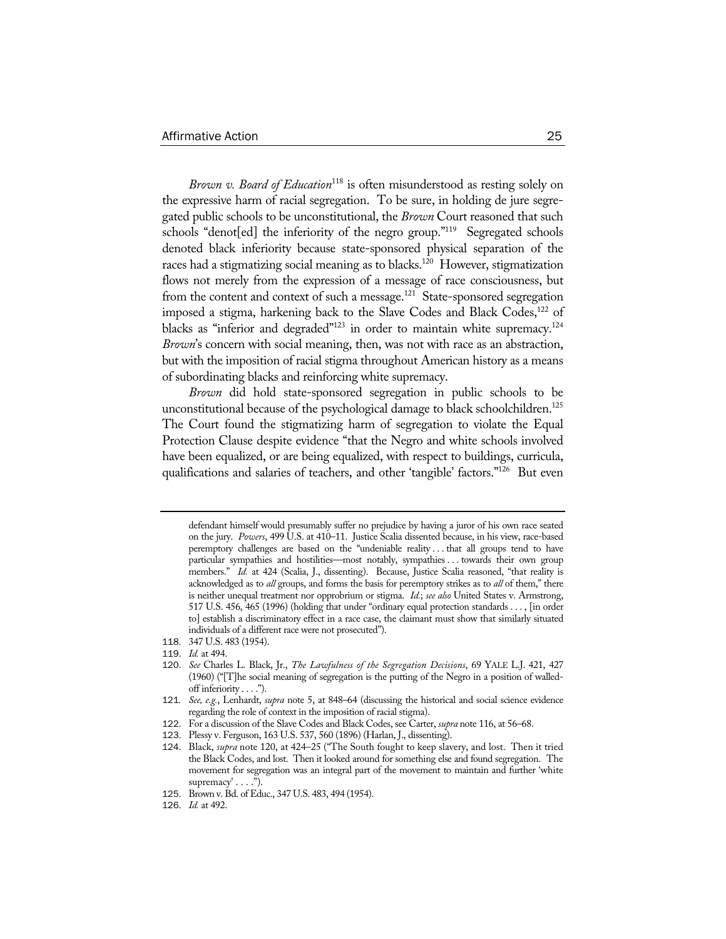*Brown v. Board of Education*118 is often misunderstood as resting solely on the expressive harm of racial segregation. To be sure, in holding de jure segregated public schools to be unconstitutional, the *Brown* Court reasoned that such schools "denot[ed] the inferiority of the negro group."<sup>119</sup> Segregated schools denoted black inferiority because state-sponsored physical separation of the races had a stigmatizing social meaning as to blacks.<sup>120</sup> However, stigmatization flows not merely from the expression of a message of race consciousness, but from the content and context of such a message.<sup>121</sup> State-sponsored segregation imposed a stigma, harkening back to the Slave Codes and Black Codes,<sup>122</sup> of blacks as "inferior and degraded"<sup>123</sup> in order to maintain white supremacy.<sup>124</sup> *Brown*'s concern with social meaning, then, was not with race as an abstraction, but with the imposition of racial stigma throughout American history as a means of subordinating blacks and reinforcing white supremacy.

*Brown* did hold state-sponsored segregation in public schools to be unconstitutional because of the psychological damage to black schoolchildren.<sup>125</sup> The Court found the stigmatizing harm of segregation to violate the Equal Protection Clause despite evidence "that the Negro and white schools involved have been equalized, or are being equalized, with respect to buildings, curricula, qualifications and salaries of teachers, and other 'tangible' factors."126 But even

defendant himself would presumably suffer no prejudice by having a juror of his own race seated on the jury. *Powers*, 499 U.S. at 410–11. Justice Scalia dissented because, in his view, race-based peremptory challenges are based on the "undeniable reality . . . that all groups tend to have particular sympathies and hostilities—most notably, sympathies . . . towards their own group members." *Id.* at 424 (Scalia, J., dissenting). Because, Justice Scalia reasoned, "that reality is acknowledged as to *all* groups, and forms the basis for peremptory strikes as to *all* of them," there is neither unequal treatment nor opprobrium or stigma. *Id.*; *see also* United States v. Armstrong, 517 U.S. 456, 465 (1996) (holding that under "ordinary equal protection standards . . . , [in order to] establish a discriminatory effect in a race case, the claimant must show that similarly situated individuals of a different race were not prosecuted").

<sup>118</sup>. 347 U.S. 483 (1954).

<sup>119</sup>. *Id.* at 494.

<sup>120</sup>. *See* Charles L. Black, Jr., *The Lawfulness of the Segregation Decisions*, 69 YALE L.J. 421, 427 (1960) ("[T]he social meaning of segregation is the putting of the Negro in a position of walledoff inferiority . . . .").

<sup>121</sup>*. See, e.g.*, Lenhardt, *supra* note 5, at 848–64 (discussing the historical and social science evidence regarding the role of context in the imposition of racial stigma).

<sup>122</sup>. For a discussion of the Slave Codes and Black Codes, see Carter, *supra* note 116, at 56–68.

<sup>123</sup>. Plessy v. Ferguson, 163 U.S. 537, 560 (1896) (Harlan, J., dissenting).

<sup>124</sup>. Black, *supra* note 120, at 424–25 ("The South fought to keep slavery, and lost. Then it tried the Black Codes, and lost. Then it looked around for something else and found segregation. The movement for segregation was an integral part of the movement to maintain and further 'white  $supremacy' \ldots$ .").

<sup>125</sup>. Brown v. Bd. of Educ., 347 U.S. 483, 494 (1954).

<sup>126</sup>. *Id.* at 492.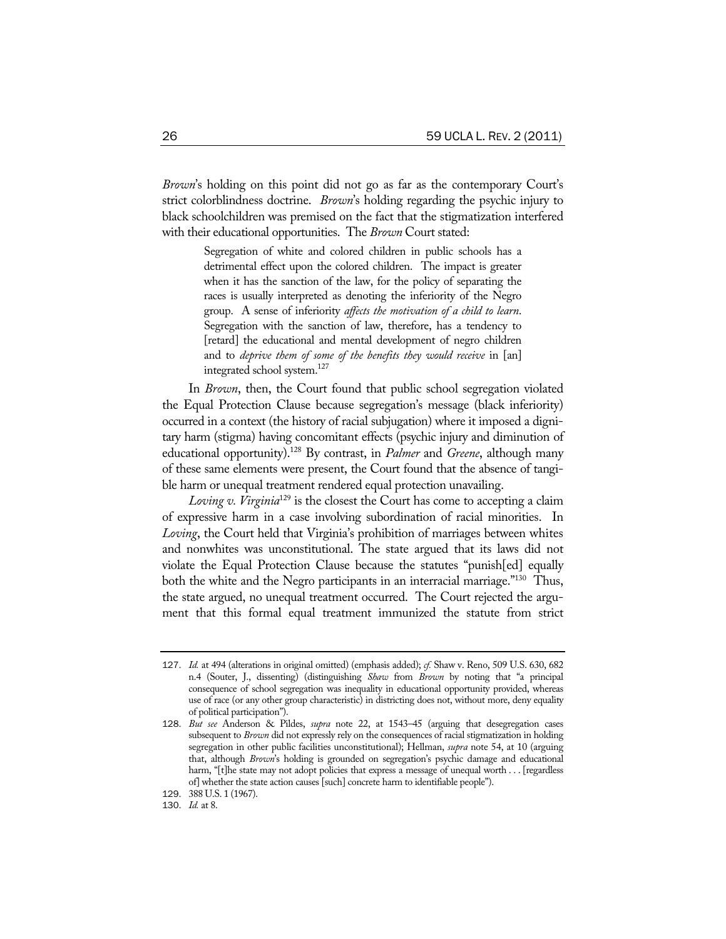*Brown*'s holding on this point did not go as far as the contemporary Court's strict colorblindness doctrine. *Brown*'s holding regarding the psychic injury to black schoolchildren was premised on the fact that the stigmatization interfered with their educational opportunities. The *Brown* Court stated:

> Segregation of white and colored children in public schools has a detrimental effect upon the colored children. The impact is greater when it has the sanction of the law, for the policy of separating the races is usually interpreted as denoting the inferiority of the Negro group. A sense of inferiority *affects the motivation of a child to learn*. Segregation with the sanction of law, therefore, has a tendency to [retard] the educational and mental development of negro children and to *deprive them of some of the benefits they would receive* in [an] integrated school system.127

In *Brown*, then, the Court found that public school segregation violated the Equal Protection Clause because segregation's message (black inferiority) occurred in a context (the history of racial subjugation) where it imposed a dignitary harm (stigma) having concomitant effects (psychic injury and diminution of educational opportunity).128 By contrast, in *Palmer* and *Greene*, although many of these same elements were present, the Court found that the absence of tangible harm or unequal treatment rendered equal protection unavailing.

*Loving v. Virginia*129 is the closest the Court has come to accepting a claim of expressive harm in a case involving subordination of racial minorities. In *Loving*, the Court held that Virginia's prohibition of marriages between whites and nonwhites was unconstitutional. The state argued that its laws did not violate the Equal Protection Clause because the statutes "punish[ed] equally both the white and the Negro participants in an interracial marriage."<sup>130</sup> Thus, the state argued, no unequal treatment occurred. The Court rejected the argument that this formal equal treatment immunized the statute from strict

<sup>127</sup>. *Id.* at 494 (alterations in original omitted) (emphasis added); *cf.* Shaw v. Reno, 509 U.S. 630, 682 n.4 (Souter, J., dissenting) (distinguishing *Shaw* from *Brown* by noting that "a principal consequence of school segregation was inequality in educational opportunity provided, whereas use of race (or any other group characteristic) in districting does not, without more, deny equality of political participation").

<sup>128</sup>. *But see* Anderson & Pildes, *supra* note 22, at 1543–45 (arguing that desegregation cases subsequent to *Brown* did not expressly rely on the consequences of racial stigmatization in holding segregation in other public facilities unconstitutional); Hellman, *supra* note 54, at 10 (arguing that, although *Brown*'s holding is grounded on segregation's psychic damage and educational harm, "[t]he state may not adopt policies that express a message of unequal worth . . . [regardless of] whether the state action causes [such] concrete harm to identifiable people").

<sup>129</sup>. 388 U.S. 1 (1967).

<sup>130</sup>. *Id.* at 8.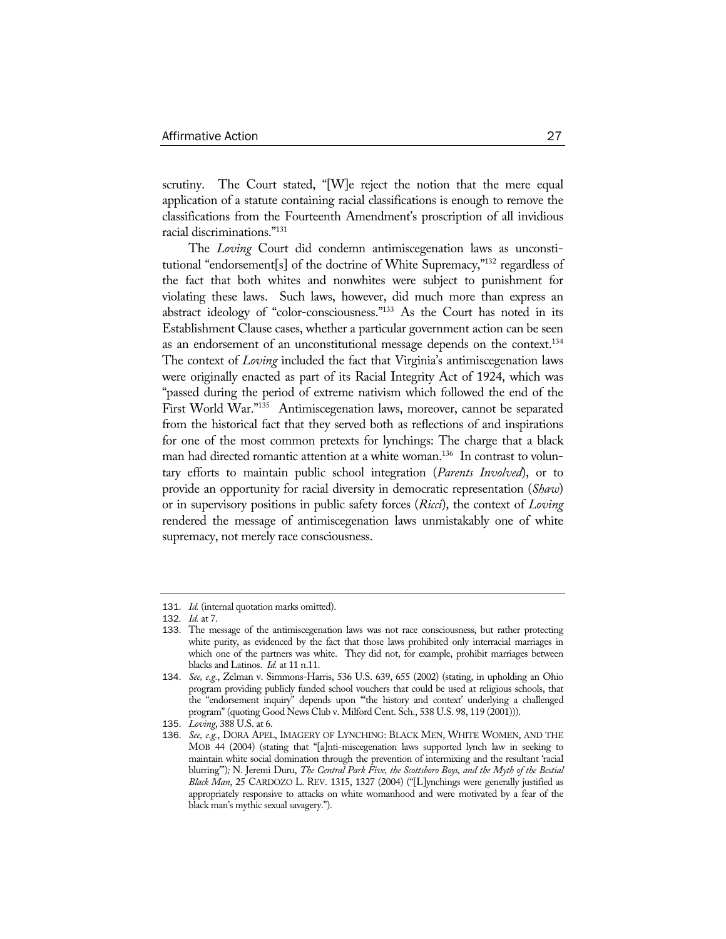scrutiny. The Court stated, "[W]e reject the notion that the mere equal application of a statute containing racial classifications is enough to remove the classifications from the Fourteenth Amendment's proscription of all invidious racial discriminations."131

The *Loving* Court did condemn antimiscegenation laws as unconstitutional "endorsement[s] of the doctrine of White Supremacy,"132 regardless of the fact that both whites and nonwhites were subject to punishment for violating these laws. Such laws, however, did much more than express an abstract ideology of "color-consciousness."133 As the Court has noted in its Establishment Clause cases, whether a particular government action can be seen as an endorsement of an unconstitutional message depends on the context.<sup>134</sup> The context of *Loving* included the fact that Virginia's antimiscegenation laws were originally enacted as part of its Racial Integrity Act of 1924, which was "passed during the period of extreme nativism which followed the end of the First World War."135 Antimiscegenation laws, moreover, cannot be separated from the historical fact that they served both as reflections of and inspirations for one of the most common pretexts for lynchings: The charge that a black man had directed romantic attention at a white woman.<sup>136</sup> In contrast to voluntary efforts to maintain public school integration (*Parents Involved*), or to provide an opportunity for racial diversity in democratic representation (*Shaw*) or in supervisory positions in public safety forces (*Ricci*), the context of *Loving* rendered the message of antimiscegenation laws unmistakably one of white supremacy, not merely race consciousness.

<sup>131</sup>. *Id.* (internal quotation marks omitted).

<sup>132</sup>. *Id.* at 7.

<sup>133</sup>. The message of the antimiscegenation laws was not race consciousness, but rather protecting white purity, as evidenced by the fact that those laws prohibited only interracial marriages in which one of the partners was white. They did not, for example, prohibit marriages between blacks and Latinos. *Id.* at 11 n.11.

<sup>134</sup>. *See, e.g.*, Zelman v. Simmons-Harris, 536 U.S. 639, 655 (2002) (stating, in upholding an Ohio program providing publicly funded school vouchers that could be used at religious schools, that the "endorsement inquiry" depends upon "'the history and context' underlying a challenged program" (quoting Good News Club v. Milford Cent. Sch., 538 U.S. 98, 119 (2001))).

<sup>135</sup>. *Loving*, 388 U.S. at 6.

<sup>136</sup>. *See, e.g.*, DORA APEL, IMAGERY OF LYNCHING: BLACK MEN, WHITE WOMEN, AND THE MOB 44 (2004) (stating that "[a]nti-miscegenation laws supported lynch law in seeking to maintain white social domination through the prevention of intermixing and the resultant 'racial blurring'")*;* N. Jeremi Duru, *The Central Park Five, the Scottsboro Boys, and the Myth of the Bestial Black Man*, 25 CARDOZO L. REV. 1315, 1327 (2004) ("[L]ynchings were generally justified as appropriately responsive to attacks on white womanhood and were motivated by a fear of the black man's mythic sexual savagery.").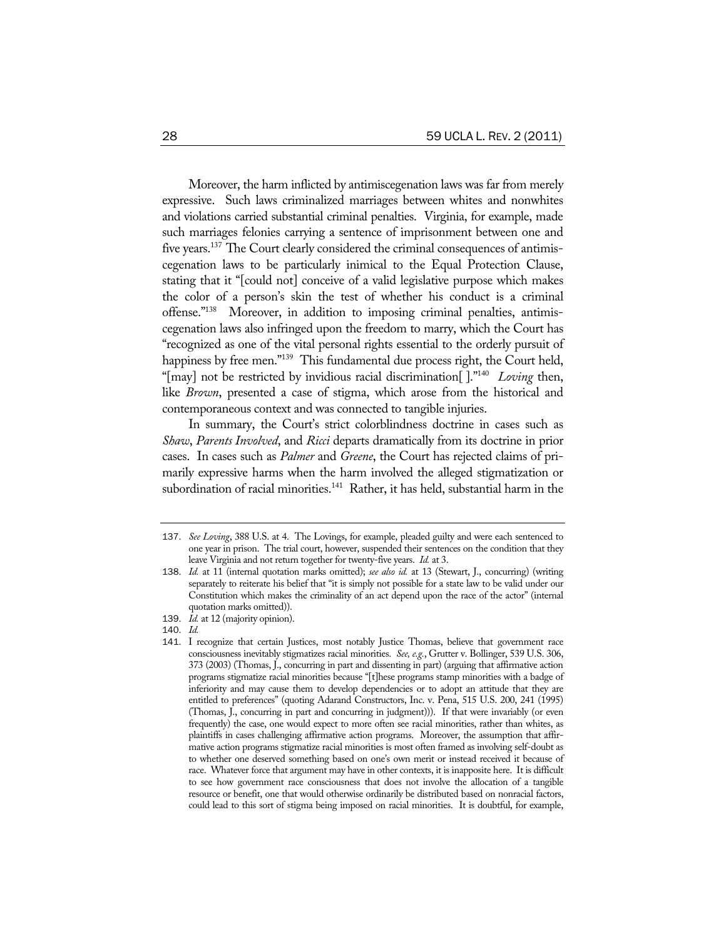Moreover, the harm inflicted by antimiscegenation laws was far from merely expressive. Such laws criminalized marriages between whites and nonwhites and violations carried substantial criminal penalties. Virginia, for example, made such marriages felonies carrying a sentence of imprisonment between one and five years.<sup>137</sup> The Court clearly considered the criminal consequences of antimiscegenation laws to be particularly inimical to the Equal Protection Clause, stating that it "[could not] conceive of a valid legislative purpose which makes the color of a person's skin the test of whether his conduct is a criminal offense."138 Moreover, in addition to imposing criminal penalties, antimiscegenation laws also infringed upon the freedom to marry, which the Court has "recognized as one of the vital personal rights essential to the orderly pursuit of happiness by free men."<sup>139</sup> This fundamental due process right, the Court held, "[may] not be restricted by invidious racial discrimination[ ]."140 *Loving* then, like *Brown*, presented a case of stigma, which arose from the historical and contemporaneous context and was connected to tangible injuries.

In summary, the Court's strict colorblindness doctrine in cases such as *Shaw*, *Parents Involved*, and *Ricci* departs dramatically from its doctrine in prior cases. In cases such as *Palmer* and *Greene*, the Court has rejected claims of primarily expressive harms when the harm involved the alleged stigmatization or subordination of racial minorities.<sup>141</sup> Rather, it has held, substantial harm in the

140. *Id.*

<sup>137</sup>. *See Loving*, 388 U.S. at 4. The Lovings, for example, pleaded guilty and were each sentenced to one year in prison. The trial court, however, suspended their sentences on the condition that they leave Virginia and not return together for twenty-five years. *Id.* at 3.

<sup>138</sup>. *Id.* at 11 (internal quotation marks omitted); *see also id.* at 13 (Stewart, J., concurring) (writing separately to reiterate his belief that "it is simply not possible for a state law to be valid under our Constitution which makes the criminality of an act depend upon the race of the actor" (internal quotation marks omitted)).

<sup>139</sup>. *Id.* at 12 (majority opinion).

<sup>141</sup>. I recognize that certain Justices, most notably Justice Thomas, believe that government race consciousness inevitably stigmatizes racial minorities. *See, e.g.*, Grutter v. Bollinger, 539 U.S. 306, 373 (2003) (Thomas, J., concurring in part and dissenting in part) (arguing that affirmative action programs stigmatize racial minorities because "[t]hese programs stamp minorities with a badge of inferiority and may cause them to develop dependencies or to adopt an attitude that they are entitled to preferences" (quoting Adarand Constructors, Inc. v. Pena, 515 U.S. 200, 241 (1995) (Thomas, J., concurring in part and concurring in judgment))). If that were invariably (or even frequently) the case, one would expect to more often see racial minorities, rather than whites, as plaintiffs in cases challenging affirmative action programs. Moreover, the assumption that affirmative action programs stigmatize racial minorities is most often framed as involving self-doubt as to whether one deserved something based on one's own merit or instead received it because of race. Whatever force that argument may have in other contexts, it is inapposite here. It is difficult to see how government race consciousness that does not involve the allocation of a tangible resource or benefit, one that would otherwise ordinarily be distributed based on nonracial factors, could lead to this sort of stigma being imposed on racial minorities. It is doubtful, for example,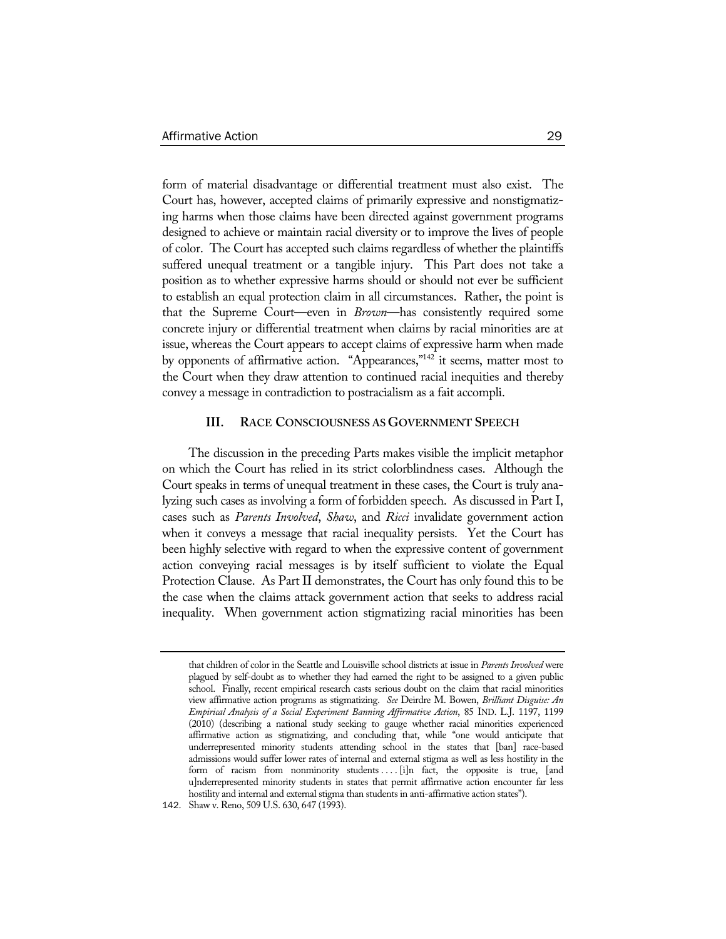form of material disadvantage or differential treatment must also exist. The Court has, however, accepted claims of primarily expressive and nonstigmatizing harms when those claims have been directed against government programs designed to achieve or maintain racial diversity or to improve the lives of people of color. The Court has accepted such claims regardless of whether the plaintiffs suffered unequal treatment or a tangible injury. This Part does not take a position as to whether expressive harms should or should not ever be sufficient to establish an equal protection claim in all circumstances. Rather, the point is that the Supreme Court—even in *Brown*—has consistently required some concrete injury or differential treatment when claims by racial minorities are at issue, whereas the Court appears to accept claims of expressive harm when made by opponents of affirmative action. "Appearances,"<sup>142</sup> it seems, matter most to the Court when they draw attention to continued racial inequities and thereby convey a message in contradiction to postracialism as a fait accompli.

### **III. RACE CONSCIOUSNESS AS GOVERNMENT SPEECH**

The discussion in the preceding Parts makes visible the implicit metaphor on which the Court has relied in its strict colorblindness cases. Although the Court speaks in terms of unequal treatment in these cases, the Court is truly analyzing such cases as involving a form of forbidden speech. As discussed in Part I, cases such as *Parents Involved*, *Shaw*, and *Ricci* invalidate government action when it conveys a message that racial inequality persists. Yet the Court has been highly selective with regard to when the expressive content of government action conveying racial messages is by itself sufficient to violate the Equal Protection Clause. As Part II demonstrates, the Court has only found this to be the case when the claims attack government action that seeks to address racial inequality. When government action stigmatizing racial minorities has been

that children of color in the Seattle and Louisville school districts at issue in *Parents Involved* were plagued by self-doubt as to whether they had earned the right to be assigned to a given public school. Finally, recent empirical research casts serious doubt on the claim that racial minorities view affirmative action programs as stigmatizing. *See* Deirdre M. Bowen, *Brilliant Disguise: An Empirical Analysis of a Social Experiment Banning Affirmative Action*, 85 IND. L.J. 1197, 1199 (2010) (describing a national study seeking to gauge whether racial minorities experienced affirmative action as stigmatizing, and concluding that, while "one would anticipate that underrepresented minority students attending school in the states that [ban] race-based admissions would suffer lower rates of internal and external stigma as well as less hostility in the form of racism from nonminority students .... [i]n fact, the opposite is true, [and u]nderrepresented minority students in states that permit affirmative action encounter far less hostility and internal and external stigma than students in anti-affirmative action states").

<sup>142</sup>. Shaw v. Reno, 509 U.S. 630, 647 (1993).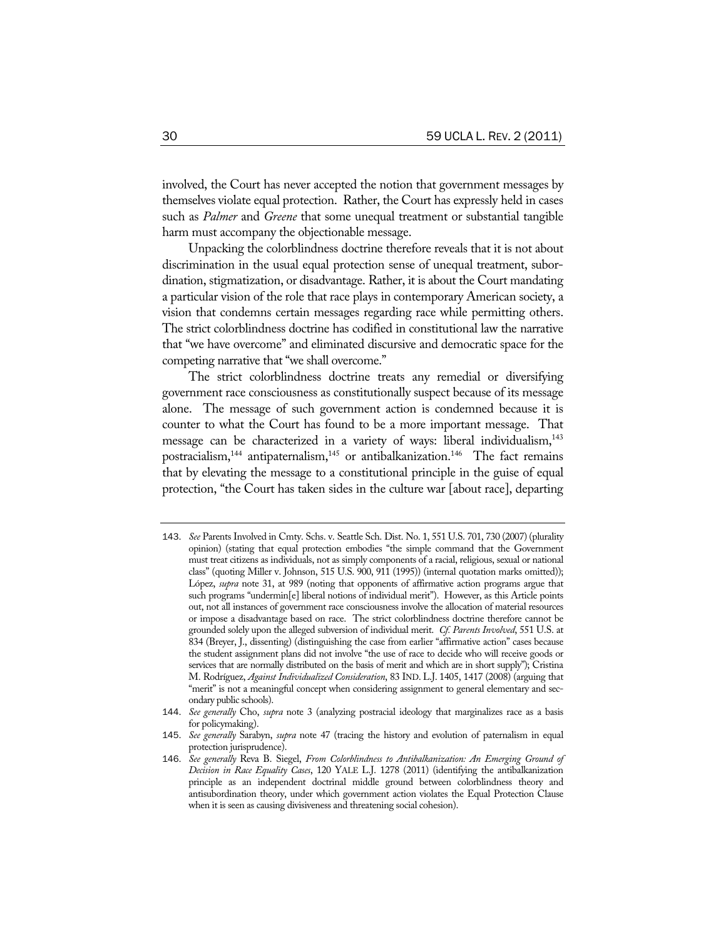involved, the Court has never accepted the notion that government messages by themselves violate equal protection. Rather, the Court has expressly held in cases such as *Palmer* and *Greene* that some unequal treatment or substantial tangible harm must accompany the objectionable message.

Unpacking the colorblindness doctrine therefore reveals that it is not about discrimination in the usual equal protection sense of unequal treatment, subordination, stigmatization, or disadvantage. Rather, it is about the Court mandating a particular vision of the role that race plays in contemporary American society, a vision that condemns certain messages regarding race while permitting others. The strict colorblindness doctrine has codified in constitutional law the narrative that "we have overcome" and eliminated discursive and democratic space for the competing narrative that "we shall overcome."

The strict colorblindness doctrine treats any remedial or diversifying government race consciousness as constitutionally suspect because of its message alone. The message of such government action is condemned because it is counter to what the Court has found to be a more important message. That message can be characterized in a variety of ways: liberal individualism,<sup>143</sup> postracialism,<sup>144</sup> antipaternalism,<sup>145</sup> or antibalkanization.<sup>146</sup> The fact remains that by elevating the message to a constitutional principle in the guise of equal protection, "the Court has taken sides in the culture war [about race], departing

<sup>143</sup>. *See* Parents Involved in Cmty. Schs. v. Seattle Sch. Dist. No. 1, 551 U.S. 701, 730 (2007) (plurality opinion) (stating that equal protection embodies "the simple command that the Government must treat citizens as individuals, not as simply components of a racial, religious, sexual or national class" (quoting Miller v. Johnson, 515 U.S. 900, 911 (1995)) (internal quotation marks omitted)); López, *supra* note 31, at 989 (noting that opponents of affirmative action programs argue that such programs "undermin[e] liberal notions of individual merit"). However, as this Article points out, not all instances of government race consciousness involve the allocation of material resources or impose a disadvantage based on race. The strict colorblindness doctrine therefore cannot be grounded solely upon the alleged subversion of individual merit. *Cf. Parents Involved*, 551 U.S. at 834 (Breyer, J., dissenting) (distinguishing the case from earlier "affirmative action" cases because the student assignment plans did not involve "the use of race to decide who will receive goods or services that are normally distributed on the basis of merit and which are in short supply"); Cristina M. Rodríguez, *Against Individualized Consideration*, 83 IND. L.J. 1405, 1417 (2008) (arguing that "merit" is not a meaningful concept when considering assignment to general elementary and secondary public schools).

<sup>144</sup>. *See generally* Cho, *supra* note 3 (analyzing postracial ideology that marginalizes race as a basis for policymaking).

<sup>145</sup>. *See generally* Sarabyn, *supra* note 47 (tracing the history and evolution of paternalism in equal protection jurisprudence).

<sup>146</sup>. *See generally* Reva B. Siegel, *From Colorblindness to Antibalkanization: An Emerging Ground of Decision in Race Equality Cases*, 120 YALE L.J. 1278 (2011) (identifying the antibalkanization principle as an independent doctrinal middle ground between colorblindness theory and antisubordination theory, under which government action violates the Equal Protection Clause when it is seen as causing divisiveness and threatening social cohesion).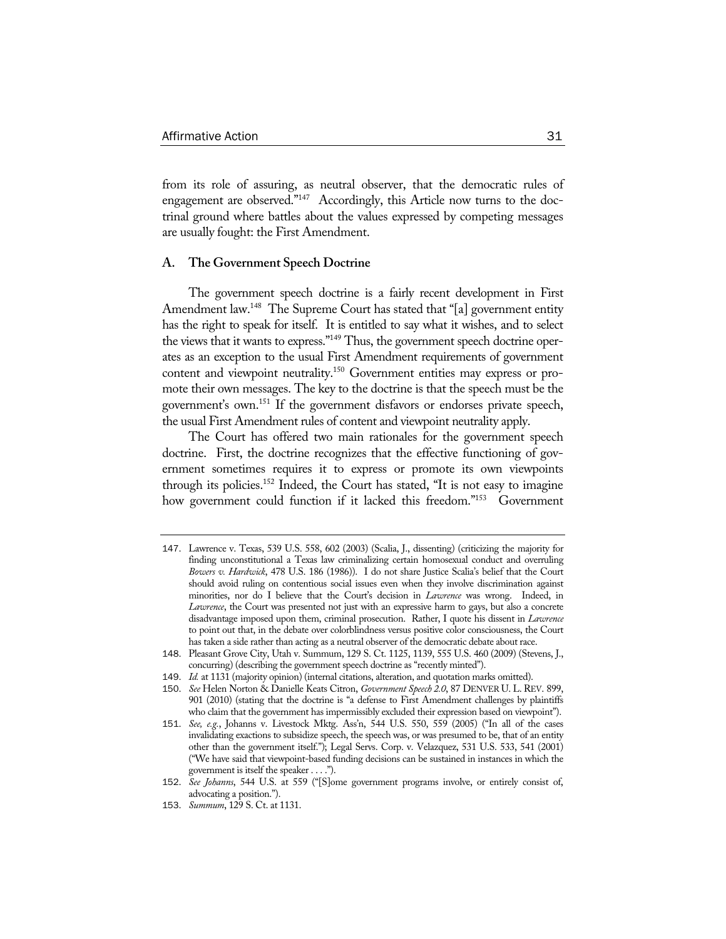from its role of assuring, as neutral observer, that the democratic rules of engagement are observed."<sup>147</sup> Accordingly, this Article now turns to the doctrinal ground where battles about the values expressed by competing messages are usually fought: the First Amendment.

#### **A. The Government Speech Doctrine**

The government speech doctrine is a fairly recent development in First Amendment law.<sup>148</sup> The Supreme Court has stated that "[a] government entity has the right to speak for itself. It is entitled to say what it wishes, and to select the views that it wants to express."<sup>149</sup> Thus, the government speech doctrine operates as an exception to the usual First Amendment requirements of government content and viewpoint neutrality.<sup>150</sup> Government entities may express or promote their own messages. The key to the doctrine is that the speech must be the government's own.151 If the government disfavors or endorses private speech, the usual First Amendment rules of content and viewpoint neutrality apply.

The Court has offered two main rationales for the government speech doctrine. First, the doctrine recognizes that the effective functioning of government sometimes requires it to express or promote its own viewpoints through its policies.152 Indeed, the Court has stated, "It is not easy to imagine how government could function if it lacked this freedom."<sup>153</sup> Government

<sup>147</sup>. Lawrence v. Texas, 539 U.S. 558, 602 (2003) (Scalia, J., dissenting) (criticizing the majority for finding unconstitutional a Texas law criminalizing certain homosexual conduct and overruling *Bowers v. Hardwick*, 478 U.S. 186 (1986)). I do not share Justice Scalia's belief that the Court should avoid ruling on contentious social issues even when they involve discrimination against minorities, nor do I believe that the Court's decision in *Lawrence* was wrong. Indeed, in *Lawrence*, the Court was presented not just with an expressive harm to gays, but also a concrete disadvantage imposed upon them, criminal prosecution. Rather, I quote his dissent in *Lawrence*  to point out that, in the debate over colorblindness versus positive color consciousness, the Court has taken a side rather than acting as a neutral observer of the democratic debate about race.

<sup>148</sup>. Pleasant Grove City, Utah v. Summum, 129 S. Ct. 1125, 1139, 555 U.S. 460 (2009) (Stevens, J., concurring) (describing the government speech doctrine as "recently minted").

<sup>149</sup>. *Id.* at 1131 (majority opinion) (internal citations, alteration, and quotation marks omitted).

<sup>150</sup>. *See* Helen Norton & Danielle Keats Citron, *Government Speech 2.0*, 87 DENVER U. L. REV. 899, 901 (2010) (stating that the doctrine is "a defense to First Amendment challenges by plaintiffs who claim that the government has impermissibly excluded their expression based on viewpoint").

<sup>151</sup>. *See, e.g.*, Johanns v. Livestock Mktg. Ass'n, 544 U.S. 550, 559 (2005) ("In all of the cases invalidating exactions to subsidize speech, the speech was, or was presumed to be, that of an entity other than the government itself."); Legal Servs. Corp. v. Velazquez, 531 U.S. 533, 541 (2001) ("We have said that viewpoint-based funding decisions can be sustained in instances in which the government is itself the speaker . . . .").

<sup>152</sup>. *See Johanns*, 544 U.S. at 559 ("[S]ome government programs involve, or entirely consist of, advocating a position.").

<sup>153</sup>. *Summum*, 129 S. Ct. at 1131.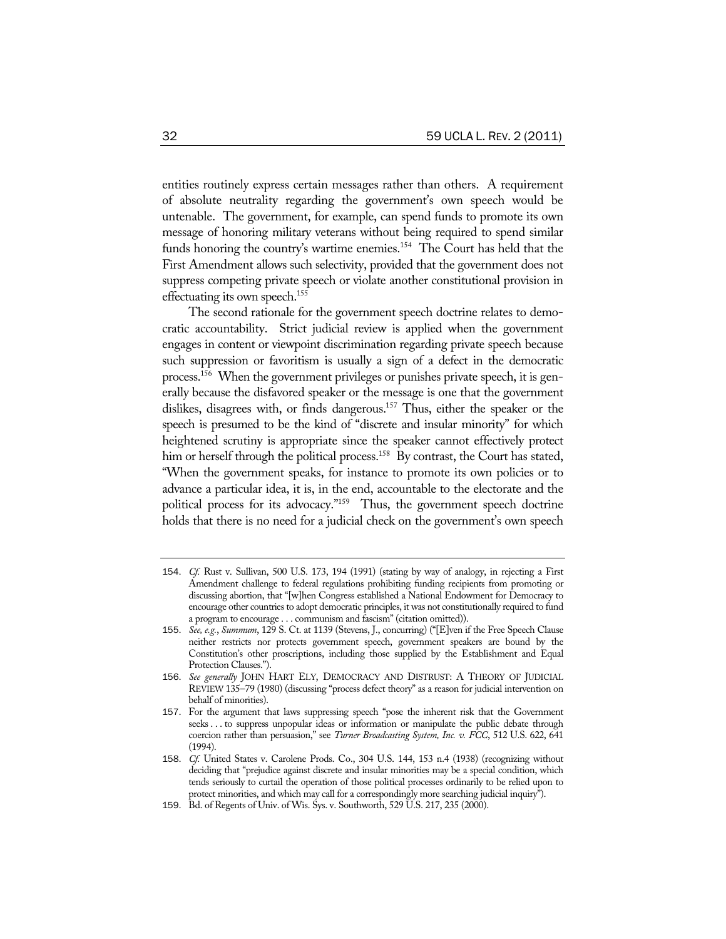entities routinely express certain messages rather than others. A requirement of absolute neutrality regarding the government's own speech would be untenable. The government, for example, can spend funds to promote its own message of honoring military veterans without being required to spend similar funds honoring the country's wartime enemies.<sup>154</sup> The Court has held that the First Amendment allows such selectivity, provided that the government does not suppress competing private speech or violate another constitutional provision in effectuating its own speech.<sup>155</sup>

The second rationale for the government speech doctrine relates to democratic accountability. Strict judicial review is applied when the government engages in content or viewpoint discrimination regarding private speech because such suppression or favoritism is usually a sign of a defect in the democratic process.156 When the government privileges or punishes private speech, it is generally because the disfavored speaker or the message is one that the government dislikes, disagrees with, or finds dangerous.157 Thus, either the speaker or the speech is presumed to be the kind of "discrete and insular minority" for which heightened scrutiny is appropriate since the speaker cannot effectively protect him or herself through the political process.<sup>158</sup> By contrast, the Court has stated, "When the government speaks, for instance to promote its own policies or to advance a particular idea, it is, in the end, accountable to the electorate and the political process for its advocacy."<sup>159</sup> Thus, the government speech doctrine holds that there is no need for a judicial check on the government's own speech

<sup>154</sup>. *Cf.* Rust v. Sullivan, 500 U.S. 173, 194 (1991) (stating by way of analogy, in rejecting a First Amendment challenge to federal regulations prohibiting funding recipients from promoting or discussing abortion, that "[w]hen Congress established a National Endowment for Democracy to encourage other countries to adopt democratic principles, it was not constitutionally required to fund a program to encourage . . . communism and fascism" (citation omitted)).

<sup>155</sup>. *See, e.g.*, *Summum*, 129 S. Ct. at 1139 (Stevens, J., concurring) ("[E]ven if the Free Speech Clause neither restricts nor protects government speech, government speakers are bound by the Constitution's other proscriptions, including those supplied by the Establishment and Equal Protection Clauses.").

<sup>156</sup>. *See generally* JOHN HART ELY, DEMOCRACY AND DISTRUST: A THEORY OF JUDICIAL REVIEW 135–79 (1980) (discussing "process defect theory" as a reason for judicial intervention on behalf of minorities).

<sup>157</sup>. For the argument that laws suppressing speech "pose the inherent risk that the Government seeks . . . to suppress unpopular ideas or information or manipulate the public debate through coercion rather than persuasion," see *Turner Broadcasting System, Inc. v. FCC*, 512 U.S. 622, 641 (1994).

<sup>158</sup>. *Cf.* United States v. Carolene Prods. Co., 304 U.S. 144, 153 n.4 (1938) (recognizing without deciding that "prejudice against discrete and insular minorities may be a special condition, which tends seriously to curtail the operation of those political processes ordinarily to be relied upon to protect minorities, and which may call for a correspondingly more searching judicial inquiry").

<sup>159</sup>. Bd. of Regents of Univ. of Wis. Sys. v. Southworth, 529 U.S. 217, 235 (2000).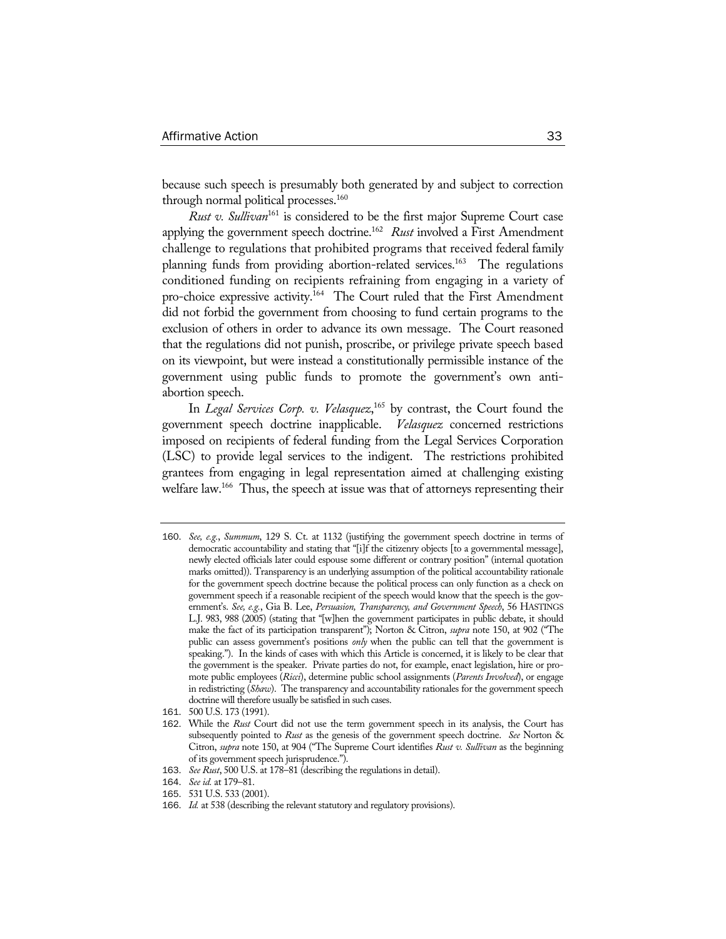because such speech is presumably both generated by and subject to correction through normal political processes.<sup>160</sup>

*Rust v. Sullivan*<sup>161</sup> is considered to be the first major Supreme Court case applying the government speech doctrine.162 *Rust* involved a First Amendment challenge to regulations that prohibited programs that received federal family planning funds from providing abortion-related services.<sup>163</sup> The regulations conditioned funding on recipients refraining from engaging in a variety of pro-choice expressive activity.<sup>164</sup> The Court ruled that the First Amendment did not forbid the government from choosing to fund certain programs to the exclusion of others in order to advance its own message. The Court reasoned that the regulations did not punish, proscribe, or privilege private speech based on its viewpoint, but were instead a constitutionally permissible instance of the government using public funds to promote the government's own antiabortion speech.

In *Legal Services Corp. v. Velasquez*, 165 by contrast, the Court found the government speech doctrine inapplicable. *Velasquez* concerned restrictions imposed on recipients of federal funding from the Legal Services Corporation (LSC) to provide legal services to the indigent. The restrictions prohibited grantees from engaging in legal representation aimed at challenging existing welfare law.<sup>166</sup> Thus, the speech at issue was that of attorneys representing their

<sup>160</sup>. *See, e.g.*, *Summum*, 129 S. Ct. at 1132 (justifying the government speech doctrine in terms of democratic accountability and stating that "[i]f the citizenry objects [to a governmental message], newly elected officials later could espouse some different or contrary position" (internal quotation marks omitted)). Transparency is an underlying assumption of the political accountability rationale for the government speech doctrine because the political process can only function as a check on government speech if a reasonable recipient of the speech would know that the speech is the government's. *See, e.g.*, Gia B. Lee, *Persuasion, Transparency, and Government Speech*, 56 HASTINGS L.J. 983, 988 (2005) (stating that "[w]hen the government participates in public debate, it should make the fact of its participation transparent"); Norton & Citron, *supra* note 150, at 902 ("The public can assess government's positions *only* when the public can tell that the government is speaking."). In the kinds of cases with which this Article is concerned, it is likely to be clear that the government is the speaker. Private parties do not, for example, enact legislation, hire or promote public employees (*Ricci*), determine public school assignments (*Parents Involved*), or engage in redistricting (*Shaw*). The transparency and accountability rationales for the government speech doctrine will therefore usually be satisfied in such cases.

<sup>161</sup>. 500 U.S. 173 (1991).

<sup>162</sup>. While the *Rust* Court did not use the term government speech in its analysis, the Court has subsequently pointed to *Rust* as the genesis of the government speech doctrine. *See* Norton & Citron, *supra* note 150, at 904 ("The Supreme Court identifies *Rust v. Sullivan* as the beginning of its government speech jurisprudence.").

<sup>163</sup>. *See Rust*, 500 U.S. at 178–81 (describing the regulations in detail).

<sup>164</sup>. *See id.* at 179–81.

<sup>165</sup>. 531 U.S. 533 (2001).

<sup>166</sup>. *Id.* at 538 (describing the relevant statutory and regulatory provisions).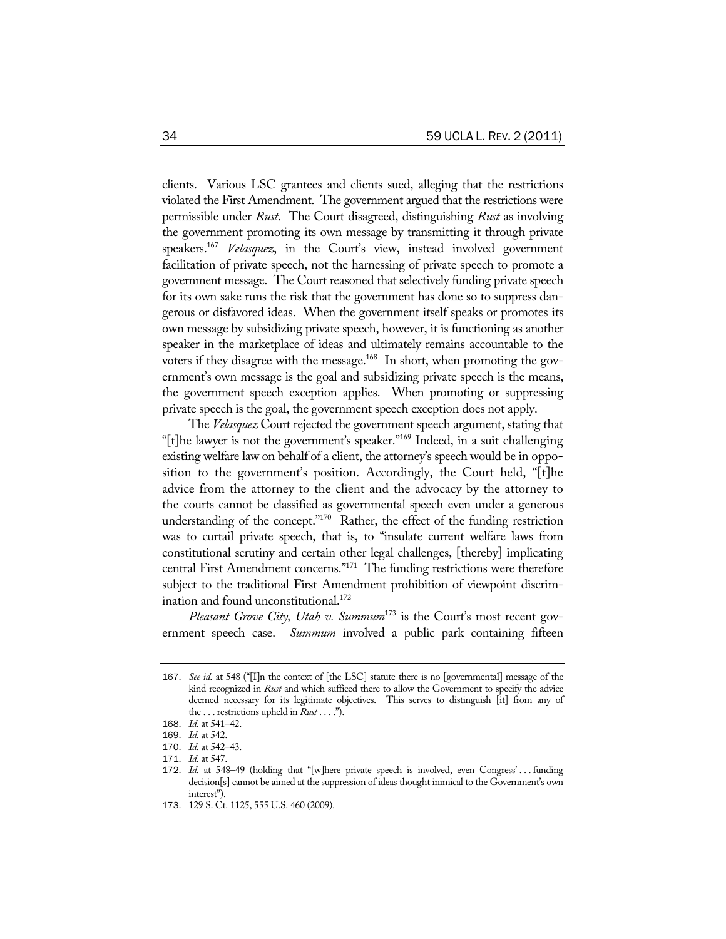clients. Various LSC grantees and clients sued, alleging that the restrictions violated the First Amendment. The government argued that the restrictions were permissible under *Rust*. The Court disagreed, distinguishing *Rust* as involving the government promoting its own message by transmitting it through private speakers.167 *Velasquez*, in the Court's view, instead involved government facilitation of private speech, not the harnessing of private speech to promote a government message. The Court reasoned that selectively funding private speech for its own sake runs the risk that the government has done so to suppress dangerous or disfavored ideas. When the government itself speaks or promotes its own message by subsidizing private speech, however, it is functioning as another speaker in the marketplace of ideas and ultimately remains accountable to the voters if they disagree with the message.<sup>168</sup> In short, when promoting the government's own message is the goal and subsidizing private speech is the means, the government speech exception applies. When promoting or suppressing private speech is the goal, the government speech exception does not apply.

The *Velasquez* Court rejected the government speech argument, stating that "[t]he lawyer is not the government's speaker."169 Indeed, in a suit challenging existing welfare law on behalf of a client, the attorney's speech would be in opposition to the government's position. Accordingly, the Court held, "[t]he advice from the attorney to the client and the advocacy by the attorney to the courts cannot be classified as governmental speech even under a generous understanding of the concept."<sup>170</sup> Rather, the effect of the funding restriction was to curtail private speech, that is, to "insulate current welfare laws from constitutional scrutiny and certain other legal challenges, [thereby] implicating central First Amendment concerns."171 The funding restrictions were therefore subject to the traditional First Amendment prohibition of viewpoint discrimination and found unconstitutional.<sup>172</sup>

*Pleasant Grove City, Utah v. Summum*<sup>173</sup> is the Court's most recent government speech case. *Summum* involved a public park containing fifteen

<sup>167</sup>. *See id.* at 548 ("[I]n the context of [the LSC] statute there is no [governmental] message of the kind recognized in *Rust* and which sufficed there to allow the Government to specify the advice deemed necessary for its legitimate objectives. This serves to distinguish [it] from any of the . . . restrictions upheld in *Rust* . . . .").

<sup>168</sup>. *Id.* at 541–42.

<sup>169</sup>. *Id.* at 542.

<sup>170</sup>. *Id.* at 542–43.

<sup>171</sup>. *Id.* at 547.

<sup>172</sup>. *Id.* at 548–49 (holding that "[w]here private speech is involved, even Congress' . . . funding decision[s] cannot be aimed at the suppression of ideas thought inimical to the Government's own interest").

<sup>173</sup>. 129 S. Ct. 1125, 555 U.S. 460 (2009).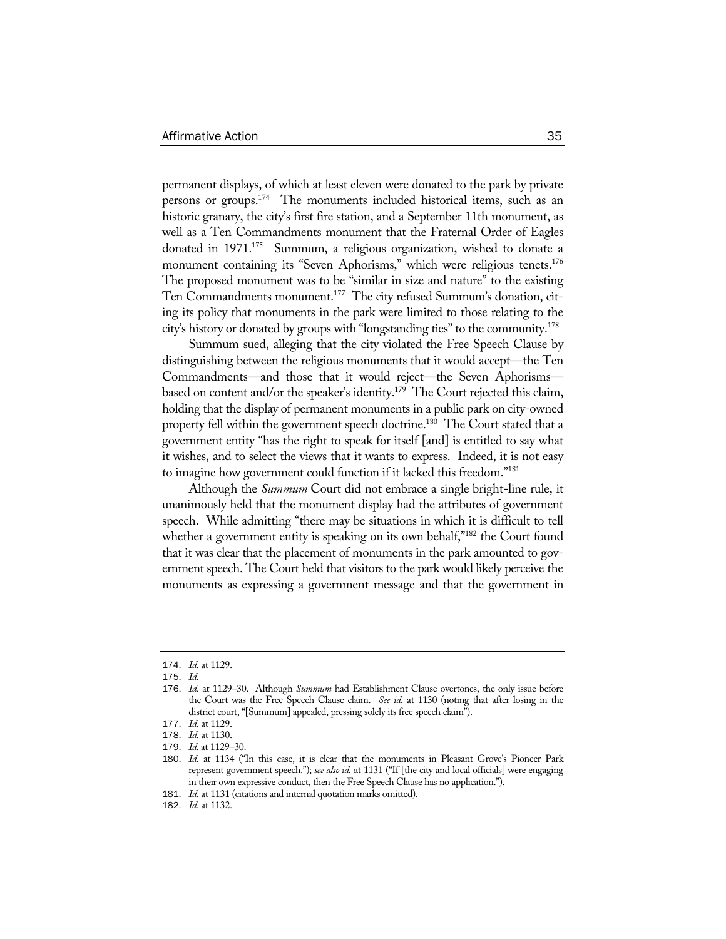permanent displays, of which at least eleven were donated to the park by private persons or groups.174 The monuments included historical items, such as an historic granary, the city's first fire station, and a September 11th monument, as well as a Ten Commandments monument that the Fraternal Order of Eagles donated in 1971.<sup>175</sup> Summum, a religious organization, wished to donate a monument containing its "Seven Aphorisms," which were religious tenets.<sup>176</sup> The proposed monument was to be "similar in size and nature" to the existing Ten Commandments monument.177 The city refused Summum's donation, citing its policy that monuments in the park were limited to those relating to the city's history or donated by groups with "longstanding ties" to the community.178

Summum sued, alleging that the city violated the Free Speech Clause by distinguishing between the religious monuments that it would accept—the Ten Commandments—and those that it would reject—the Seven Aphorisms based on content and/or the speaker's identity.<sup>179</sup> The Court rejected this claim, holding that the display of permanent monuments in a public park on city-owned property fell within the government speech doctrine.<sup>180</sup> The Court stated that a government entity "has the right to speak for itself [and] is entitled to say what it wishes, and to select the views that it wants to express. Indeed, it is not easy to imagine how government could function if it lacked this freedom."181

Although the *Summum* Court did not embrace a single bright-line rule, it unanimously held that the monument display had the attributes of government speech. While admitting "there may be situations in which it is difficult to tell whether a government entity is speaking on its own behalf,"<sup>182</sup> the Court found that it was clear that the placement of monuments in the park amounted to government speech. The Court held that visitors to the park would likely perceive the monuments as expressing a government message and that the government in

<sup>174</sup>. *Id.* at 1129.

<sup>175</sup>. *Id.*

<sup>176</sup>. *Id.* at 1129–30. Although *Summum* had Establishment Clause overtones, the only issue before the Court was the Free Speech Clause claim. *See id.* at 1130 (noting that after losing in the district court, "[Summum] appealed, pressing solely its free speech claim").

<sup>177</sup>. *Id.* at 1129.

<sup>178</sup>. *Id.* at 1130.

<sup>179</sup>. *Id.* at 1129–30.

<sup>180</sup>. *Id.* at 1134 ("In this case, it is clear that the monuments in Pleasant Grove's Pioneer Park represent government speech."); *see also id.* at 1131 ("If [the city and local officials] were engaging in their own expressive conduct, then the Free Speech Clause has no application.").

<sup>181</sup>. *Id.* at 1131 (citations and internal quotation marks omitted).

<sup>182</sup>. *Id.* at 1132.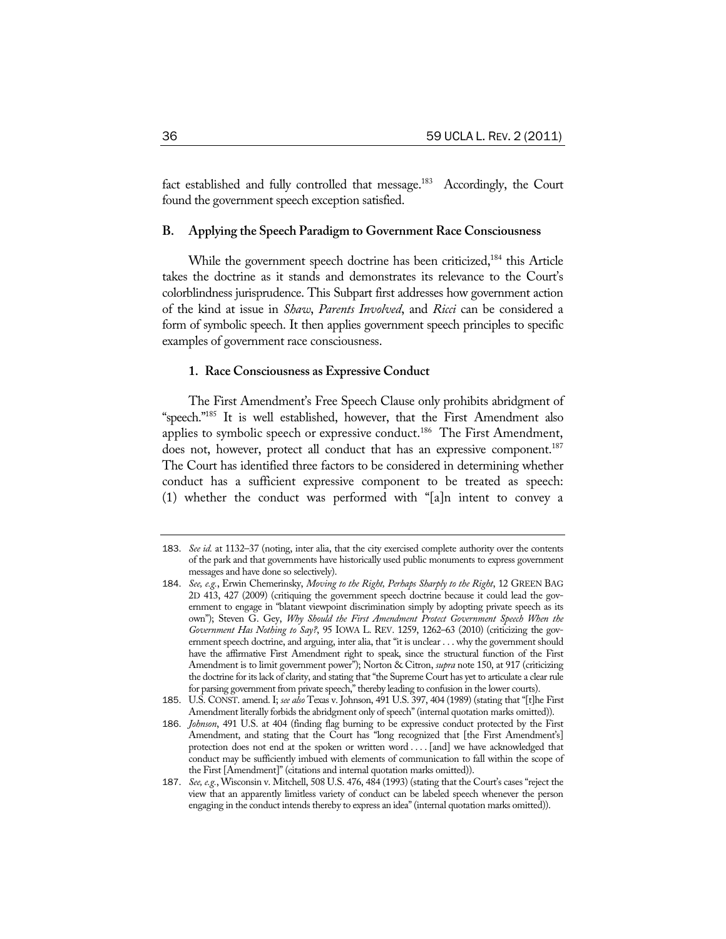fact established and fully controlled that message.<sup>183</sup> Accordingly, the Court found the government speech exception satisfied.

#### **B. Applying the Speech Paradigm to Government Race Consciousness**

While the government speech doctrine has been criticized,<sup>184</sup> this Article takes the doctrine as it stands and demonstrates its relevance to the Court's colorblindness jurisprudence. This Subpart first addresses how government action of the kind at issue in *Shaw*, *Parents Involved*, and *Ricci* can be considered a form of symbolic speech. It then applies government speech principles to specific examples of government race consciousness.

#### **1. Race Consciousness as Expressive Conduct**

The First Amendment's Free Speech Clause only prohibits abridgment of "speech."185 It is well established, however, that the First Amendment also applies to symbolic speech or expressive conduct.<sup>186</sup> The First Amendment, does not, however, protect all conduct that has an expressive component.<sup>187</sup> The Court has identified three factors to be considered in determining whether conduct has a sufficient expressive component to be treated as speech: (1) whether the conduct was performed with "[a]n intent to convey a

<sup>183</sup>. *See id.* at 1132–37 (noting, inter alia, that the city exercised complete authority over the contents of the park and that governments have historically used public monuments to express government messages and have done so selectively).

<sup>184</sup>. *See, e.g.*, Erwin Chemerinsky, *Moving to the Right, Perhaps Sharply to the Right*, 12 GREEN BAG 2D 413, 427 (2009) (critiquing the government speech doctrine because it could lead the government to engage in "blatant viewpoint discrimination simply by adopting private speech as its own"); Steven G. Gey, Why Should the First Amendment Protect Government Speech When the *Government Has Nothing to Say?*, 95 IOWA L. REV. 1259, 1262–63 (2010) (criticizing the government speech doctrine, and arguing, inter alia, that "it is unclear . . . why the government should have the affirmative First Amendment right to speak, since the structural function of the First Amendment is to limit government power"); Norton & Citron, *supra* note 150, at 917 (criticizing the doctrine for its lack of clarity, and stating that "the Supreme Court has yet to articulate a clear rule for parsing government from private speech," thereby leading to confusion in the lower courts).

<sup>185</sup>. U.S. CONST. amend. I; *see also* Texas v. Johnson, 491 U.S. 397, 404 (1989) (stating that "[t]he First Amendment literally forbids the abridgment only of speech" (internal quotation marks omitted)).

<sup>186</sup>. *Johnson*, 491 U.S. at 404 (finding flag burning to be expressive conduct protected by the First Amendment, and stating that the Court has "long recognized that [the First Amendment's] protection does not end at the spoken or written word . . . . [and] we have acknowledged that conduct may be sufficiently imbued with elements of communication to fall within the scope of the First [Amendment]" (citations and internal quotation marks omitted)).

<sup>187</sup>. *See, e.g.*, Wisconsin v. Mitchell, 508 U.S. 476, 484 (1993) (stating that the Court's cases "reject the view that an apparently limitless variety of conduct can be labeled speech whenever the person engaging in the conduct intends thereby to express an idea" (internal quotation marks omitted)).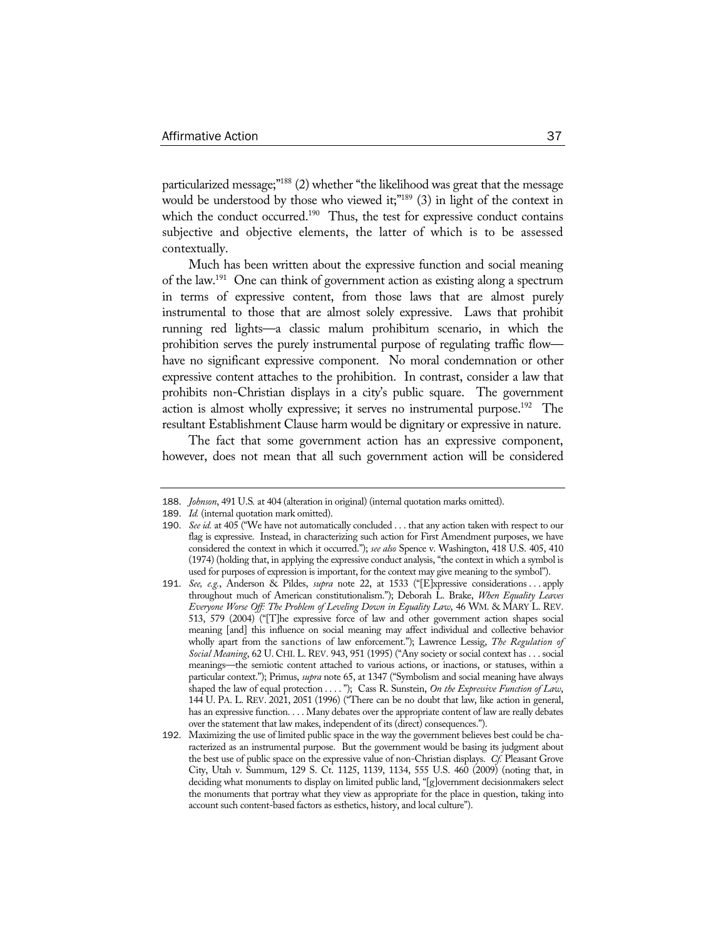particularized message;"188 (2) whether "the likelihood was great that the message would be understood by those who viewed it;"<sup>189</sup> (3) in light of the context in which the conduct occurred.<sup>190</sup> Thus, the test for expressive conduct contains subjective and objective elements, the latter of which is to be assessed contextually.

Much has been written about the expressive function and social meaning of the law.191 One can think of government action as existing along a spectrum in terms of expressive content, from those laws that are almost purely instrumental to those that are almost solely expressive. Laws that prohibit running red lights—a classic malum prohibitum scenario, in which the prohibition serves the purely instrumental purpose of regulating traffic flow have no significant expressive component. No moral condemnation or other expressive content attaches to the prohibition. In contrast, consider a law that prohibits non-Christian displays in a city's public square. The government action is almost wholly expressive; it serves no instrumental purpose.<sup>192</sup> The resultant Establishment Clause harm would be dignitary or expressive in nature.

The fact that some government action has an expressive component, however, does not mean that all such government action will be considered

<sup>188</sup>. *Johnson*, 491 U.S*.* at 404 (alteration in original) (internal quotation marks omitted).

<sup>189</sup>. *Id.* (internal quotation mark omitted).

<sup>190</sup>. *See id.* at 405 ("We have not automatically concluded . . . that any action taken with respect to our flag is expressive. Instead, in characterizing such action for First Amendment purposes, we have considered the context in which it occurred."); *see also* Spence v. Washington, 418 U.S. 405, 410 (1974) (holding that, in applying the expressive conduct analysis, "the context in which a symbol is used for purposes of expression is important, for the context may give meaning to the symbol").

<sup>191</sup>. *See, e.g.*, Anderson & Pildes, *supra* note 22, at 1533 ("[E]xpressive considerations . . . apply throughout much of American constitutionalism."); Deborah L. Brake, *When Equality Leaves Everyone Worse Off: The Problem of Leveling Down in Equality Law*, 46 WM. & MARY L. REV. 513, 579 (2004) ("[T]he expressive force of law and other government action shapes social meaning [and] this influence on social meaning may affect individual and collective behavior wholly apart from the sanctions of law enforcement."); Lawrence Lessig, *The Regulation of Social Meaning*, 62 U. CHI. L. REV. 943, 951 (1995) ("Any society or social context has . . . social meanings—the semiotic content attached to various actions, or inactions, or statuses, within a particular context."); Primus, *supra* note 65, at 1347 ("Symbolism and social meaning have always shaped the law of equal protection . . . . "); Cass R. Sunstein, *On the Expressive Function of Law*, 144 U. PA. L. REV. 2021, 2051 (1996) ("There can be no doubt that law, like action in general, has an expressive function. . . . Many debates over the appropriate content of law are really debates over the statement that law makes, independent of its (direct) consequences.").

<sup>192</sup>. Maximizing the use of limited public space in the way the government believes best could be characterized as an instrumental purpose. But the government would be basing its judgment about the best use of public space on the expressive value of non-Christian displays. *Cf.* Pleasant Grove City, Utah v. Summum, 129 S. Ct. 1125, 1139, 1134, 555 U.S. 460 (2009) (noting that, in deciding what monuments to display on limited public land, "[g]overnment decisionmakers select the monuments that portray what they view as appropriate for the place in question, taking into account such content-based factors as esthetics, history, and local culture").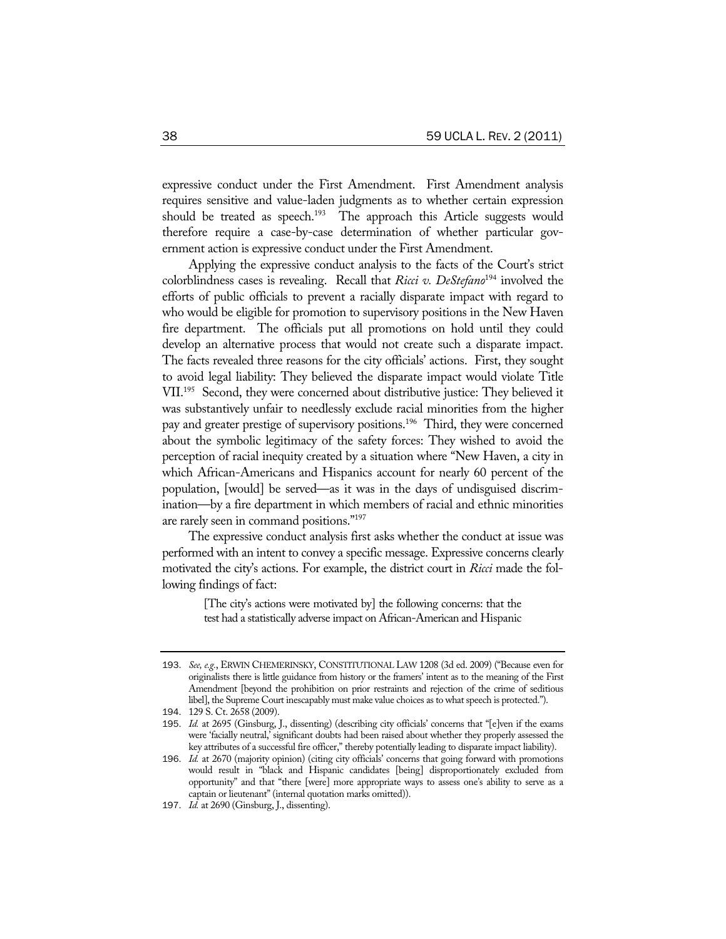expressive conduct under the First Amendment. First Amendment analysis requires sensitive and value-laden judgments as to whether certain expression should be treated as speech.<sup>193</sup> The approach this Article suggests would therefore require a case-by-case determination of whether particular government action is expressive conduct under the First Amendment.

Applying the expressive conduct analysis to the facts of the Court's strict colorblindness cases is revealing. Recall that *Ricci v. DeStefano*194 involved the efforts of public officials to prevent a racially disparate impact with regard to who would be eligible for promotion to supervisory positions in the New Haven fire department. The officials put all promotions on hold until they could develop an alternative process that would not create such a disparate impact. The facts revealed three reasons for the city officials' actions. First, they sought to avoid legal liability: They believed the disparate impact would violate Title VII.195 Second, they were concerned about distributive justice: They believed it was substantively unfair to needlessly exclude racial minorities from the higher pay and greater prestige of supervisory positions.<sup>196</sup> Third, they were concerned about the symbolic legitimacy of the safety forces: They wished to avoid the perception of racial inequity created by a situation where "New Haven, a city in which African-Americans and Hispanics account for nearly 60 percent of the population, [would] be served—as it was in the days of undisguised discrimination—by a fire department in which members of racial and ethnic minorities are rarely seen in command positions."197

The expressive conduct analysis first asks whether the conduct at issue was performed with an intent to convey a specific message. Expressive concerns clearly motivated the city's actions. For example, the district court in *Ricci* made the following findings of fact:

> [The city's actions were motivated by] the following concerns: that the test had a statistically adverse impact on African-American and Hispanic

<sup>193</sup>. *See, e.g.*, ERWIN CHEMERINSKY, CONSTITUTIONAL LAW 1208 (3d ed. 2009) ("Because even for originalists there is little guidance from history or the framers' intent as to the meaning of the First Amendment [beyond the prohibition on prior restraints and rejection of the crime of seditious libel], the Supreme Court inescapably must make value choices as to what speech is protected.").

<sup>194</sup>. 129 S. Ct. 2658 (2009).

<sup>195</sup>. *Id.* at 2695 (Ginsburg, J., dissenting) (describing city officials' concerns that "[e]ven if the exams were 'facially neutral,' significant doubts had been raised about whether they properly assessed the key attributes of a successful fire officer," thereby potentially leading to disparate impact liability).

<sup>196</sup>. *Id.* at 2670 (majority opinion) (citing city officials' concerns that going forward with promotions would result in "black and Hispanic candidates [being] disproportionately excluded from opportunity" and that "there [were] more appropriate ways to assess one's ability to serve as a captain or lieutenant" (internal quotation marks omitted)).

<sup>197</sup>. *Id.* at 2690 (Ginsburg, J., dissenting).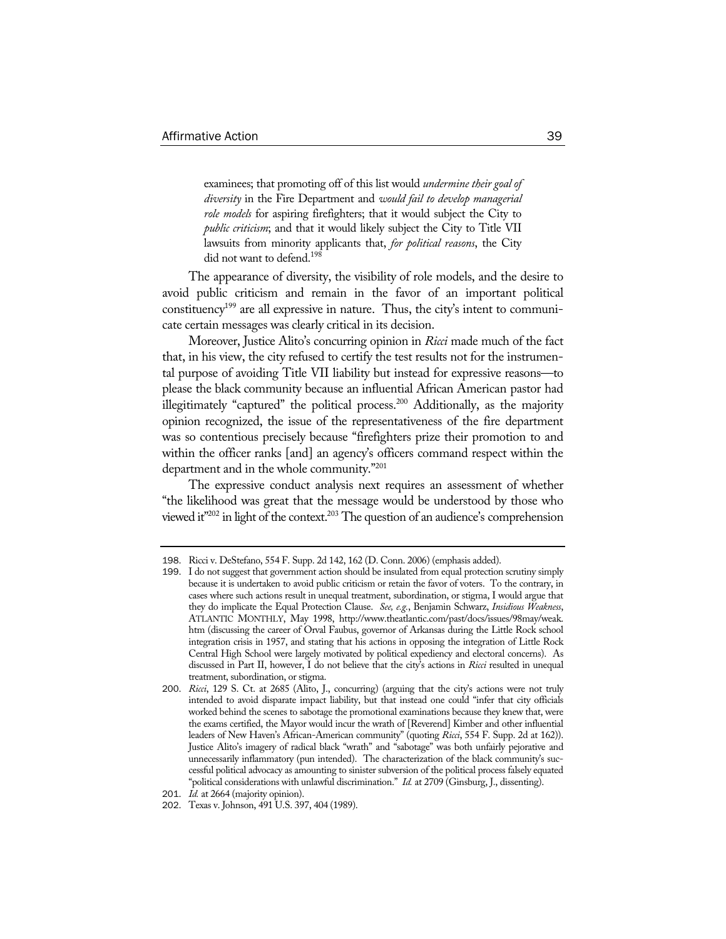examinees; that promoting off of this list would *undermine their goal of diversity* in the Fire Department and *would fail to develop managerial role models* for aspiring firefighters; that it would subject the City to *public criticism*; and that it would likely subject the City to Title VII lawsuits from minority applicants that, *for political reasons*, the City did not want to defend.<sup>198</sup>

The appearance of diversity, the visibility of role models, and the desire to avoid public criticism and remain in the favor of an important political constituency<sup>199</sup> are all expressive in nature. Thus, the city's intent to communicate certain messages was clearly critical in its decision.

Moreover, Justice Alito's concurring opinion in *Ricci* made much of the fact that, in his view, the city refused to certify the test results not for the instrumental purpose of avoiding Title VII liability but instead for expressive reasons—to please the black community because an influential African American pastor had illegitimately "captured" the political process.<sup>200</sup> Additionally, as the majority opinion recognized, the issue of the representativeness of the fire department was so contentious precisely because "firefighters prize their promotion to and within the officer ranks [and] an agency's officers command respect within the department and in the whole community."201

The expressive conduct analysis next requires an assessment of whether "the likelihood was great that the message would be understood by those who viewed it"<sup>202</sup> in light of the context.<sup>203</sup> The question of an audience's comprehension

<sup>198</sup>. Ricci v. DeStefano, 554 F. Supp. 2d 142, 162 (D. Conn. 2006) (emphasis added).

<sup>199</sup>. I do not suggest that government action should be insulated from equal protection scrutiny simply because it is undertaken to avoid public criticism or retain the favor of voters. To the contrary, in cases where such actions result in unequal treatment, subordination, or stigma, I would argue that they do implicate the Equal Protection Clause. *See, e.g.*, Benjamin Schwarz, *Insidious Weakness*, ATLANTIC MONTHLY, May 1998, http://www.theatlantic.com/past/docs/issues/98may/weak. htm (discussing the career of Orval Faubus, governor of Arkansas during the Little Rock school integration crisis in 1957, and stating that his actions in opposing the integration of Little Rock Central High School were largely motivated by political expediency and electoral concerns). As discussed in Part II, however, I do not believe that the city's actions in *Ricci* resulted in unequal treatment, subordination, or stigma.

<sup>200</sup>. *Ricci*, 129 S. Ct. at 2685 (Alito, J., concurring) (arguing that the city's actions were not truly intended to avoid disparate impact liability, but that instead one could "infer that city officials worked behind the scenes to sabotage the promotional examinations because they knew that, were the exams certified, the Mayor would incur the wrath of [Reverend] Kimber and other influential leaders of New Haven's African-American community" (quoting *Ricci*, 554 F. Supp. 2d at 162)). Justice Alito's imagery of radical black "wrath" and "sabotage" was both unfairly pejorative and unnecessarily inflammatory (pun intended). The characterization of the black community's successful political advocacy as amounting to sinister subversion of the political process falsely equated "political considerations with unlawful discrimination." *Id.* at 2709 (Ginsburg, J., dissenting).

<sup>201</sup>. *Id.* at 2664 (majority opinion).

<sup>202</sup>. Texas v. Johnson, 491 U.S. 397, 404 (1989).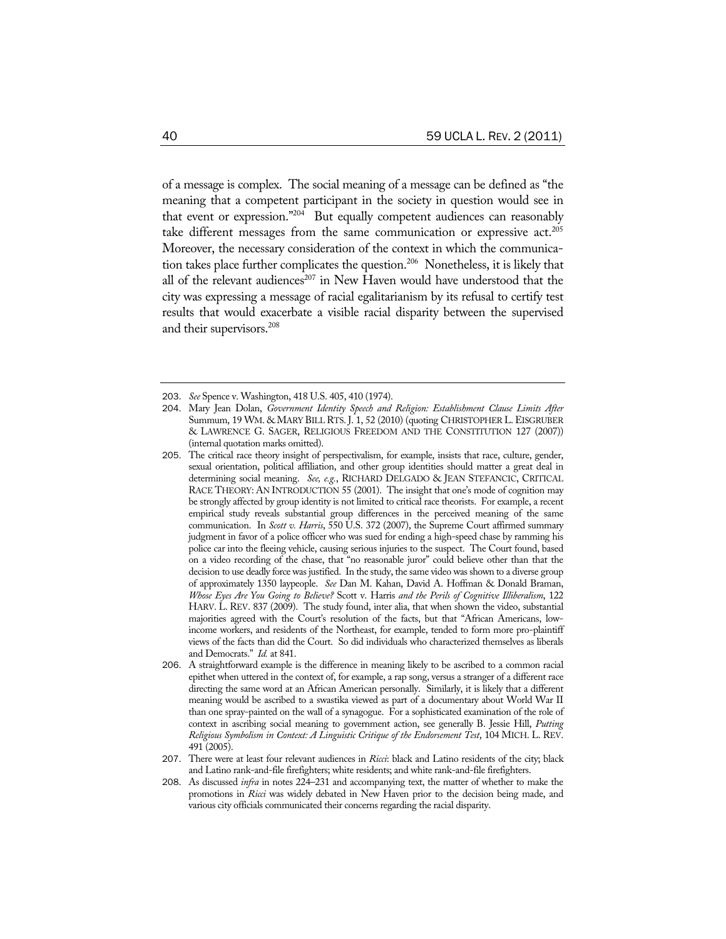of a message is complex. The social meaning of a message can be defined as "the meaning that a competent participant in the society in question would see in that event or expression."204 But equally competent audiences can reasonably take different messages from the same communication or expressive act.<sup>205</sup> Moreover, the necessary consideration of the context in which the communication takes place further complicates the question.206 Nonetheless, it is likely that all of the relevant audiences<sup>207</sup> in New Haven would have understood that the city was expressing a message of racial egalitarianism by its refusal to certify test results that would exacerbate a visible racial disparity between the supervised and their supervisors.<sup>208</sup>

<sup>203</sup>. *See* Spence v. Washington, 418 U.S. 405, 410 (1974).

<sup>204</sup>. Mary Jean Dolan, *Government Identity Speech and Religion: Establishment Clause Limits After*  Summum, 19 WM. & MARY BILL RTS. J. 1, 52 (2010) (quoting CHRISTOPHER L. EISGRUBER & LAWRENCE G. SAGER, RELIGIOUS FREEDOM AND THE CONSTITUTION 127 (2007)) (internal quotation marks omitted).

<sup>205</sup>. The critical race theory insight of perspectivalism, for example, insists that race, culture, gender, sexual orientation, political affiliation, and other group identities should matter a great deal in determining social meaning. *See, e.g.*, RICHARD DELGADO & JEAN STEFANCIC, CRITICAL RACE THEORY: AN INTRODUCTION 55 (2001). The insight that one's mode of cognition may be strongly affected by group identity is not limited to critical race theorists. For example, a recent empirical study reveals substantial group differences in the perceived meaning of the same communication. In *Scott v. Harris*, 550 U.S. 372 (2007), the Supreme Court affirmed summary judgment in favor of a police officer who was sued for ending a high-speed chase by ramming his police car into the fleeing vehicle, causing serious injuries to the suspect. The Court found, based on a video recording of the chase, that "no reasonable juror" could believe other than that the decision to use deadly force was justified. In the study, the same video was shown to a diverse group of approximately 1350 laypeople. *See* Dan M. Kahan, David A. Hoffman & Donald Braman, *Whose Eyes Are You Going to Believe?* Scott v. Harris *and the Perils of Cognitive Illiberalism*, 122 HARV. L. REV. 837 (2009). The study found, inter alia, that when shown the video, substantial majorities agreed with the Court's resolution of the facts, but that "African Americans, lowincome workers, and residents of the Northeast, for example, tended to form more pro-plaintiff views of the facts than did the Court. So did individuals who characterized themselves as liberals and Democrats." *Id.* at 841.

<sup>206</sup>. A straightforward example is the difference in meaning likely to be ascribed to a common racial epithet when uttered in the context of, for example, a rap song, versus a stranger of a different race directing the same word at an African American personally. Similarly, it is likely that a different meaning would be ascribed to a swastika viewed as part of a documentary about World War II than one spray-painted on the wall of a synagogue. For a sophisticated examination of the role of context in ascribing social meaning to government action, see generally B. Jessie Hill, *Putting Religious Symbolism in Context: A Linguistic Critique of the Endorsement Test*, 104 MICH. L. REV. 491 (2005).

<sup>207</sup>. There were at least four relevant audiences in *Ricci*: black and Latino residents of the city; black and Latino rank-and-file firefighters; white residents; and white rank-and-file firefighters.

<sup>208</sup>. As discussed *infra* in notes 224–231 and accompanying text, the matter of whether to make the promotions in *Ricci* was widely debated in New Haven prior to the decision being made, and various city officials communicated their concerns regarding the racial disparity.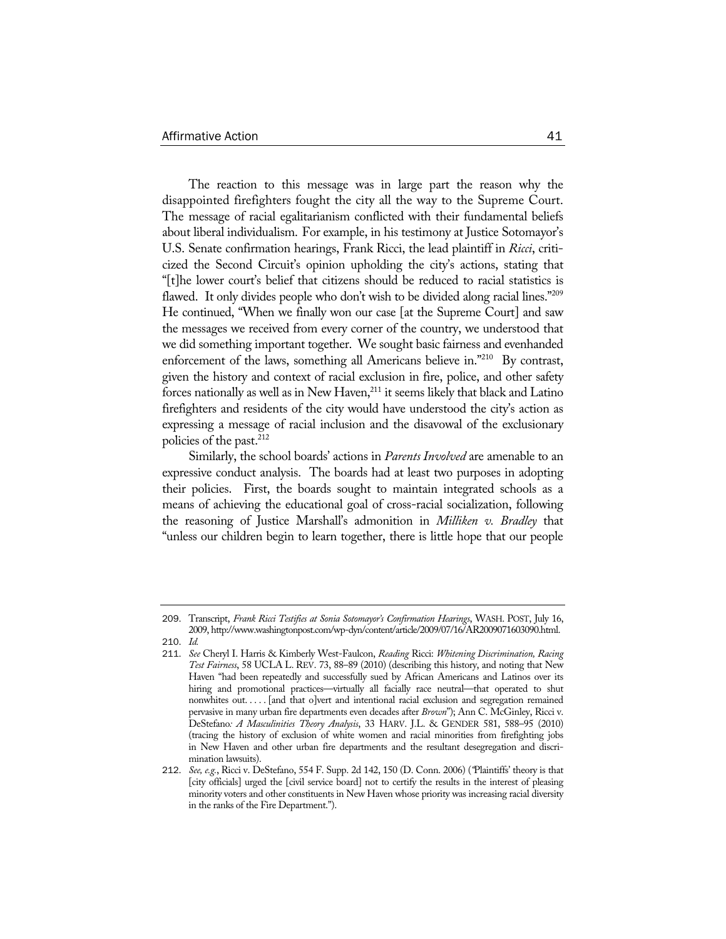The reaction to this message was in large part the reason why the disappointed firefighters fought the city all the way to the Supreme Court. The message of racial egalitarianism conflicted with their fundamental beliefs about liberal individualism. For example, in his testimony at Justice Sotomayor's U.S. Senate confirmation hearings, Frank Ricci, the lead plaintiff in *Ricci*, criticized the Second Circuit's opinion upholding the city's actions, stating that "[t]he lower court's belief that citizens should be reduced to racial statistics is flawed. It only divides people who don't wish to be divided along racial lines."<sup>209</sup> He continued, "When we finally won our case [at the Supreme Court] and saw the messages we received from every corner of the country, we understood that we did something important together. We sought basic fairness and evenhanded enforcement of the laws, something all Americans believe in."<sup>210</sup> By contrast, given the history and context of racial exclusion in fire, police, and other safety forces nationally as well as in New Haven, $^{211}$  it seems likely that black and Latino firefighters and residents of the city would have understood the city's action as expressing a message of racial inclusion and the disavowal of the exclusionary policies of the past. $^{212}$ 

Similarly, the school boards' actions in *Parents Involved* are amenable to an expressive conduct analysis. The boards had at least two purposes in adopting their policies. First, the boards sought to maintain integrated schools as a means of achieving the educational goal of cross-racial socialization, following the reasoning of Justice Marshall's admonition in *Milliken v. Bradley* that "unless our children begin to learn together, there is little hope that our people

210. *Id.*

<sup>209</sup>. Transcript, *Frank Ricci Testifies at Sonia Sotomayor's Confirmation Hearings*, WASH. POST, July 16, 2009, http://www.washingtonpost.com/wp-dyn/content/article/2009/07/16/AR2009071603090.html.

<sup>211</sup>. *See* Cheryl I. Harris & Kimberly West-Faulcon, *Reading* Ricci: *Whitening Discrimination, Racing Test Fairness*, 58 UCLA L. REV. 73, 88–89 (2010) (describing this history, and noting that New Haven "had been repeatedly and successfully sued by African Americans and Latinos over its hiring and promotional practices—virtually all facially race neutral—that operated to shut nonwhites out. . . . . [and that o]vert and intentional racial exclusion and segregation remained pervasive in many urban fire departments even decades after *Brown*"); Ann C. McGinley, Ricci v. DeStefano*: A Masculinities Theory Analysis*, 33 HARV. J.L. & GENDER 581, 588–95 (2010) (tracing the history of exclusion of white women and racial minorities from firefighting jobs in New Haven and other urban fire departments and the resultant desegregation and discrimination lawsuits).

<sup>212</sup>. *See, e.g.*, Ricci v. DeStefano, 554 F. Supp. 2d 142, 150 (D. Conn. 2006) (*"*Plaintiffs' theory is that [city officials] urged the [civil service board] not to certify the results in the interest of pleasing minority voters and other constituents in New Haven whose priority was increasing racial diversity in the ranks of the Fire Department.").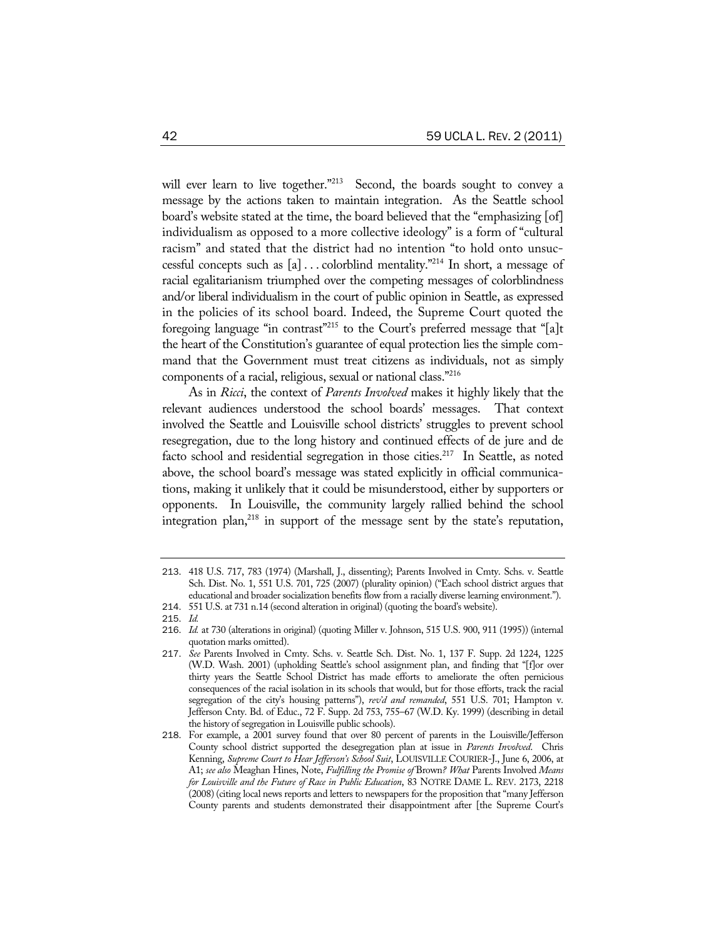will ever learn to live together."<sup>213</sup> Second, the boards sought to convey a message by the actions taken to maintain integration. As the Seattle school board's website stated at the time, the board believed that the "emphasizing [of] individualism as opposed to a more collective ideology" is a form of "cultural racism" and stated that the district had no intention "to hold onto unsuccessful concepts such as [a] . . . colorblind mentality."214 In short, a message of racial egalitarianism triumphed over the competing messages of colorblindness and/or liberal individualism in the court of public opinion in Seattle, as expressed in the policies of its school board. Indeed, the Supreme Court quoted the foregoing language "in contrast"215 to the Court's preferred message that "[a]t the heart of the Constitution's guarantee of equal protection lies the simple command that the Government must treat citizens as individuals, not as simply components of a racial, religious, sexual or national class."216

As in *Ricci*, the context of *Parents Involved* makes it highly likely that the relevant audiences understood the school boards' messages. That context involved the Seattle and Louisville school districts' struggles to prevent school resegregation, due to the long history and continued effects of de jure and de facto school and residential segregation in those cities.<sup>217</sup> In Seattle, as noted above, the school board's message was stated explicitly in official communications, making it unlikely that it could be misunderstood, either by supporters or opponents. In Louisville, the community largely rallied behind the school integration plan,<sup>218</sup> in support of the message sent by the state's reputation,

<sup>213</sup>. 418 U.S. 717, 783 (1974) (Marshall, J., dissenting); Parents Involved in Cmty. Schs. v. Seattle Sch. Dist. No. 1, 551 U.S. 701, 725 (2007) (plurality opinion) ("Each school district argues that educational and broader socialization benefits flow from a racially diverse learning environment.").

<sup>214</sup>. 551 U.S. at 731 n.14 (second alteration in original) (quoting the board's website).

<sup>215</sup>. *Id.*

<sup>216</sup>. *Id.* at 730 (alterations in original) (quoting Miller v. Johnson, 515 U.S. 900, 911 (1995)) (internal quotation marks omitted).

<sup>217</sup>. *See* Parents Involved in Cmty. Schs. v. Seattle Sch. Dist. No. 1, 137 F. Supp. 2d 1224, 1225 (W.D. Wash. 2001) (upholding Seattle's school assignment plan, and finding that "[f]or over thirty years the Seattle School District has made efforts to ameliorate the often pernicious consequences of the racial isolation in its schools that would, but for those efforts, track the racial segregation of the city's housing patterns"), *rev'd and remanded*, 551 U.S. 701; Hampton v. Jefferson Cnty. Bd. of Educ., 72 F. Supp. 2d 753, 755–67 (W.D. Ky. 1999) (describing in detail the history of segregation in Louisville public schools).

<sup>218</sup>. For example, a 2001 survey found that over 80 percent of parents in the Louisville/Jefferson County school district supported the desegregation plan at issue in *Parents Involved*. Chris Kenning, *Supreme Court to Hear Jefferson's School Suit*, LOUISVILLE COURIER-J., June 6, 2006, at A1; *see also* Meaghan Hines, Note, *Fulfilling the Promise of* Brown*? What* Parents Involved *Means for Louisville and the Future of Race in Public Education*, 83 NOTRE DAME L. REV. 2173, 2218 (2008) (citing local news reports and letters to newspapers for the proposition that "many Jefferson County parents and students demonstrated their disappointment after [the Supreme Court's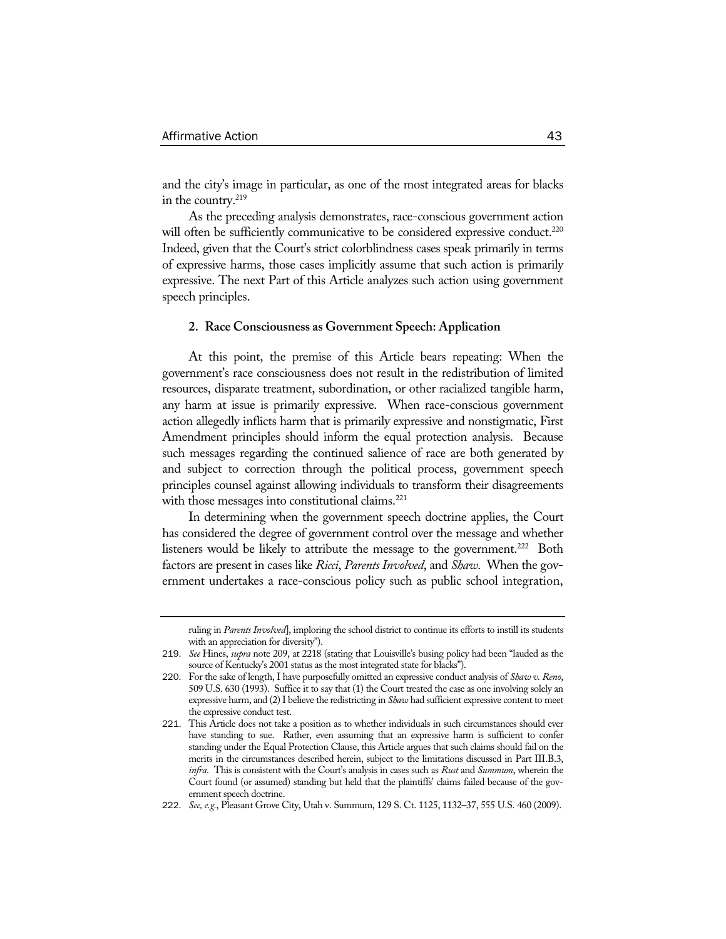and the city's image in particular, as one of the most integrated areas for blacks in the country.<sup>219</sup>

As the preceding analysis demonstrates, race-conscious government action will often be sufficiently communicative to be considered expressive conduct.<sup>220</sup> Indeed, given that the Court's strict colorblindness cases speak primarily in terms of expressive harms, those cases implicitly assume that such action is primarily expressive. The next Part of this Article analyzes such action using government speech principles.

#### **2. Race Consciousness as Government Speech: Application**

At this point, the premise of this Article bears repeating: When the government's race consciousness does not result in the redistribution of limited resources, disparate treatment, subordination, or other racialized tangible harm, any harm at issue is primarily expressive. When race-conscious government action allegedly inflicts harm that is primarily expressive and nonstigmatic, First Amendment principles should inform the equal protection analysis. Because such messages regarding the continued salience of race are both generated by and subject to correction through the political process, government speech principles counsel against allowing individuals to transform their disagreements with those messages into constitutional claims.<sup>221</sup>

In determining when the government speech doctrine applies, the Court has considered the degree of government control over the message and whether listeners would be likely to attribute the message to the government.<sup>222</sup> Both factors are present in cases like *Ricci*, *Parents Involved*, and *Shaw*. When the government undertakes a race-conscious policy such as public school integration,

ruling in *Parents Involved*], imploring the school district to continue its efforts to instill its students with an appreciation for diversity").

<sup>219</sup>. *See* Hines, *supra* note 209, at 2218 (stating that Louisville's busing policy had been "lauded as the source of Kentucky's 2001 status as the most integrated state for blacks").

<sup>220</sup>. For the sake of length, I have purposefully omitted an expressive conduct analysis of *Shaw v. Reno*, 509 U.S. 630 (1993). Suffice it to say that (1) the Court treated the case as one involving solely an expressive harm, and (2) I believe the redistricting in *Shaw* had sufficient expressive content to meet the expressive conduct test.

<sup>221</sup>. This Article does not take a position as to whether individuals in such circumstances should ever have standing to sue. Rather, even assuming that an expressive harm is sufficient to confer standing under the Equal Protection Clause, this Article argues that such claims should fail on the merits in the circumstances described herein, subject to the limitations discussed in Part III.B.3, *infra*. This is consistent with the Court's analysis in cases such as *Rust* and *Summum*, wherein the Court found (or assumed) standing but held that the plaintiffs' claims failed because of the government speech doctrine.

<sup>222</sup>. *See, e.g.*, Pleasant Grove City, Utah v. Summum, 129 S. Ct. 1125, 1132–37, 555 U.S. 460 (2009).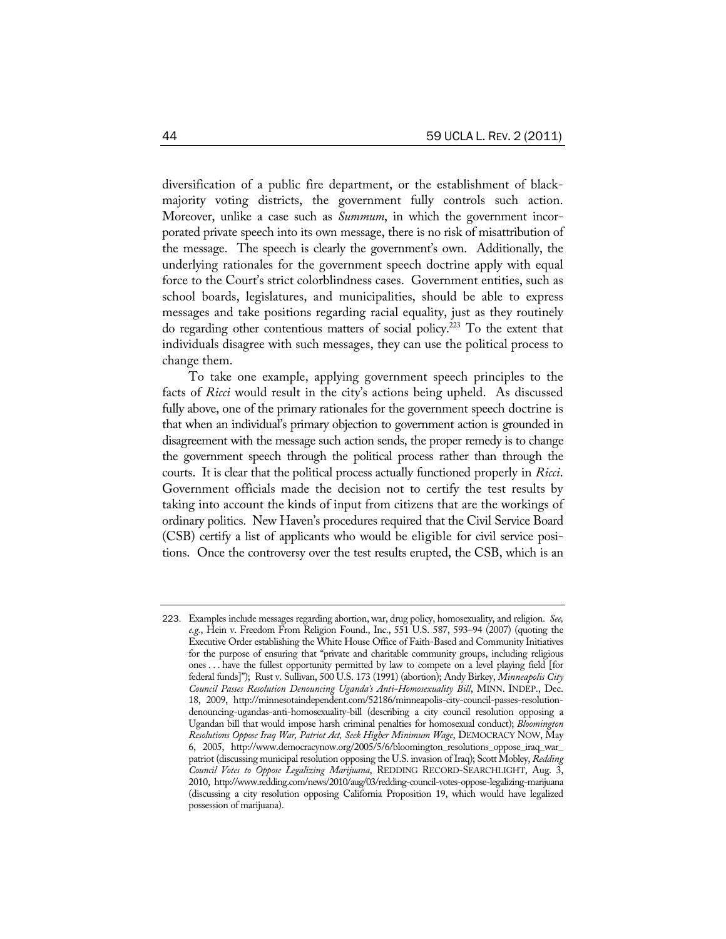diversification of a public fire department, or the establishment of blackmajority voting districts, the government fully controls such action. Moreover, unlike a case such as *Summum*, in which the government incorporated private speech into its own message, there is no risk of misattribution of the message. The speech is clearly the government's own. Additionally, the underlying rationales for the government speech doctrine apply with equal force to the Court's strict colorblindness cases. Government entities, such as school boards, legislatures, and municipalities, should be able to express messages and take positions regarding racial equality, just as they routinely do regarding other contentious matters of social policy.223 To the extent that individuals disagree with such messages, they can use the political process to change them.

To take one example, applying government speech principles to the facts of *Ricci* would result in the city's actions being upheld. As discussed fully above, one of the primary rationales for the government speech doctrine is that when an individual's primary objection to government action is grounded in disagreement with the message such action sends, the proper remedy is to change the government speech through the political process rather than through the courts. It is clear that the political process actually functioned properly in *Ricci*. Government officials made the decision not to certify the test results by taking into account the kinds of input from citizens that are the workings of ordinary politics. New Haven's procedures required that the Civil Service Board (CSB) certify a list of applicants who would be eligible for civil service positions. Once the controversy over the test results erupted, the CSB, which is an

<sup>223</sup>. Examples include messages regarding abortion, war, drug policy, homosexuality, and religion. *See, e.g.*, Hein v. Freedom From Religion Found., Inc., 551 U.S. 587, 593–94 (2007) (quoting the Executive Order establishing the White House Office of Faith-Based and Community Initiatives for the purpose of ensuring that "private and charitable community groups, including religious ones . . . have the fullest opportunity permitted by law to compete on a level playing field [for federal funds]"); Rust v. Sullivan, 500 U.S. 173 (1991) (abortion); Andy Birkey, *Minneapolis City Council Passes Resolution Denouncing Uganda's Anti-Homosexuality Bill*, MINN. INDEP., Dec. 18, 2009, http://minnesotaindependent.com/52186/minneapolis-city-council-passes-resolutiondenouncing-ugandas-anti-homosexuality-bill (describing a city council resolution opposing a Ugandan bill that would impose harsh criminal penalties for homosexual conduct); *Bloomington Resolutions Oppose Iraq War, Patriot Act, Seek Higher Minimum Wage*, DEMOCRACY NOW, May 6, 2005, http://www.democracynow.org/2005/5/6/bloomington\_resolutions\_oppose\_iraq\_war\_ patriot (discussing municipal resolution opposing the U.S. invasion of Iraq); Scott Mobley, *Redding Council Votes to Oppose Legalizing Marijuana*, REDDING RECORD-SEARCHLIGHT, Aug. 3, 2010, http://www.redding.com/news/2010/aug/03/redding-council-votes-oppose-legalizing-marijuana (discussing a city resolution opposing California Proposition 19, which would have legalized possession of marijuana).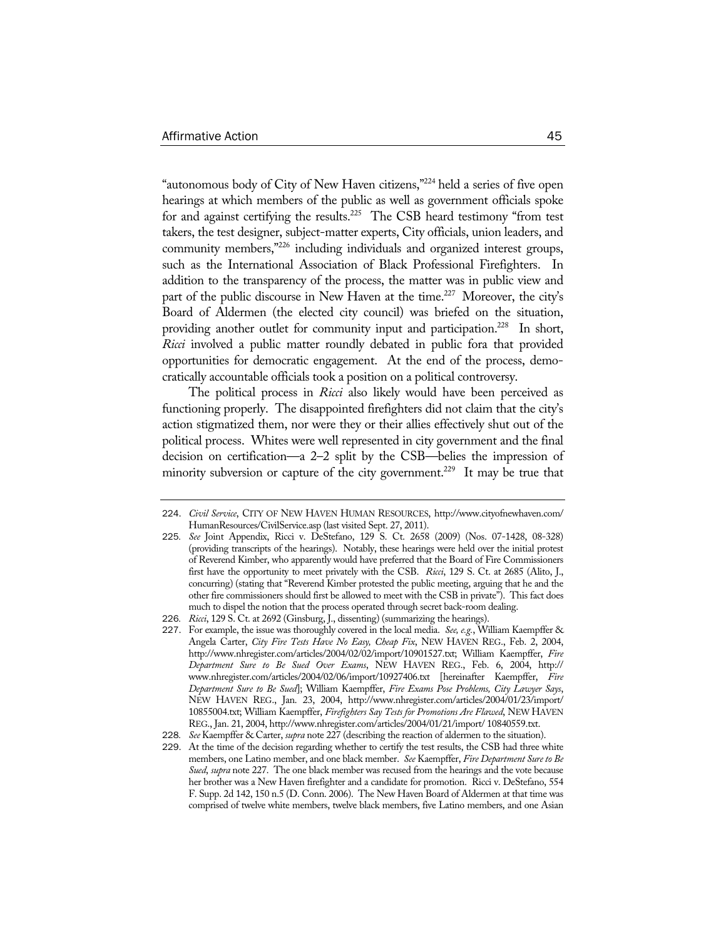"autonomous body of City of New Haven citizens,"224 held a series of five open hearings at which members of the public as well as government officials spoke for and against certifying the results.<sup>225</sup> The CSB heard testimony "from test takers, the test designer, subject-matter experts, City officials, union leaders, and community members,"226 including individuals and organized interest groups, such as the International Association of Black Professional Firefighters. In addition to the transparency of the process, the matter was in public view and part of the public discourse in New Haven at the time.<sup>227</sup> Moreover, the city's Board of Aldermen (the elected city council) was briefed on the situation, providing another outlet for community input and participation.<sup>228</sup> In short, *Ricci* involved a public matter roundly debated in public fora that provided opportunities for democratic engagement. At the end of the process, democratically accountable officials took a position on a political controversy.

The political process in *Ricci* also likely would have been perceived as functioning properly. The disappointed firefighters did not claim that the city's action stigmatized them, nor were they or their allies effectively shut out of the political process. Whites were well represented in city government and the final decision on certification—a 2–2 split by the CSB—belies the impression of minority subversion or capture of the city government.<sup>229</sup> It may be true that

<sup>224</sup>. *Civil Service*, CITY OF NEW HAVEN HUMAN RESOURCES, http://www.cityofnewhaven.com/ HumanResources/CivilService.asp (last visited Sept. 27, 2011).

<sup>225</sup>*. See* Joint Appendix, Ricci v. DeStefano, 129 S. Ct. 2658 (2009) (Nos. 07-1428, 08-328) (providing transcripts of the hearings). Notably, these hearings were held over the initial protest of Reverend Kimber, who apparently would have preferred that the Board of Fire Commissioners first have the opportunity to meet privately with the CSB. *Ricci*, 129 S. Ct. at 2685 (Alito, J., concurring) (stating that "Reverend Kimber protested the public meeting, arguing that he and the other fire commissioners should first be allowed to meet with the CSB in private"). This fact does much to dispel the notion that the process operated through secret back-room dealing.

<sup>226</sup>*. Ricci*, 129 S. Ct. at 2692 (Ginsburg, J., dissenting) (summarizing the hearings).

<sup>227</sup>. For example, the issue was thoroughly covered in the local media. *See, e.g.*, William Kaempffer & Angela Carter, *City Fire Tests Have No Easy, Cheap Fix*, NEW HAVEN REG., Feb. 2, 2004, http://www.nhregister.com/articles/2004/02/02/import/10901527.txt; William Kaempffer, *Fire Department Sure to Be Sued Over Exams*, NEW HAVEN REG., Feb. 6, 2004, http:// www.nhregister.com/articles/2004/02/06/import/10927406.txt [hereinafter Kaempffer, *Fire Department Sure to Be Sued*]; William Kaempffer, *Fire Exams Pose Problems, City Lawyer Says*, NEW HAVEN REG., Jan. 23, 2004, http://www.nhregister.com/articles/2004/01/23/import/ 10855004.txt; William Kaempffer, *Firefighters Say Tests for Promotions Are Flawed*, NEW HAVEN REG., Jan. 21, 2004, http://www.nhregister.com/articles/2004/01/21/import/ 10840559.txt.

<sup>228</sup>*. See* Kaempffer & Carter, *supra* note 227 (describing the reaction of aldermen to the situation).

<sup>229</sup>. At the time of the decision regarding whether to certify the test results, the CSB had three white members, one Latino member, and one black member. *See* Kaempffer, *Fire Department Sure to Be Sued*, *supra* note 227. The one black member was recused from the hearings and the vote because her brother was a New Haven firefighter and a candidate for promotion. Ricci v. DeStefano, 554 F. Supp. 2d 142, 150 n.5 (D. Conn. 2006). The New Haven Board of Aldermen at that time was comprised of twelve white members, twelve black members, five Latino members, and one Asian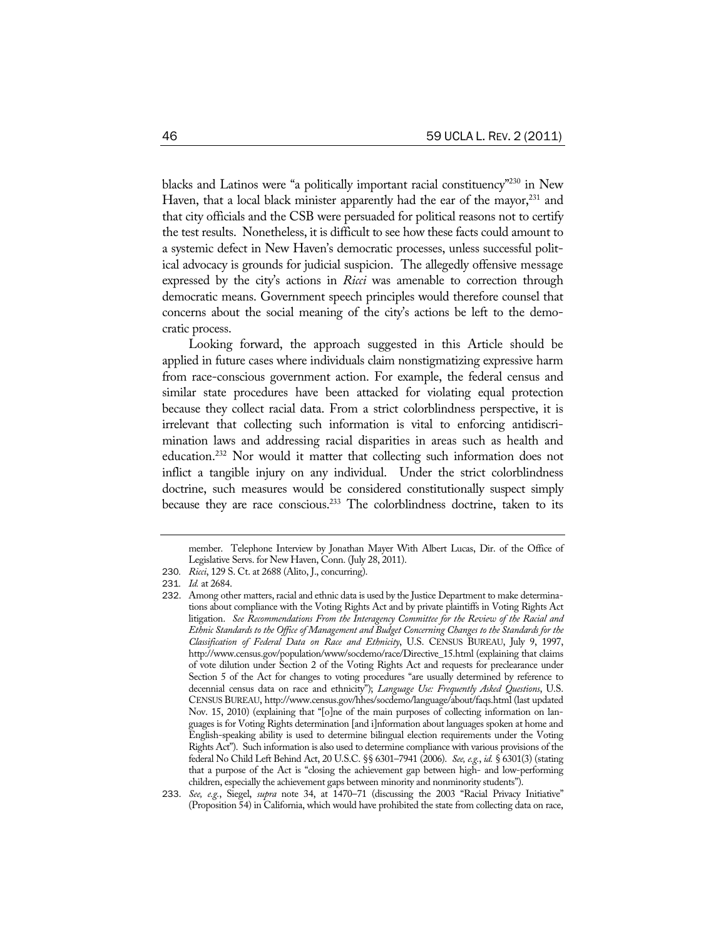blacks and Latinos were "a politically important racial constituency"230 in New Haven, that a local black minister apparently had the ear of the mayor,  $231$  and that city officials and the CSB were persuaded for political reasons not to certify the test results. Nonetheless, it is difficult to see how these facts could amount to a systemic defect in New Haven's democratic processes, unless successful political advocacy is grounds for judicial suspicion. The allegedly offensive message expressed by the city's actions in *Ricci* was amenable to correction through democratic means. Government speech principles would therefore counsel that concerns about the social meaning of the city's actions be left to the democratic process.

Looking forward, the approach suggested in this Article should be applied in future cases where individuals claim nonstigmatizing expressive harm from race-conscious government action. For example, the federal census and similar state procedures have been attacked for violating equal protection because they collect racial data. From a strict colorblindness perspective, it is irrelevant that collecting such information is vital to enforcing antidiscrimination laws and addressing racial disparities in areas such as health and education.232 Nor would it matter that collecting such information does not inflict a tangible injury on any individual. Under the strict colorblindness doctrine, such measures would be considered constitutionally suspect simply because they are race conscious.<sup>233</sup> The colorblindness doctrine, taken to its

member. Telephone Interview by Jonathan Mayer With Albert Lucas, Dir. of the Office of Legislative Servs. for New Haven, Conn. (July 28, 2011).

<sup>230</sup>*. Ricci*, 129 S. Ct. at 2688 (Alito, J., concurring).

<sup>231</sup>*. Id.* at 2684.

<sup>232</sup>. Among other matters, racial and ethnic data is used by the Justice Department to make determinations about compliance with the Voting Rights Act and by private plaintiffs in Voting Rights Act litigation. *See Recommendations From the Interagency Committee for the Review of the Racial and Ethnic Standards to the Office of Management and Budget Concerning Changes to the Standards for the Classification of Federal Data on Race and Ethnicity*, U.S. CENSUS BUREAU, July 9, 1997, http://www.census.gov/population/www/socdemo/race/Directive\_15.html (explaining that claims of vote dilution under Section 2 of the Voting Rights Act and requests for preclearance under Section 5 of the Act for changes to voting procedures "are usually determined by reference to decennial census data on race and ethnicity"); *Language Use: Frequently Asked Questions*, U.S. CENSUS BUREAU, http://www.census.gov/hhes/socdemo/language/about/faqs.html (last updated Nov. 15, 2010) (explaining that "[o]ne of the main purposes of collecting information on languages is for Voting Rights determination [and i]nformation about languages spoken at home and English-speaking ability is used to determine bilingual election requirements under the Voting Rights Act"). Such information is also used to determine compliance with various provisions of the federal No Child Left Behind Act, 20 U.S.C. §§ 6301–7941 (2006). *See, e.g.*, *id.* § 6301(3) (stating that a purpose of the Act is "closing the achievement gap between high- and low-performing children, especially the achievement gaps between minority and nonminority students").

<sup>233</sup>. *See, e.g.*, Siegel, *supra* note 34, at 1470–71 (discussing the 2003 "Racial Privacy Initiative" (Proposition 54) in California, which would have prohibited the state from collecting data on race,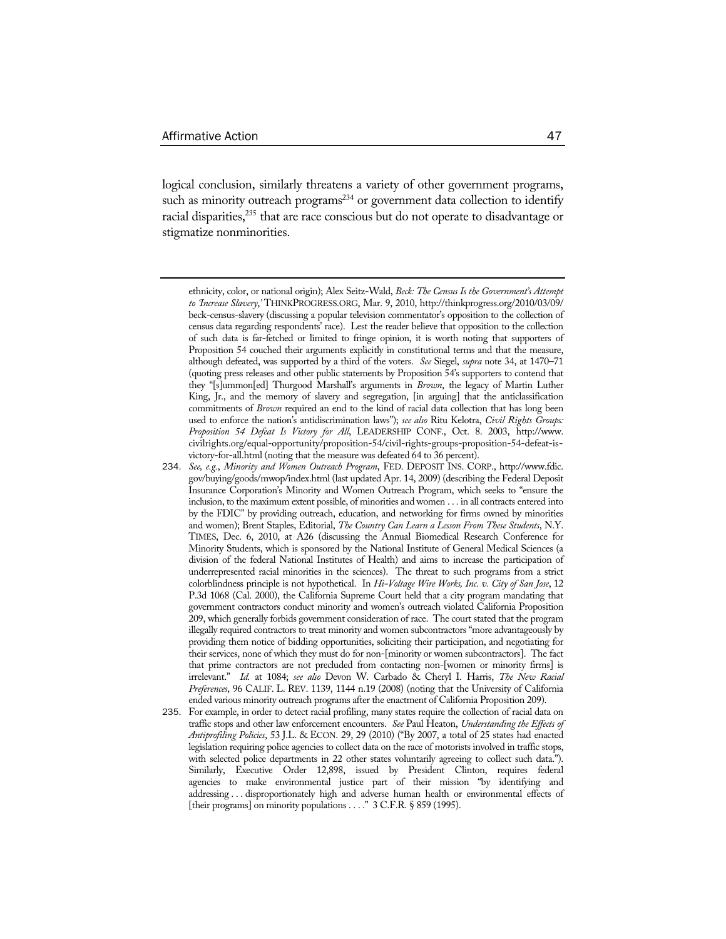logical conclusion, similarly threatens a variety of other government programs, such as minority outreach programs<sup>234</sup> or government data collection to identify racial disparities,<sup>235</sup> that are race conscious but do not operate to disadvantage or stigmatize nonminorities.

ethnicity, color, or national origin); Alex Seitz-Wald, *Beck: The Census Is the Government's Attempt to 'Increase Slavery*,*'* THINKPROGRESS.ORG, Mar. 9, 2010, http://thinkprogress.org/2010/03/09/ beck-census-slavery (discussing a popular television commentator's opposition to the collection of census data regarding respondents' race). Lest the reader believe that opposition to the collection of such data is far-fetched or limited to fringe opinion, it is worth noting that supporters of Proposition 54 couched their arguments explicitly in constitutional terms and that the measure, although defeated, was supported by a third of the voters. *See* Siegel, *supra* note 34, at 1470–71 (quoting press releases and other public statements by Proposition 54's supporters to contend that they "[s]ummon[ed] Thurgood Marshall's arguments in *Brown*, the legacy of Martin Luther King, Jr., and the memory of slavery and segregation, [in arguing] that the anticlassification commitments of *Brown* required an end to the kind of racial data collection that has long been used to enforce the nation's antidiscrimination laws"); *see also* Ritu Kelotra, *Civil Rights Groups: Proposition 54 Defeat Is Victory for All*, LEADERSHIP CONF., Oct. 8. 2003, http://www. civilrights.org/equal-opportunity/proposition-54/civil-rights-groups-proposition-54-defeat-isvictory-for-all.html (noting that the measure was defeated 64 to 36 percent).

<sup>234</sup>. *See, e.g.*, *Minority and Women Outreach Program*, FED. DEPOSIT INS. CORP., http://www.fdic. gov/buying/goods/mwop/index.html (last updated Apr. 14, 2009) (describing the Federal Deposit Insurance Corporation's Minority and Women Outreach Program, which seeks to "ensure the inclusion, to the maximum extent possible, of minorities and women . . . in all contracts entered into by the FDIC" by providing outreach, education, and networking for firms owned by minorities and women); Brent Staples, Editorial, *The Country Can Learn a Lesson From These Students*, N.Y. TIMES, Dec. 6, 2010, at A26 (discussing the Annual Biomedical Research Conference for Minority Students, which is sponsored by the National Institute of General Medical Sciences (a division of the federal National Institutes of Health) and aims to increase the participation of underrepresented racial minorities in the sciences). The threat to such programs from a strict colorblindness principle is not hypothetical. In *Hi-Voltage Wire Works, Inc. v. City of San Jose*, 12 P.3d 1068 (Cal. 2000), the California Supreme Court held that a city program mandating that government contractors conduct minority and women's outreach violated California Proposition 209, which generally forbids government consideration of race. The court stated that the program illegally required contractors to treat minority and women subcontractors "more advantageously by providing them notice of bidding opportunities, soliciting their participation, and negotiating for their services, none of which they must do for non-[minority or women subcontractors]. The fact that prime contractors are not precluded from contacting non-[women or minority firms] is irrelevant." *Id.* at 1084; *see also* Devon W. Carbado & Cheryl I. Harris, *The New Racial Preferences*, 96 CALIF. L. REV. 1139, 1144 n.19 (2008) (noting that the University of California ended various minority outreach programs after the enactment of California Proposition 209).

<sup>235</sup>. For example, in order to detect racial profiling, many states require the collection of racial data on traffic stops and other law enforcement encounters. *See* Paul Heaton, *Understanding the Effects of Antiprofiling Policies*, 53 J.L. & ECON. 29, 29 (2010) ("By 2007, a total of 25 states had enacted legislation requiring police agencies to collect data on the race of motorists involved in traffic stops, with selected police departments in 22 other states voluntarily agreeing to collect such data."). Similarly, Executive Order 12,898, issued by President Clinton, requires federal agencies to make environmental justice part of their mission "by identifying and addressing . . . disproportionately high and adverse human health or environmental effects of [their programs] on minority populations . . . . " 3 C.F.R. § 859 (1995).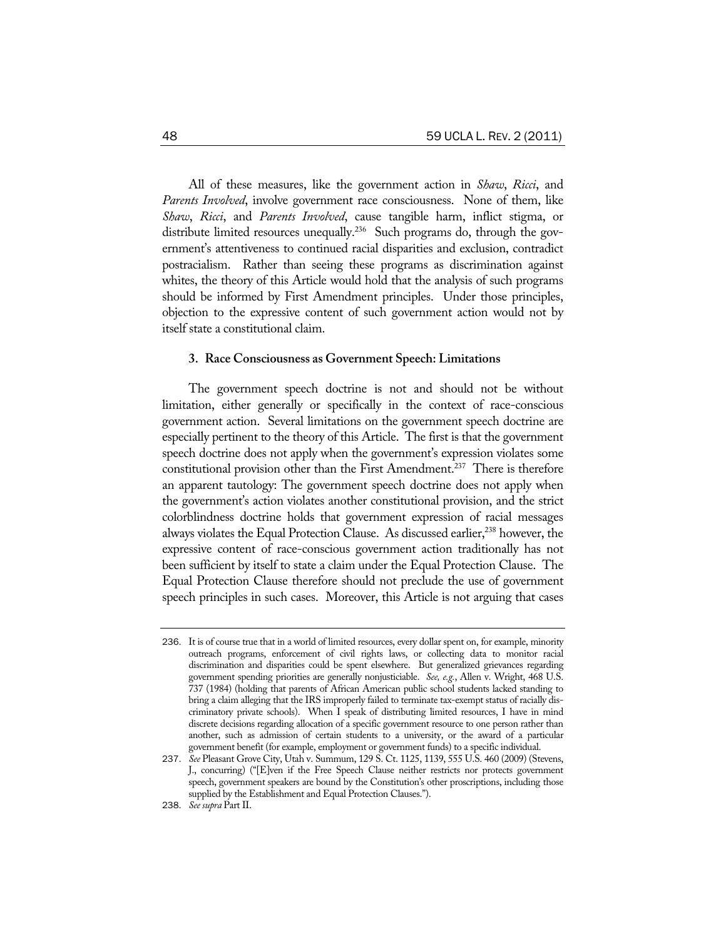All of these measures, like the government action in *Shaw*, *Ricci*, and *Parents Involved*, involve government race consciousness. None of them, like *Shaw*, *Ricci*, and *Parents Involved*, cause tangible harm, inflict stigma, or distribute limited resources unequally.<sup>236</sup> Such programs do, through the government's attentiveness to continued racial disparities and exclusion, contradict postracialism. Rather than seeing these programs as discrimination against whites, the theory of this Article would hold that the analysis of such programs should be informed by First Amendment principles. Under those principles, objection to the expressive content of such government action would not by itself state a constitutional claim.

#### **3. Race Consciousness as Government Speech: Limitations**

The government speech doctrine is not and should not be without limitation, either generally or specifically in the context of race-conscious government action. Several limitations on the government speech doctrine are especially pertinent to the theory of this Article. The first is that the government speech doctrine does not apply when the government's expression violates some constitutional provision other than the First Amendment.<sup>237</sup> There is therefore an apparent tautology: The government speech doctrine does not apply when the government's action violates another constitutional provision, and the strict colorblindness doctrine holds that government expression of racial messages always violates the Equal Protection Clause. As discussed earlier,<sup>238</sup> however, the expressive content of race-conscious government action traditionally has not been sufficient by itself to state a claim under the Equal Protection Clause. The Equal Protection Clause therefore should not preclude the use of government speech principles in such cases. Moreover, this Article is not arguing that cases

<sup>236</sup>. It is of course true that in a world of limited resources, every dollar spent on, for example, minority outreach programs, enforcement of civil rights laws, or collecting data to monitor racial discrimination and disparities could be spent elsewhere. But generalized grievances regarding government spending priorities are generally nonjusticiable. *See, e.g.*, Allen v. Wright, 468 U.S. 737 (1984) (holding that parents of African American public school students lacked standing to bring a claim alleging that the IRS improperly failed to terminate tax-exempt status of racially discriminatory private schools). When I speak of distributing limited resources, I have in mind discrete decisions regarding allocation of a specific government resource to one person rather than another, such as admission of certain students to a university, or the award of a particular government benefit (for example, employment or government funds) to a specific individual.

<sup>237</sup>. *See* Pleasant Grove City, Utah v. Summum, 129 S. Ct. 1125, 1139, 555 U.S. 460 (2009) (Stevens, J., concurring) ("[E]ven if the Free Speech Clause neither restricts nor protects government speech, government speakers are bound by the Constitution's other proscriptions, including those supplied by the Establishment and Equal Protection Clauses.").

<sup>238</sup>. *See supra* Part II.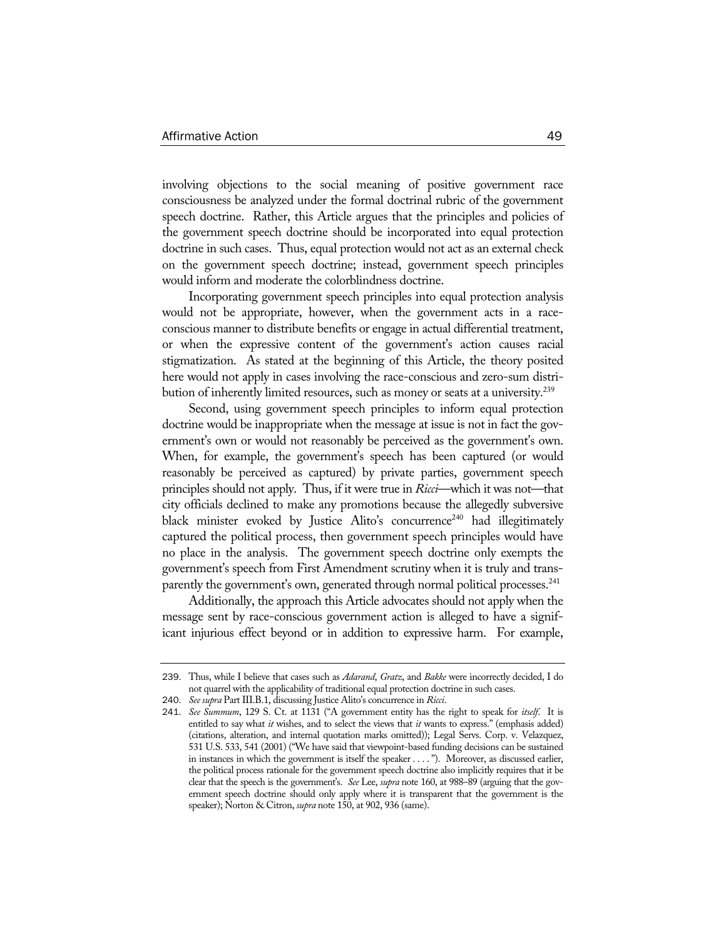involving objections to the social meaning of positive government race consciousness be analyzed under the formal doctrinal rubric of the government speech doctrine. Rather, this Article argues that the principles and policies of the government speech doctrine should be incorporated into equal protection doctrine in such cases. Thus, equal protection would not act as an external check on the government speech doctrine; instead, government speech principles would inform and moderate the colorblindness doctrine.

Incorporating government speech principles into equal protection analysis would not be appropriate, however, when the government acts in a raceconscious manner to distribute benefits or engage in actual differential treatment, or when the expressive content of the government's action causes racial stigmatization. As stated at the beginning of this Article, the theory posited here would not apply in cases involving the race-conscious and zero-sum distribution of inherently limited resources, such as money or seats at a university.<sup>239</sup>

Second, using government speech principles to inform equal protection doctrine would be inappropriate when the message at issue is not in fact the government's own or would not reasonably be perceived as the government's own. When, for example, the government's speech has been captured (or would reasonably be perceived as captured) by private parties, government speech principles should not apply. Thus, if it were true in *Ricci*—which it was not—that city officials declined to make any promotions because the allegedly subversive black minister evoked by Justice Alito's concurrence<sup>240</sup> had illegitimately captured the political process, then government speech principles would have no place in the analysis. The government speech doctrine only exempts the government's speech from First Amendment scrutiny when it is truly and transparently the government's own, generated through normal political processes.<sup>241</sup>

Additionally, the approach this Article advocates should not apply when the message sent by race-conscious government action is alleged to have a significant injurious effect beyond or in addition to expressive harm. For example,

<sup>239</sup>. Thus, while I believe that cases such as *Adarand*, *Gratz*, and *Bakke* were incorrectly decided, I do not quarrel with the applicability of traditional equal protection doctrine in such cases.

<sup>240</sup>. *See supra* Part III.B.1, discussing Justice Alito's concurrence in *Ricci*.

<sup>241</sup>. *See Summum*, 129 S. Ct. at 1131 ("A government entity has the right to speak for *itself*. It is entitled to say what *it* wishes, and to select the views that *it* wants to express." (emphasis added) (citations, alteration, and internal quotation marks omitted)); Legal Servs. Corp. v. Velazquez, 531 U.S. 533, 541 (2001) ("We have said that viewpoint-based funding decisions can be sustained in instances in which the government is itself the speaker . . . . "). Moreover, as discussed earlier, the political process rationale for the government speech doctrine also implicitly requires that it be clear that the speech is the government's. *See* Lee, *supra* note 160, at 988–89 (arguing that the government speech doctrine should only apply where it is transparent that the government is the speaker); Norton & Citron, *supra* note 150, at 902, 936 (same).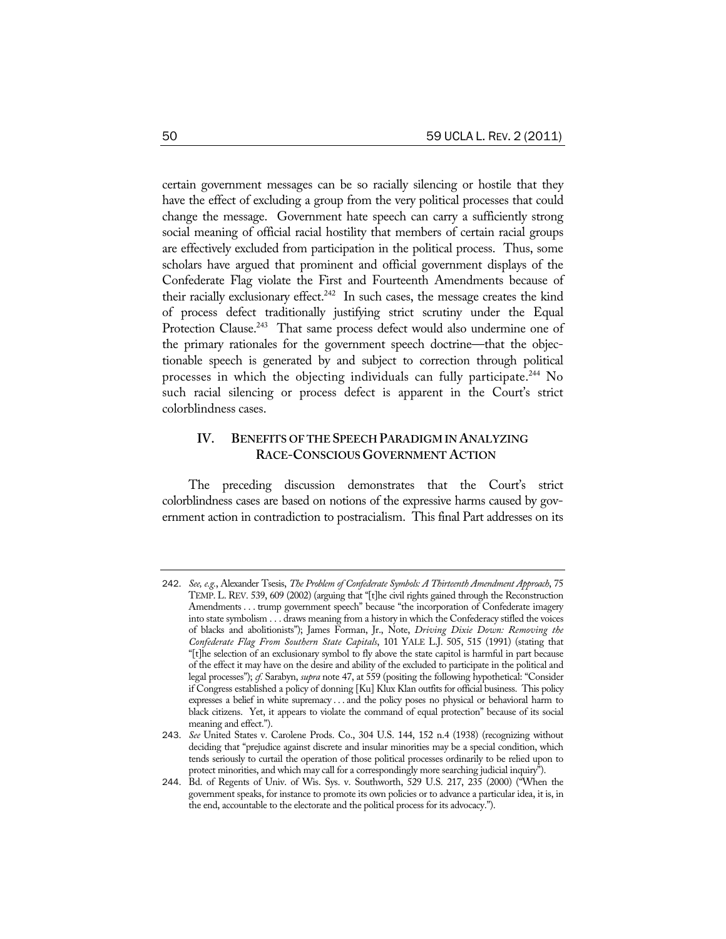certain government messages can be so racially silencing or hostile that they have the effect of excluding a group from the very political processes that could change the message. Government hate speech can carry a sufficiently strong social meaning of official racial hostility that members of certain racial groups are effectively excluded from participation in the political process. Thus, some scholars have argued that prominent and official government displays of the Confederate Flag violate the First and Fourteenth Amendments because of their racially exclusionary effect.<sup>242</sup> In such cases, the message creates the kind of process defect traditionally justifying strict scrutiny under the Equal Protection Clause.<sup>243</sup> That same process defect would also undermine one of the primary rationales for the government speech doctrine—that the objectionable speech is generated by and subject to correction through political processes in which the objecting individuals can fully participate.244 No such racial silencing or process defect is apparent in the Court's strict colorblindness cases.

### **IV. BENEFITS OF THE SPEECH PARADIGM IN ANALYZING RACE-CONSCIOUS GOVERNMENT ACTION**

The preceding discussion demonstrates that the Court's strict colorblindness cases are based on notions of the expressive harms caused by government action in contradiction to postracialism. This final Part addresses on its

<sup>242</sup>. *See, e.g.*, Alexander Tsesis, *The Problem of Confederate Symbols: A Thirteenth Amendment Approach*, 75 TEMP. L. REV. 539, 609 (2002) (arguing that "[t]he civil rights gained through the Reconstruction Amendments . . . trump government speech" because "the incorporation of Confederate imagery into state symbolism . . . draws meaning from a history in which the Confederacy stifled the voices of blacks and abolitionists"); James Forman, Jr., Note, *Driving Dixie Down: Removing the Confederate Flag From Southern State Capitals*, 101 YALE L.J. 505, 515 (1991) (stating that "[t]he selection of an exclusionary symbol to fly above the state capitol is harmful in part because of the effect it may have on the desire and ability of the excluded to participate in the political and legal processes"); *cf.* Sarabyn, *supra* note 47, at 559 (positing the following hypothetical: "Consider if Congress established a policy of donning [Ku] Klux Klan outfits for official business. This policy expresses a belief in white supremacy . . . and the policy poses no physical or behavioral harm to black citizens. Yet, it appears to violate the command of equal protection" because of its social meaning and effect.").

<sup>243</sup>. *See* United States v. Carolene Prods. Co., 304 U.S. 144, 152 n.4 (1938) (recognizing without deciding that "prejudice against discrete and insular minorities may be a special condition, which tends seriously to curtail the operation of those political processes ordinarily to be relied upon to protect minorities, and which may call for a correspondingly more searching judicial inquiry").

<sup>244</sup>. Bd. of Regents of Univ. of Wis. Sys. v. Southworth, 529 U.S. 217, 235 (2000) ("When the government speaks, for instance to promote its own policies or to advance a particular idea, it is, in the end, accountable to the electorate and the political process for its advocacy.").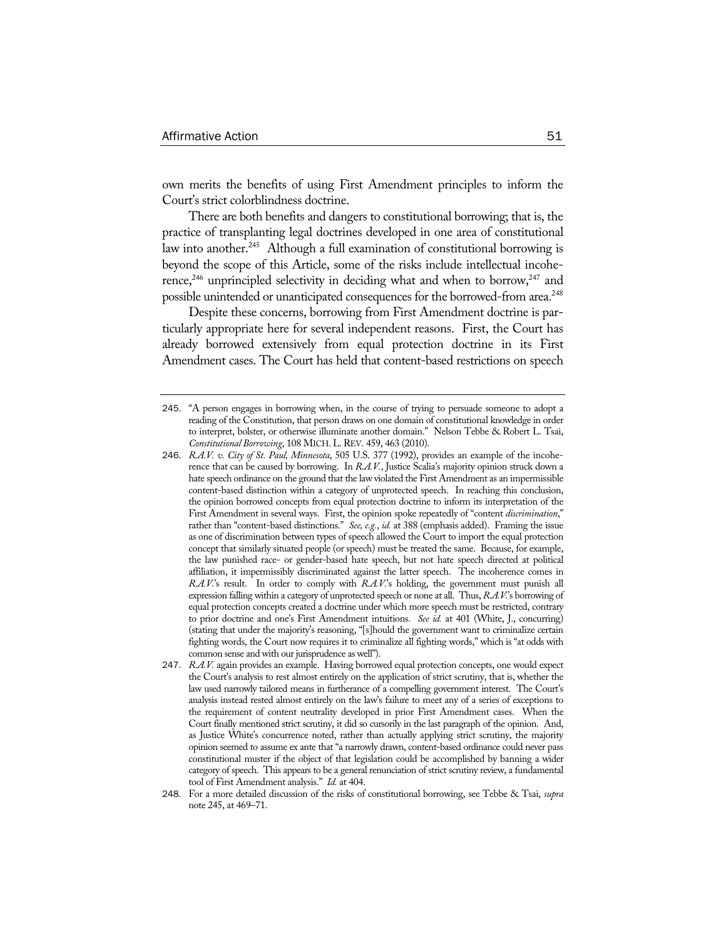own merits the benefits of using First Amendment principles to inform the Court's strict colorblindness doctrine.

There are both benefits and dangers to constitutional borrowing; that is, the practice of transplanting legal doctrines developed in one area of constitutional law into another.<sup>245</sup> Although a full examination of constitutional borrowing is beyond the scope of this Article, some of the risks include intellectual incoherence,<sup>246</sup> unprincipled selectivity in deciding what and when to borrow,<sup>247</sup> and possible unintended or unanticipated consequences for the borrowed-from area.<sup>248</sup>

Despite these concerns, borrowing from First Amendment doctrine is particularly appropriate here for several independent reasons. First, the Court has already borrowed extensively from equal protection doctrine in its First Amendment cases. The Court has held that content-based restrictions on speech

<sup>245</sup>. "A person engages in borrowing when, in the course of trying to persuade someone to adopt a reading of the Constitution, that person draws on one domain of constitutional knowledge in order to interpret, bolster, or otherwise illuminate another domain." Nelson Tebbe & Robert L. Tsai, *Constitutional Borrowing*, 108 MICH.L.REV. 459, 463 (2010).

<sup>246</sup>. *R.A.V. v. City of St. Paul, Minnesota*, 505 U.S. 377 (1992), provides an example of the incoherence that can be caused by borrowing. In *R.A.V.*, Justice Scalia's majority opinion struck down a hate speech ordinance on the ground that the law violated the First Amendment as an impermissible content-based distinction within a category of unprotected speech. In reaching this conclusion, the opinion borrowed concepts from equal protection doctrine to inform its interpretation of the First Amendment in several ways. First, the opinion spoke repeatedly of "content *discrimination*," rather than "content-based distinctions." *See, e.g.*, *id.* at 388 (emphasis added). Framing the issue as one of discrimination between types of speech allowed the Court to import the equal protection concept that similarly situated people (or speech) must be treated the same. Because, for example, the law punished race- or gender-based hate speech, but not hate speech directed at political affiliation, it impermissibly discriminated against the latter speech. The incoherence comes in *R.A.V.*'s result. In order to comply with *R.A.V.*'s holding, the government must punish all expression falling within a category of unprotected speech or none at all. Thus, *R.A.V.*'s borrowing of equal protection concepts created a doctrine under which more speech must be restricted, contrary to prior doctrine and one's First Amendment intuitions. *See id.* at 401 (White, J., concurring) (stating that under the majority's reasoning, "[s]hould the government want to criminalize certain fighting words, the Court now requires it to criminalize all fighting words," which is "at odds with common sense and with our jurisprudence as well").

<sup>247</sup>. *R.A.V.* again provides an example. Having borrowed equal protection concepts, one would expect the Court's analysis to rest almost entirely on the application of strict scrutiny, that is, whether the law used narrowly tailored means in furtherance of a compelling government interest. The Court's analysis instead rested almost entirely on the law's failure to meet any of a series of exceptions to the requirement of content neutrality developed in prior First Amendment cases. When the Court finally mentioned strict scrutiny, it did so cursorily in the last paragraph of the opinion. And, as Justice White's concurrence noted, rather than actually applying strict scrutiny, the majority opinion seemed to assume ex ante that "a narrowly drawn, content-based ordinance could never pass constitutional muster if the object of that legislation could be accomplished by banning a wider category of speech. This appears to be a general renunciation of strict scrutiny review, a fundamental tool of First Amendment analysis." *Id.* at 404.

<sup>248</sup>. For a more detailed discussion of the risks of constitutional borrowing, see Tebbe & Tsai, *supra*  note 245, at 469–71.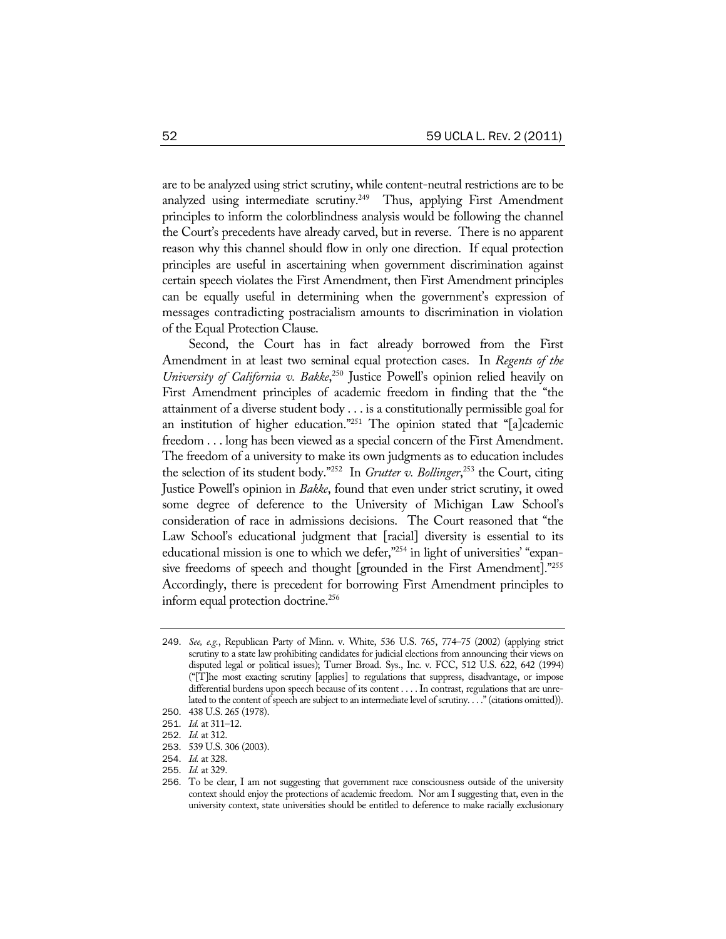are to be analyzed using strict scrutiny, while content-neutral restrictions are to be analyzed using intermediate scrutiny.<sup>249</sup> Thus, applying First Amendment principles to inform the colorblindness analysis would be following the channel the Court's precedents have already carved, but in reverse. There is no apparent reason why this channel should flow in only one direction. If equal protection principles are useful in ascertaining when government discrimination against certain speech violates the First Amendment, then First Amendment principles can be equally useful in determining when the government's expression of messages contradicting postracialism amounts to discrimination in violation of the Equal Protection Clause.

Second, the Court has in fact already borrowed from the First Amendment in at least two seminal equal protection cases. In *Regents of the University of California v. Bakke*, 250 Justice Powell's opinion relied heavily on First Amendment principles of academic freedom in finding that the "the attainment of a diverse student body . . . is a constitutionally permissible goal for an institution of higher education."<sup>251</sup> The opinion stated that "[a]cademic freedom . . . long has been viewed as a special concern of the First Amendment. The freedom of a university to make its own judgments as to education includes the selection of its student body."252 In *Grutter v. Bollinger*, 253 the Court, citing Justice Powell's opinion in *Bakke*, found that even under strict scrutiny, it owed some degree of deference to the University of Michigan Law School's consideration of race in admissions decisions. The Court reasoned that "the Law School's educational judgment that [racial] diversity is essential to its educational mission is one to which we defer,"<sup>254</sup> in light of universities' "expansive freedoms of speech and thought [grounded in the First Amendment]."255 Accordingly, there is precedent for borrowing First Amendment principles to inform equal protection doctrine.<sup>256</sup>

<sup>249</sup>. *See, e.g.*, Republican Party of Minn. v. White, 536 U.S. 765, 774–75 (2002) (applying strict scrutiny to a state law prohibiting candidates for judicial elections from announcing their views on disputed legal or political issues); Turner Broad. Sys., Inc. v. FCC, 512 U.S. 622, 642 (1994) ("[T]he most exacting scrutiny [applies] to regulations that suppress, disadvantage, or impose differential burdens upon speech because of its content . . . . In contrast, regulations that are unrelated to the content of speech are subject to an intermediate level of scrutiny. . . ." (citations omitted)).

<sup>250</sup>. 438 U.S. 265 (1978).

<sup>251</sup>. *Id.* at 311–12.

<sup>252</sup>. *Id.* at 312.

<sup>253</sup>. 539 U.S. 306 (2003).

<sup>254</sup>. *Id.* at 328.

<sup>255</sup>. *Id.* at 329.

<sup>256</sup>. To be clear, I am not suggesting that government race consciousness outside of the university context should enjoy the protections of academic freedom. Nor am I suggesting that, even in the university context, state universities should be entitled to deference to make racially exclusionary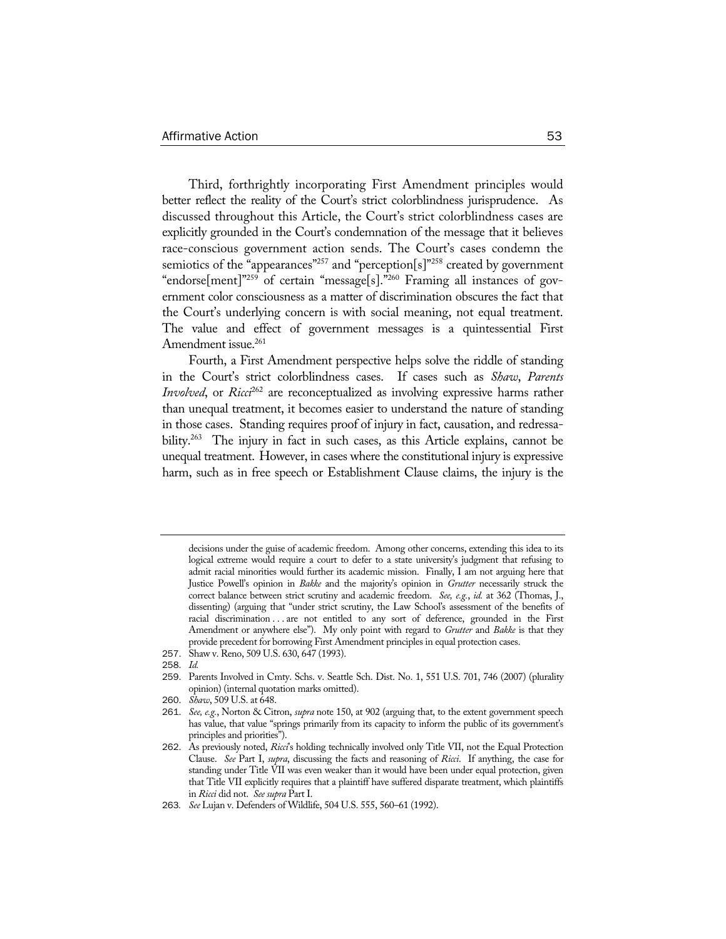Third, forthrightly incorporating First Amendment principles would better reflect the reality of the Court's strict colorblindness jurisprudence. As discussed throughout this Article, the Court's strict colorblindness cases are explicitly grounded in the Court's condemnation of the message that it believes race-conscious government action sends. The Court's cases condemn the semiotics of the "appearances"<sup>257</sup> and "perception[s]"<sup>258</sup> created by government "endorse[ment]"259 of certain "message[s]."260 Framing all instances of government color consciousness as a matter of discrimination obscures the fact that the Court's underlying concern is with social meaning, not equal treatment. The value and effect of government messages is a quintessential First Amendment issue.<sup>261</sup>

Fourth, a First Amendment perspective helps solve the riddle of standing in the Court's strict colorblindness cases. If cases such as *Shaw*, *Parents Involved*, or *Ricci*<sup>262</sup> are reconceptualized as involving expressive harms rather than unequal treatment, it becomes easier to understand the nature of standing in those cases. Standing requires proof of injury in fact, causation, and redressability.<sup>263</sup> The injury in fact in such cases, as this Article explains, cannot be unequal treatment. However, in cases where the constitutional injury is expressive harm, such as in free speech or Establishment Clause claims, the injury is the

258. *Id.*

decisions under the guise of academic freedom. Among other concerns, extending this idea to its logical extreme would require a court to defer to a state university's judgment that refusing to admit racial minorities would further its academic mission. Finally, I am not arguing here that Justice Powell's opinion in *Bakke* and the majority's opinion in *Grutter* necessarily struck the correct balance between strict scrutiny and academic freedom. *See, e.g.*, *id.* at 362 (Thomas, J., dissenting) (arguing that "under strict scrutiny, the Law School's assessment of the benefits of racial discrimination . . . are not entitled to any sort of deference, grounded in the First Amendment or anywhere else"). My only point with regard to *Grutter* and *Bakke* is that they provide precedent for borrowing First Amendment principles in equal protection cases.

<sup>257</sup>. Shaw v. Reno, 509 U.S. 630, 647 (1993).

<sup>259</sup>. Parents Involved in Cmty. Schs. v. Seattle Sch. Dist. No. 1, 551 U.S. 701, 746 (2007) (plurality opinion) (internal quotation marks omitted).

<sup>260</sup>. *Shaw*, 509 U.S. at 648.

<sup>261</sup>. *See, e.g.*, Norton & Citron, *supra* note 150, at 902 (arguing that, to the extent government speech has value, that value "springs primarily from its capacity to inform the public of its government's principles and priorities").

<sup>262</sup>. As previously noted, *Ricci*'s holding technically involved only Title VII, not the Equal Protection Clause. *See* Part I, *supra*, discussing the facts and reasoning of *Ricci*. If anything, the case for standing under Title VII was even weaker than it would have been under equal protection, given that Title VII explicitly requires that a plaintiff have suffered disparate treatment, which plaintiffs in *Ricci* did not. *See supra* Part I.

<sup>263</sup>*. See* Lujan v. Defenders of Wildlife, 504 U.S. 555, 560–61 (1992).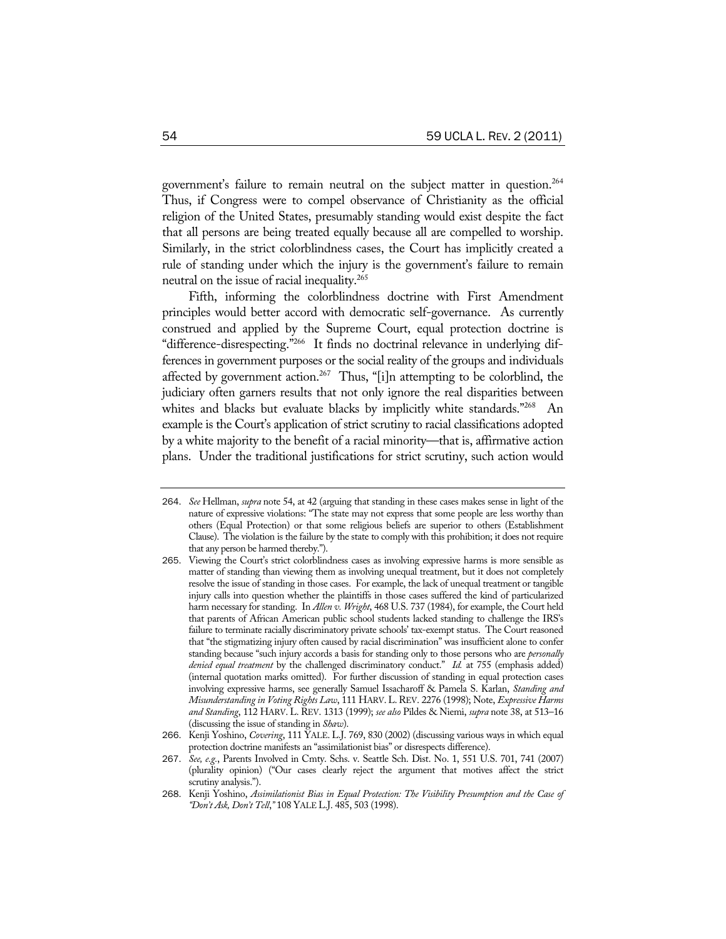government's failure to remain neutral on the subject matter in question.<sup>264</sup> Thus, if Congress were to compel observance of Christianity as the official religion of the United States, presumably standing would exist despite the fact that all persons are being treated equally because all are compelled to worship. Similarly, in the strict colorblindness cases, the Court has implicitly created a rule of standing under which the injury is the government's failure to remain neutral on the issue of racial inequality.265

Fifth, informing the colorblindness doctrine with First Amendment principles would better accord with democratic self-governance. As currently construed and applied by the Supreme Court, equal protection doctrine is "difference-disrespecting."266 It finds no doctrinal relevance in underlying differences in government purposes or the social reality of the groups and individuals affected by government action.<sup>267</sup> Thus, "[i]n attempting to be colorblind, the judiciary often garners results that not only ignore the real disparities between whites and blacks but evaluate blacks by implicitly white standards."<sup>268</sup> An example is the Court's application of strict scrutiny to racial classifications adopted by a white majority to the benefit of a racial minority—that is, affirmative action plans. Under the traditional justifications for strict scrutiny, such action would

<sup>264</sup>. *See* Hellman, *supra* note 54, at 42 (arguing that standing in these cases makes sense in light of the nature of expressive violations: "The state may not express that some people are less worthy than others (Equal Protection) or that some religious beliefs are superior to others (Establishment Clause). The violation is the failure by the state to comply with this prohibition; it does not require that any person be harmed thereby.").

<sup>265</sup>. Viewing the Court's strict colorblindness cases as involving expressive harms is more sensible as matter of standing than viewing them as involving unequal treatment, but it does not completely resolve the issue of standing in those cases. For example, the lack of unequal treatment or tangible injury calls into question whether the plaintiffs in those cases suffered the kind of particularized harm necessary for standing. In *Allen v. Wright*, 468 U.S. 737 (1984), for example, the Court held that parents of African American public school students lacked standing to challenge the IRS's failure to terminate racially discriminatory private schools' tax-exempt status. The Court reasoned that "the stigmatizing injury often caused by racial discrimination" was insufficient alone to confer standing because "such injury accords a basis for standing only to those persons who are *personally denied equal treatment* by the challenged discriminatory conduct." *Id.* at 755 (emphasis added) (internal quotation marks omitted). For further discussion of standing in equal protection cases involving expressive harms, see generally Samuel Issacharoff & Pamela S. Karlan, *Standing and Misunderstanding in Voting Rights Law*, 111 HARV.L.REV. 2276 (1998); Note, *Expressive Harms and Standing*, 112 HARV. L. REV. 1313 (1999); *see also* Pildes & Niemi, *supra* note 38, at 513–16 (discussing the issue of standing in *Shaw*).

<sup>266</sup>. Kenji Yoshino, *Covering*, 111 YALE. L.J. 769, 830 (2002) (discussing various ways in which equal protection doctrine manifests an "assimilationist bias" or disrespects difference).

<sup>267</sup>. *See, e.g.*, Parents Involved in Cmty. Schs. v. Seattle Sch. Dist. No. 1, 551 U.S. 701, 741 (2007) (plurality opinion) ("Our cases clearly reject the argument that motives affect the strict scrutiny analysis.").

<sup>268</sup>. Kenji Yoshino, *Assimilationist Bias in Equal Protection: The Visibility Presumption and the Case of "Don't Ask, Don't Tell*,*"* 108 YALE L.J. 485, 503 (1998).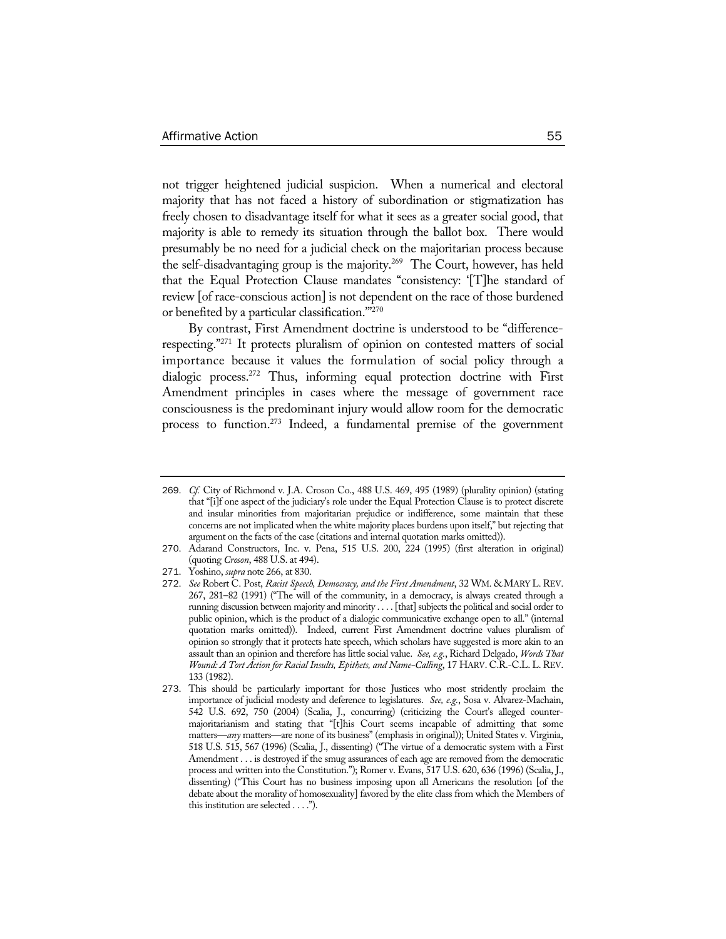not trigger heightened judicial suspicion. When a numerical and electoral majority that has not faced a history of subordination or stigmatization has freely chosen to disadvantage itself for what it sees as a greater social good, that majority is able to remedy its situation through the ballot box. There would presumably be no need for a judicial check on the majoritarian process because the self-disadvantaging group is the majority.<sup>269</sup> The Court, however, has held that the Equal Protection Clause mandates "consistency: '[T]he standard of review [of race-conscious action] is not dependent on the race of those burdened or benefited by a particular classification.'"270

By contrast, First Amendment doctrine is understood to be "differencerespecting."271 It protects pluralism of opinion on contested matters of social importance because it values the formulation of social policy through a dialogic process.272 Thus, informing equal protection doctrine with First Amendment principles in cases where the message of government race consciousness is the predominant injury would allow room for the democratic process to function.273 Indeed, a fundamental premise of the government

271. Yoshino, *supra* note 266, at 830.

<sup>269</sup>. *Cf.* City of Richmond v. J.A. Croson Co., 488 U.S. 469, 495 (1989) (plurality opinion) (stating that "[i]f one aspect of the judiciary's role under the Equal Protection Clause is to protect discrete and insular minorities from majoritarian prejudice or indifference, some maintain that these concerns are not implicated when the white majority places burdens upon itself," but rejecting that argument on the facts of the case (citations and internal quotation marks omitted)).

<sup>270</sup>. Adarand Constructors, Inc. v. Pena, 515 U.S. 200, 224 (1995) (first alteration in original) (quoting *Croson*, 488 U.S. at 494).

<sup>272</sup>. *See* Robert C. Post, *Racist Speech, Democracy, and the First Amendment*, 32 WM. & MARY L. REV. 267, 281–82 (1991) ("The will of the community, in a democracy, is always created through a running discussion between majority and minority . . . . [that] subjects the political and social order to public opinion, which is the product of a dialogic communicative exchange open to all." (internal quotation marks omitted)). Indeed, current First Amendment doctrine values pluralism of opinion so strongly that it protects hate speech, which scholars have suggested is more akin to an assault than an opinion and therefore has little social value. *See, e.g.*, Richard Delgado, *Words That Wound: A Tort Action for Racial Insults, Epithets, and Name-Calling*, 17 HARV. C.R.-C.L. L. REV. 133 (1982).

<sup>273</sup>. This should be particularly important for those Justices who most stridently proclaim the importance of judicial modesty and deference to legislatures. *See, e.g.*, Sosa v. Alvarez-Machain, 542 U.S. 692, 750 (2004) (Scalia, J., concurring) (criticizing the Court's alleged countermajoritarianism and stating that "[t]his Court seems incapable of admitting that some matters—*any* matters—are none of its business" (emphasis in original)); United States v. Virginia, 518 U.S. 515, 567 (1996) (Scalia, J., dissenting) ("The virtue of a democratic system with a First Amendment . . . is destroyed if the smug assurances of each age are removed from the democratic process and written into the Constitution."); Romer v. Evans, 517 U.S. 620, 636 (1996) (Scalia, J., dissenting) ("This Court has no business imposing upon all Americans the resolution [of the debate about the morality of homosexuality] favored by the elite class from which the Members of this institution are selected . . . .").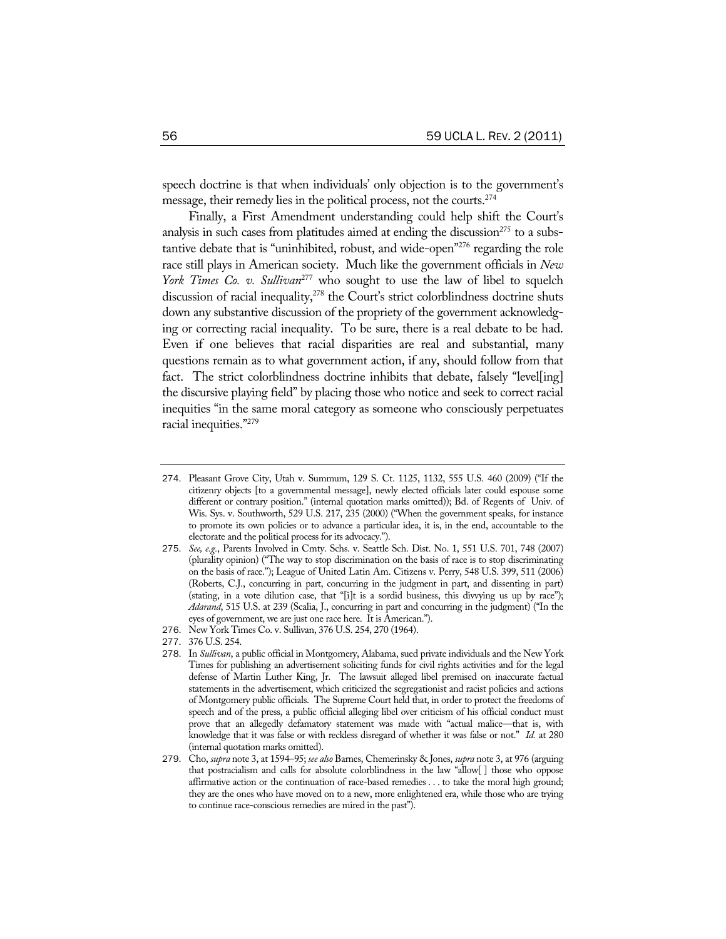speech doctrine is that when individuals' only objection is to the government's message, their remedy lies in the political process, not the courts.274

Finally, a First Amendment understanding could help shift the Court's analysis in such cases from platitudes aimed at ending the discussion<sup>275</sup> to a substantive debate that is "uninhibited, robust, and wide-open"276 regarding the role race still plays in American society. Much like the government officials in *New York Times Co. v. Sullivan*<sup>277</sup> who sought to use the law of libel to squelch discussion of racial inequality,<sup>278</sup> the Court's strict colorblindness doctrine shuts down any substantive discussion of the propriety of the government acknowledging or correcting racial inequality. To be sure, there is a real debate to be had. Even if one believes that racial disparities are real and substantial, many questions remain as to what government action, if any, should follow from that fact. The strict colorblindness doctrine inhibits that debate, falsely "level[ing] the discursive playing field" by placing those who notice and seek to correct racial inequities "in the same moral category as someone who consciously perpetuates racial inequities."279

- 274. Pleasant Grove City, Utah v. Summum, 129 S. Ct. 1125, 1132, 555 U.S. 460 (2009) ("If the citizenry objects [to a governmental message], newly elected officials later could espouse some different or contrary position." (internal quotation marks omitted)); Bd. of Regents of Univ. of Wis. Sys. v. Southworth, 529 U.S. 217, 235 (2000) ("When the government speaks, for instance to promote its own policies or to advance a particular idea, it is, in the end, accountable to the electorate and the political process for its advocacy.").
- 275. *See, e.g.*, Parents Involved in Cmty. Schs. v. Seattle Sch. Dist. No. 1, 551 U.S. 701, 748 (2007) (plurality opinion) ("The way to stop discrimination on the basis of race is to stop discriminating on the basis of race."); League of United Latin Am. Citizens v. Perry, 548 U.S. 399, 511 (2006) (Roberts, C.J., concurring in part, concurring in the judgment in part, and dissenting in part) (stating, in a vote dilution case, that "[i]t is a sordid business, this divvying us up by race"); *Adarand*, 515 U.S. at 239 (Scalia, J., concurring in part and concurring in the judgment) ("In the eyes of government, we are just one race here. It is American.").
- 276. New York Times Co. v. Sullivan, 376 U.S. 254, 270 (1964).
- 277. 376 U.S. 254.

<sup>278</sup>. In *Sullivan*, a public official in Montgomery, Alabama, sued private individuals and the New York Times for publishing an advertisement soliciting funds for civil rights activities and for the legal defense of Martin Luther King, Jr. The lawsuit alleged libel premised on inaccurate factual statements in the advertisement, which criticized the segregationist and racist policies and actions of Montgomery public officials. The Supreme Court held that, in order to protect the freedoms of speech and of the press, a public official alleging libel over criticism of his official conduct must prove that an allegedly defamatory statement was made with "actual malice—that is, with knowledge that it was false or with reckless disregard of whether it was false or not." *Id.* at 280 (internal quotation marks omitted).

<sup>279</sup>. Cho, *supra* note 3, at 1594–95; *see also* Barnes, Chemerinsky & Jones, *supra* note 3, at 976 (arguing that postracialism and calls for absolute colorblindness in the law "allow[ ] those who oppose affirmative action or the continuation of race-based remedies . . . to take the moral high ground; they are the ones who have moved on to a new, more enlightened era, while those who are trying to continue race-conscious remedies are mired in the past").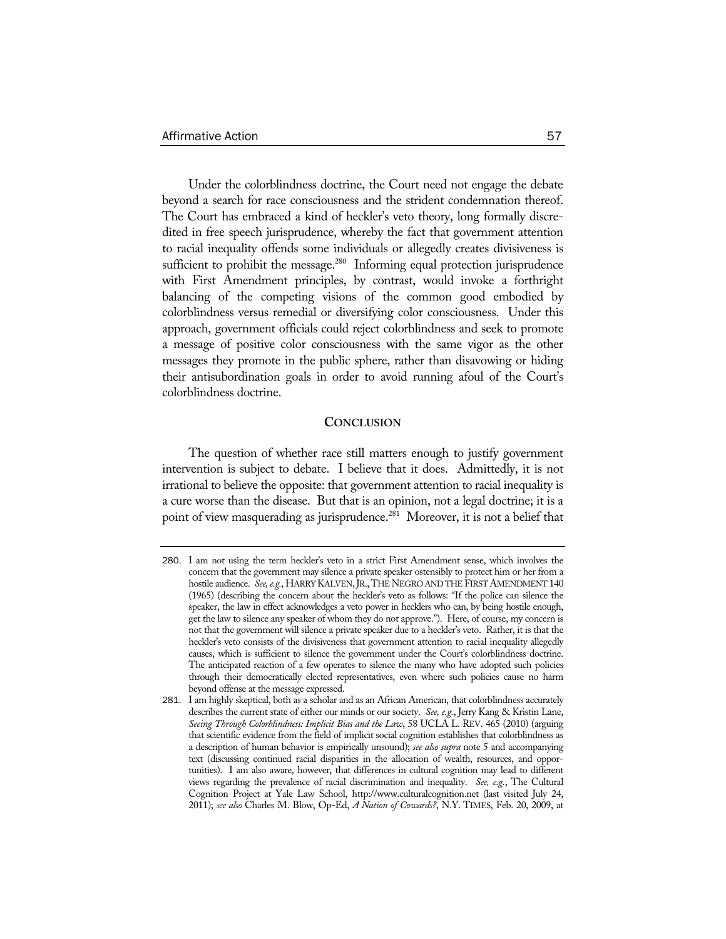Under the colorblindness doctrine, the Court need not engage the debate beyond a search for race consciousness and the strident condemnation thereof. The Court has embraced a kind of heckler's veto theory, long formally discredited in free speech jurisprudence, whereby the fact that government attention to racial inequality offends some individuals or allegedly creates divisiveness is sufficient to prohibit the message.<sup>280</sup> Informing equal protection jurisprudence with First Amendment principles, by contrast, would invoke a forthright balancing of the competing visions of the common good embodied by colorblindness versus remedial or diversifying color consciousness. Under this approach, government officials could reject colorblindness and seek to promote a message of positive color consciousness with the same vigor as the other messages they promote in the public sphere, rather than disavowing or hiding their antisubordination goals in order to avoid running afoul of the Court's colorblindness doctrine.

### **CONCLUSION**

The question of whether race still matters enough to justify government intervention is subject to debate. I believe that it does. Admittedly, it is not irrational to believe the opposite: that government attention to racial inequality is a cure worse than the disease. But that is an opinion, not a legal doctrine; it is a point of view masquerading as jurisprudence.<sup>281</sup> Moreover, it is not a belief that

<sup>280</sup>. I am not using the term heckler's veto in a strict First Amendment sense, which involves the concern that the government may silence a private speaker ostensibly to protect him or her from a hostile audience. *See, e.g.*, HARRY KALVEN,JR.,THE NEGRO AND THE FIRST AMENDMENT 140 (1965) (describing the concern about the heckler's veto as follows: "If the police can silence the speaker, the law in effect acknowledges a veto power in hecklers who can, by being hostile enough, get the law to silence any speaker of whom they do not approve."). Here, of course, my concern is not that the government will silence a private speaker due to a heckler's veto. Rather, it is that the heckler's veto consists of the divisiveness that government attention to racial inequality allegedly causes, which is sufficient to silence the government under the Court's colorblindness doctrine. The anticipated reaction of a few operates to silence the many who have adopted such policies through their democratically elected representatives, even where such policies cause no harm beyond offense at the message expressed.

<sup>281</sup>. I am highly skeptical, both as a scholar and as an African American, that colorblindness accurately describes the current state of either our minds or our society. *See, e.g.*, Jerry Kang & Kristin Lane, *Seeing Through Colorblindness: Implicit Bias and the Law*, 58 UCLA L. REV. 465 (2010) (arguing that scientific evidence from the field of implicit social cognition establishes that colorblindness as a description of human behavior is empirically unsound); *see also supra* note 5 and accompanying text (discussing continued racial disparities in the allocation of wealth, resources, and opportunities). I am also aware, however, that differences in cultural cognition may lead to different views regarding the prevalence of racial discrimination and inequality. *See, e.g.*, The Cultural Cognition Project at Yale Law School, http://www.culturalcognition.net (last visited July 24, 2011); *see also* Charles M. Blow, Op-Ed, *A Nation of Cowards?*, N.Y. TIMES, Feb. 20, 2009, at